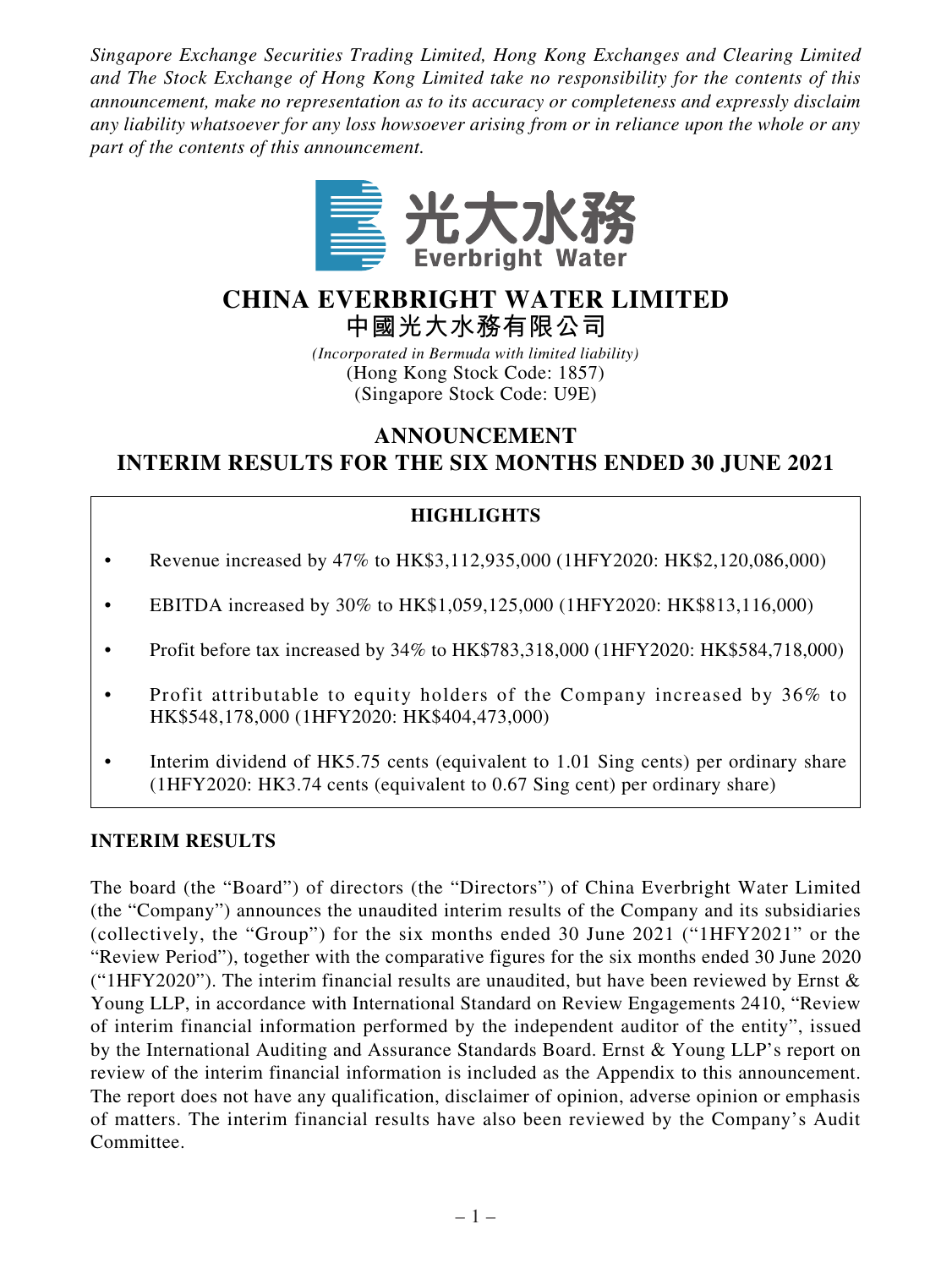*Singapore Exchange Securities Trading Limited, Hong Kong Exchanges and Clearing Limited and The Stock Exchange of Hong Kong Limited take no responsibility for the contents of this announcement, make no representation as to its accuracy or completeness and expressly disclaim any liability whatsoever for any loss howsoever arising from or in reliance upon the whole or any part of the contents of this announcement.*



# **CHINA EVERBRIGHT WATER LIMITED**

**中國光大水務有限公司**

*(Incorporated in Bermuda with limited liability)* (Hong Kong Stock Code: 1857) (Singapore Stock Code: U9E)

**ANNOUNCEMENT**

**INTERIM RESULTS FOR THE SIX MONTHS ENDED 30 JUNE 2021**

## **HIGHLIGHTS**

- Revenue increased by  $47\%$  to HK\$3,112,935,000 (1HFY2020: HK\$2,120,086,000)
- EBITDA increased by 30% to HK\$1,059,125,000 (1HFY2020: HK\$813,116,000)
- Profit before tax increased by 34% to HK\$783,318,000 (1HFY2020: HK\$584,718,000)
- Profit attributable to equity holders of the Company increased by 36% to HK\$548,178,000 (1HFY2020: HK\$404,473,000)
- Interim dividend of HK5.75 cents (equivalent to 1.01 Sing cents) per ordinary share (1HFY2020: HK3.74 cents (equivalent to 0.67 Sing cent) per ordinary share)

## **INTERIM RESULTS**

The board (the "Board") of directors (the "Directors") of China Everbright Water Limited (the "Company") announces the unaudited interim results of the Company and its subsidiaries (collectively, the "Group") for the six months ended 30 June 2021 ("1HFY2021" or the "Review Period"), together with the comparative figures for the six months ended 30 June 2020 ("1HFY2020"). The interim financial results are unaudited, but have been reviewed by Ernst  $\&$ Young LLP, in accordance with International Standard on Review Engagements 2410, "Review of interim financial information performed by the independent auditor of the entity", issued by the International Auditing and Assurance Standards Board. Ernst & Young LLP's report on review of the interim financial information is included as the Appendix to this announcement. The report does not have any qualification, disclaimer of opinion, adverse opinion or emphasis of matters. The interim financial results have also been reviewed by the Company's Audit Committee.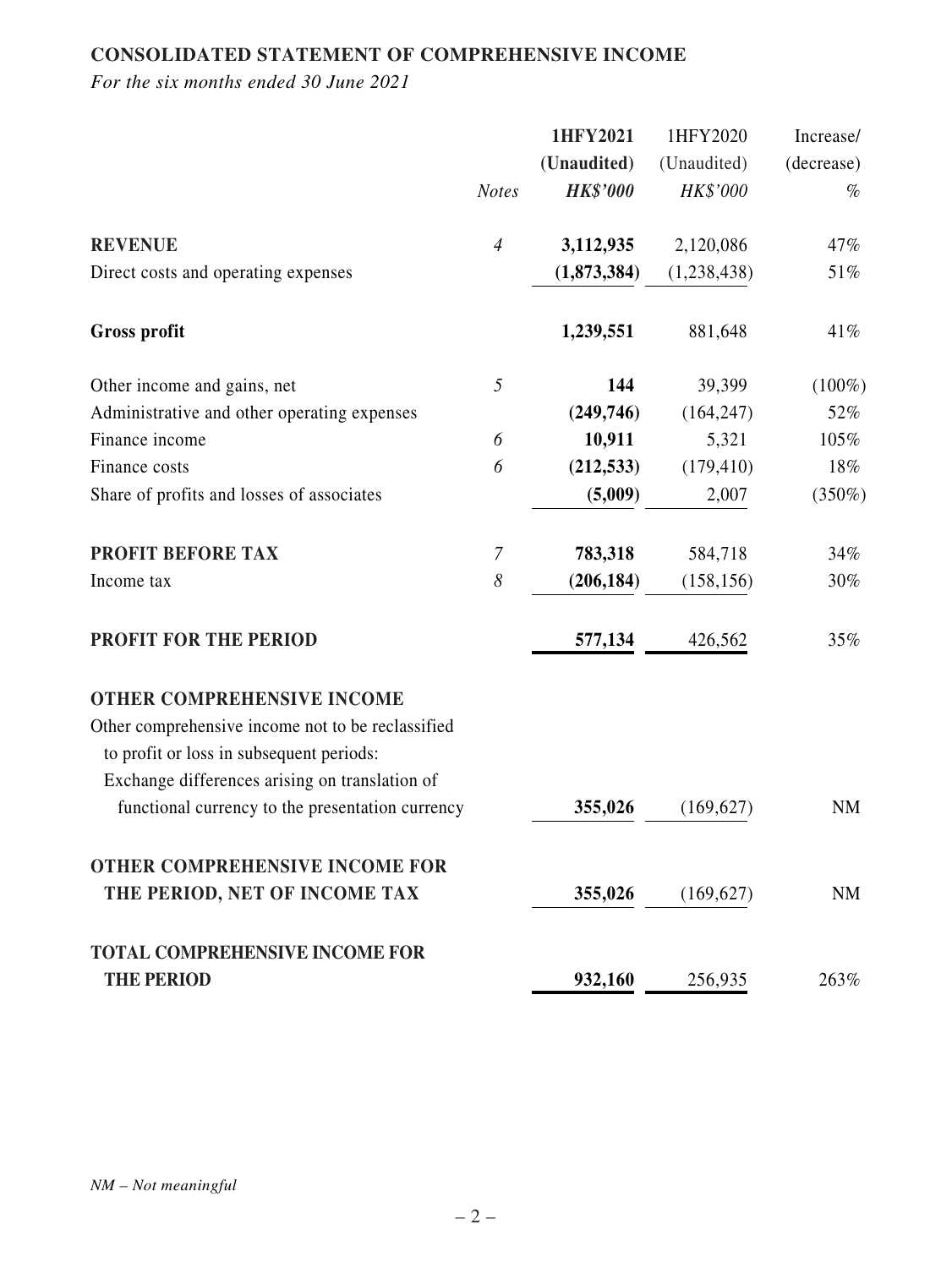## **CONSOLIDATED STATEMENT OF COMPREHENSIVE INCOME**

|                                                   |                | 1HFY2021        | 1HFY2020    | Increase/  |
|---------------------------------------------------|----------------|-----------------|-------------|------------|
|                                                   |                | (Unaudited)     | (Unaudited) | (decrease) |
|                                                   | <b>Notes</b>   | <b>HK\$'000</b> | HK\$'000    | $\%$       |
| <b>REVENUE</b>                                    | $\overline{4}$ | 3,112,935       | 2,120,086   | 47%        |
| Direct costs and operating expenses               |                | (1,873,384)     | (1,238,438) | 51%        |
| <b>Gross profit</b>                               |                | 1,239,551       | 881,648     | 41%        |
| Other income and gains, net                       | 5              | 144             | 39,399      | $(100\%)$  |
| Administrative and other operating expenses       |                | (249, 746)      | (164, 247)  | 52%        |
| Finance income                                    | 6              | 10,911          | 5,321       | 105%       |
| Finance costs                                     | 6              | (212, 533)      | (179, 410)  | 18%        |
| Share of profits and losses of associates         |                | (5,009)         | 2,007       | $(350\%)$  |
| <b>PROFIT BEFORE TAX</b>                          | $\overline{7}$ | 783,318         | 584,718     | 34%        |
| Income tax                                        | 8              | (206, 184)      | (158, 156)  | 30%        |
| <b>PROFIT FOR THE PERIOD</b>                      |                | 577,134         | 426,562     | 35%        |
| <b>OTHER COMPREHENSIVE INCOME</b>                 |                |                 |             |            |
| Other comprehensive income not to be reclassified |                |                 |             |            |
| to profit or loss in subsequent periods:          |                |                 |             |            |
| Exchange differences arising on translation of    |                |                 |             |            |
| functional currency to the presentation currency  |                | 355,026         | (169, 627)  | <b>NM</b>  |
| <b>OTHER COMPREHENSIVE INCOME FOR</b>             |                |                 |             |            |
| THE PERIOD, NET OF INCOME TAX                     |                | 355,026         | (169, 627)  | NM         |
| <b>TOTAL COMPREHENSIVE INCOME FOR</b>             |                |                 |             |            |
| <b>THE PERIOD</b>                                 |                | 932,160         | 256,935     | 263%       |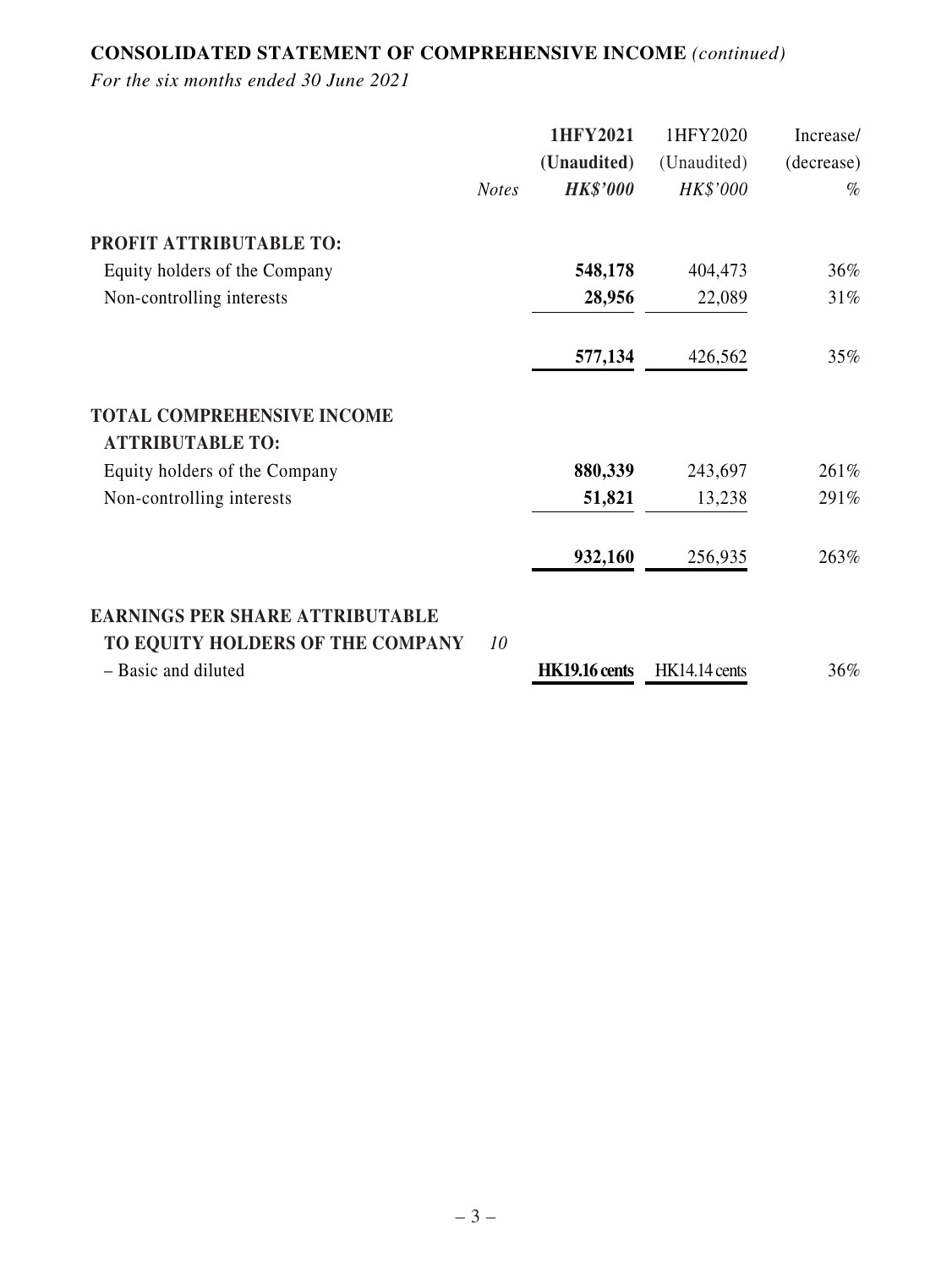## **CONSOLIDATED STATEMENT OF COMPREHENSIVE INCOME** *(continued)*

|                                        | 1HFY2021                        | 1HFY2020             | Increase/  |
|----------------------------------------|---------------------------------|----------------------|------------|
|                                        | (Unaudited)                     | (Unaudited)          | (decrease) |
|                                        | <b>HK\$'000</b><br><b>Notes</b> | HK\$'000             | $\%$       |
| PROFIT ATTRIBUTABLE TO:                |                                 |                      |            |
| Equity holders of the Company          | 548,178                         | 404,473              | 36%        |
| Non-controlling interests              | 28,956                          | 22,089               | 31%        |
|                                        | 577,134                         | 426,562              | 35%        |
| <b>TOTAL COMPREHENSIVE INCOME</b>      |                                 |                      |            |
| <b>ATTRIBUTABLE TO:</b>                |                                 |                      |            |
| Equity holders of the Company          | 880,339                         | 243,697              | 261%       |
| Non-controlling interests              | 51,821                          | 13,238               | 291%       |
|                                        | 932,160                         | 256,935              | 263%       |
| <b>EARNINGS PER SHARE ATTRIBUTABLE</b> |                                 |                      |            |
| TO EQUITY HOLDERS OF THE COMPANY       | 10                              |                      |            |
| - Basic and diluted                    | <b>HK19.16 cents</b>            | <b>HK14.14 cents</b> | 36%        |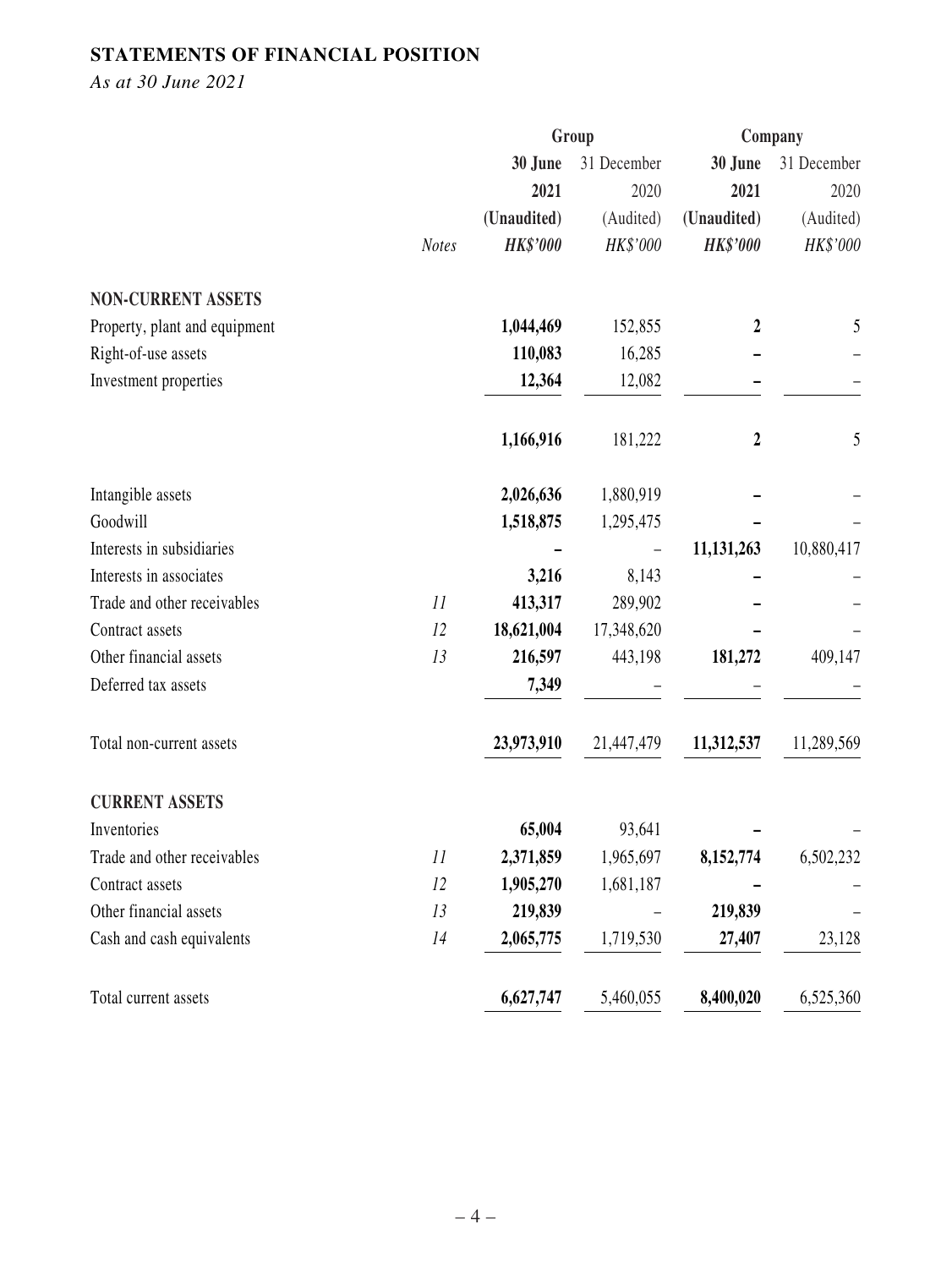## **STATEMENTS OF FINANCIAL POSITION**

*As at 30 June 2021*

|                               |              | Group           |             | Company                 |             |
|-------------------------------|--------------|-----------------|-------------|-------------------------|-------------|
|                               |              | 30 June         | 31 December | 30 June                 | 31 December |
|                               |              | 2021            | 2020        | 2021                    | 2020        |
|                               |              | (Unaudited)     | (Audited)   | (Unaudited)             | (Audited)   |
|                               | <b>Notes</b> | <b>HK\$'000</b> | HK\$'000    | <b>HK\$'000</b>         | HK\$'000    |
| <b>NON-CURRENT ASSETS</b>     |              |                 |             |                         |             |
| Property, plant and equipment |              | 1,044,469       | 152,855     | $\boldsymbol{2}$        | 5           |
| Right-of-use assets           |              | 110,083         | 16,285      |                         |             |
| Investment properties         |              | 12,364          | 12,082      |                         |             |
|                               |              | 1,166,916       | 181,222     | $\overline{\mathbf{2}}$ | 5           |
| Intangible assets             |              | 2,026,636       | 1,880,919   |                         |             |
| Goodwill                      |              | 1,518,875       | 1,295,475   |                         |             |
| Interests in subsidiaries     |              |                 |             | 11,131,263              | 10,880,417  |
| Interests in associates       |              | 3,216           | 8,143       |                         |             |
| Trade and other receivables   | 11           | 413,317         | 289,902     |                         |             |
| Contract assets               | 12           | 18,621,004      | 17,348,620  |                         |             |
| Other financial assets        | 13           | 216,597         | 443,198     | 181,272                 | 409,147     |
| Deferred tax assets           |              | 7,349           |             |                         |             |
| Total non-current assets      |              | 23,973,910      | 21,447,479  | 11,312,537              | 11,289,569  |
| <b>CURRENT ASSETS</b>         |              |                 |             |                         |             |
| Inventories                   |              | 65,004          | 93,641      |                         |             |
| Trade and other receivables   | 11           | 2,371,859       | 1,965,697   | 8,152,774               | 6,502,232   |
| Contract assets               | 12           | 1,905,270       | 1,681,187   |                         |             |
| Other financial assets        | 13           | 219,839         |             | 219,839                 |             |
| Cash and cash equivalents     | 14           | 2,065,775       | 1,719,530   | 27,407                  | 23,128      |
| Total current assets          |              | 6,627,747       | 5,460,055   | 8,400,020               | 6,525,360   |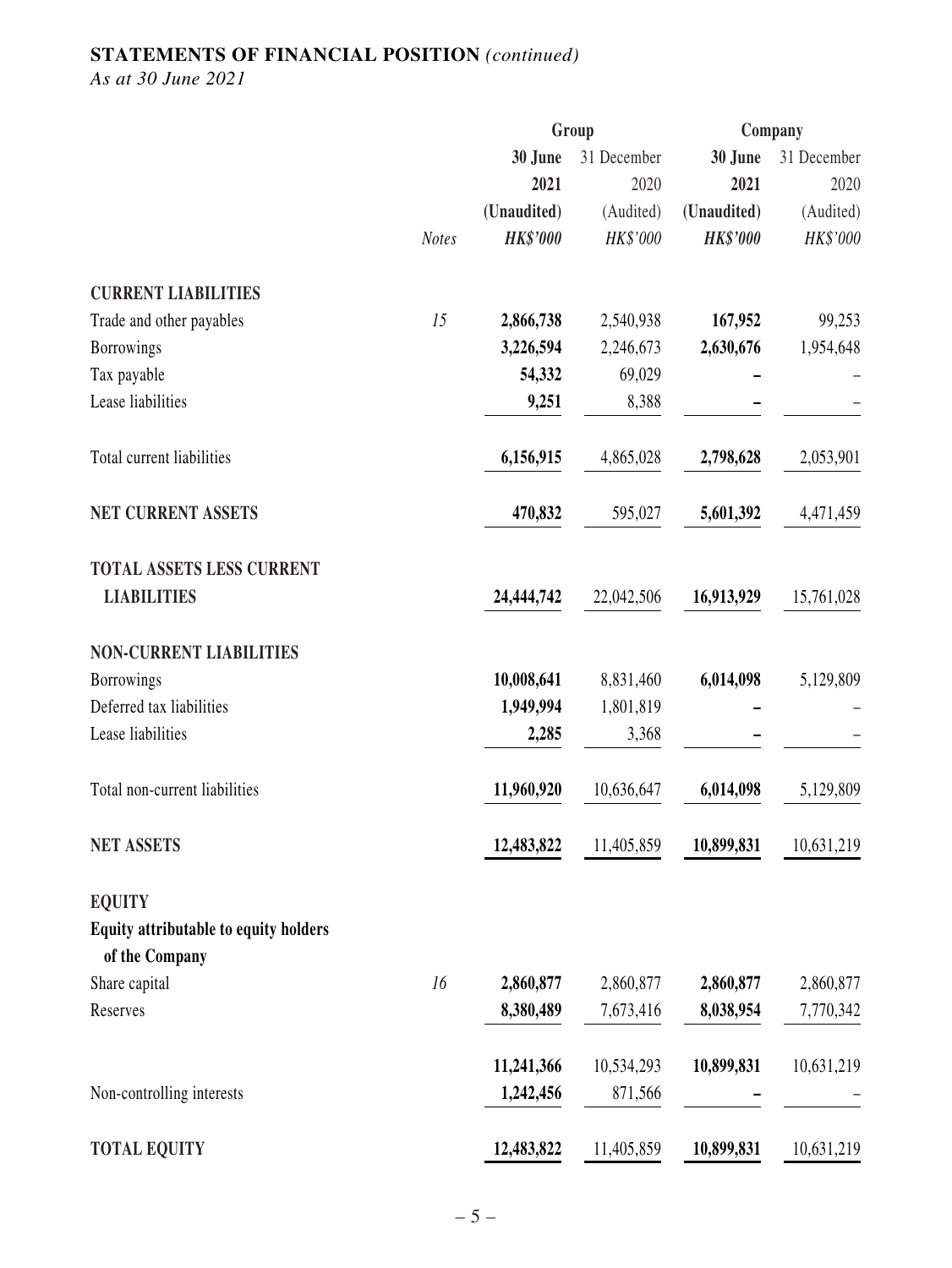## **STATEMENTS OF FINANCIAL POSITION** *(continued)*

*As at 30 June 2021*

|                                                         |              |                 | Group       |                 | Company     |
|---------------------------------------------------------|--------------|-----------------|-------------|-----------------|-------------|
|                                                         |              | 30 June         | 31 December | 30 June         | 31 December |
|                                                         |              | 2021            | 2020        | 2021            | 2020        |
|                                                         |              | (Unaudited)     | (Audited)   | (Unaudited)     | (Audited)   |
|                                                         | <b>Notes</b> | <b>HK\$'000</b> | HK\$'000    | <b>HK\$'000</b> | HK\$'000    |
| <b>CURRENT LIABILITIES</b>                              |              |                 |             |                 |             |
| Trade and other payables                                | 15           | 2,866,738       | 2,540,938   | 167,952         | 99,253      |
| <b>Borrowings</b>                                       |              | 3,226,594       | 2,246,673   | 2,630,676       | 1,954,648   |
| Tax payable                                             |              | 54,332          | 69,029      |                 |             |
| Lease liabilities                                       |              | 9,251           | 8,388       |                 |             |
| Total current liabilities                               |              | 6,156,915       | 4,865,028   | 2,798,628       | 2,053,901   |
| <b>NET CURRENT ASSETS</b>                               |              | 470,832         | 595,027     | 5,601,392       | 4,471,459   |
| <b>TOTAL ASSETS LESS CURRENT</b>                        |              |                 |             |                 |             |
| <b>LIABILITIES</b>                                      |              | 24,444,742      | 22,042,506  | 16,913,929      | 15,761,028  |
| <b>NON-CURRENT LIABILITIES</b>                          |              |                 |             |                 |             |
| <b>Borrowings</b>                                       |              | 10,008,641      | 8,831,460   | 6,014,098       | 5,129,809   |
| Deferred tax liabilities                                |              | 1,949,994       | 1,801,819   |                 |             |
| Lease liabilities                                       |              | 2,285           | 3,368       |                 |             |
| Total non-current liabilities                           |              | 11,960,920      | 10,636,647  | 6,014,098       | 5,129,809   |
| <b>NET ASSETS</b>                                       |              | 12,483,822      | 11,405,859  | 10,899,831      | 10,631,219  |
| <b>EQUITY</b>                                           |              |                 |             |                 |             |
| Equity attributable to equity holders<br>of the Company |              |                 |             |                 |             |
| Share capital                                           | 16           | 2,860,877       | 2,860,877   | 2,860,877       | 2,860,877   |
| Reserves                                                |              | 8,380,489       | 7,673,416   | 8,038,954       | 7,770,342   |
|                                                         |              | 11,241,366      | 10,534,293  | 10,899,831      | 10,631,219  |
| Non-controlling interests                               |              | 1,242,456       | 871,566     |                 |             |
| <b>TOTAL EQUITY</b>                                     |              | 12,483,822      | 11,405,859  | 10,899,831      | 10,631,219  |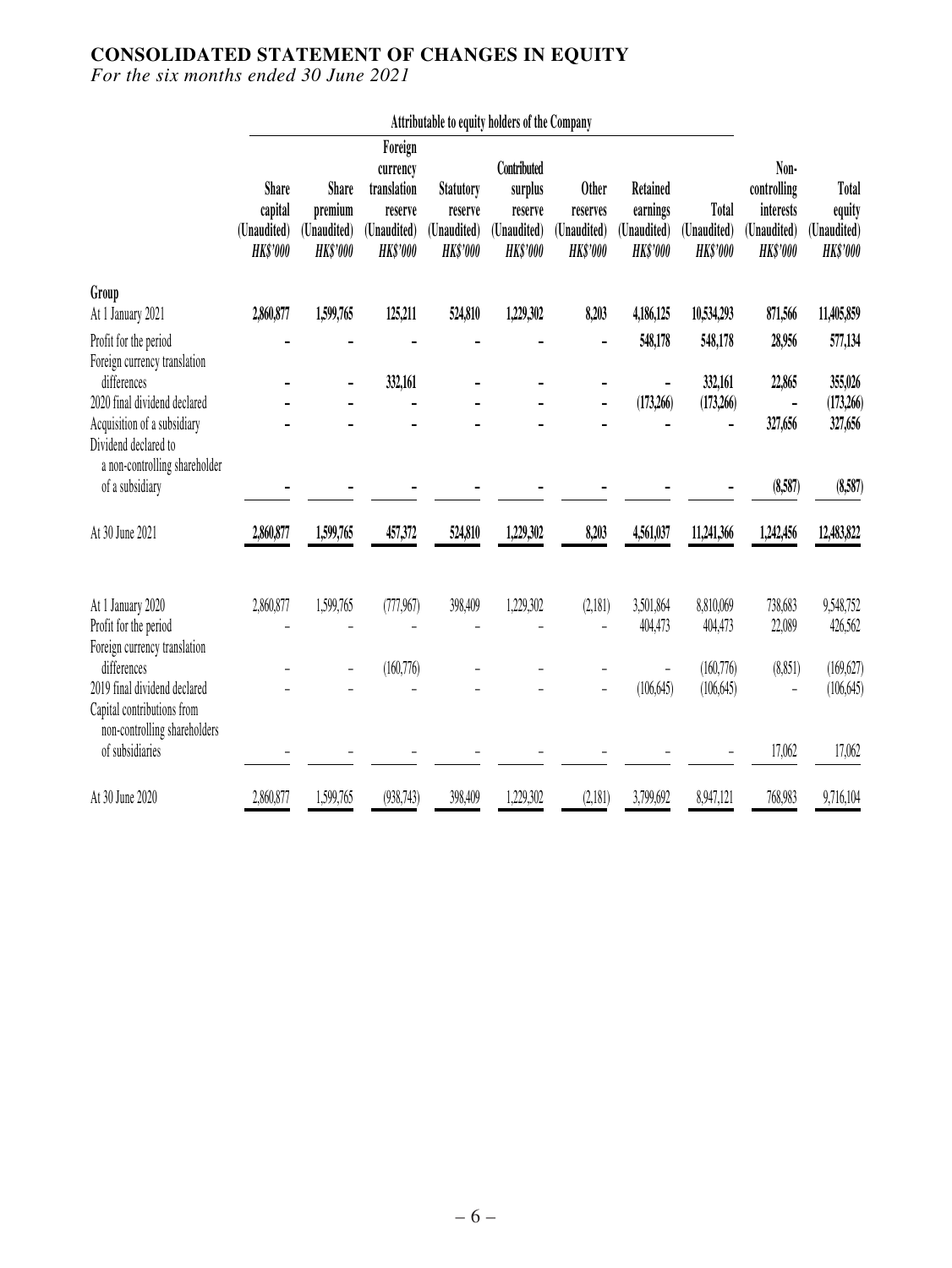### **CONSOLIDATED STATEMENT OF CHANGES IN EQUITY**

|                                                            |                                                           |                                                           |                                                                                 |                                                               | Attributable to equity holders of the Company                       |                                                            |                                                        |                                         |                                                                    |                                                          |
|------------------------------------------------------------|-----------------------------------------------------------|-----------------------------------------------------------|---------------------------------------------------------------------------------|---------------------------------------------------------------|---------------------------------------------------------------------|------------------------------------------------------------|--------------------------------------------------------|-----------------------------------------|--------------------------------------------------------------------|----------------------------------------------------------|
|                                                            | <b>Share</b><br>capital<br>(Unaudited)<br><b>HK\$'000</b> | <b>Share</b><br>premium<br>(Unaudited)<br><b>HK\$'000</b> | Foreign<br>currency<br>translation<br>reserve<br>(Unaudited)<br><b>HK\$'000</b> | <b>Statutory</b><br>reserve<br>(Unaudited)<br><b>HK\$'000</b> | Contributed<br>surplus<br>reserve<br>(Unaudited)<br><b>HK\$'000</b> | <b>Other</b><br>reserves<br>(Unaudited)<br><b>HK\$'000</b> | Retained<br>earnings<br>(Unaudited)<br><b>HK\$'000</b> | Total<br>(Unaudited)<br><b>HK\$'000</b> | Non-<br>controlling<br>interests<br>(Unaudited)<br><b>HK\$'000</b> | <b>Total</b><br>equity<br>(Unaudited)<br><b>HK\$'000</b> |
| Group                                                      |                                                           |                                                           |                                                                                 |                                                               |                                                                     |                                                            |                                                        |                                         |                                                                    |                                                          |
| At 1 January 2021                                          | 2,860,877                                                 | 1,599,765                                                 | 125,211                                                                         | 524,810                                                       | 1,229,302                                                           | 8,203                                                      | 4,186,125                                              | 10,534,293                              | 871,566                                                            | 11,405,859                                               |
| Profit for the period                                      |                                                           |                                                           |                                                                                 |                                                               |                                                                     |                                                            | 548,178                                                | 548,178                                 | 28,956                                                             | 577,134                                                  |
| Foreign currency translation<br>differences                |                                                           |                                                           | 332,161                                                                         |                                                               |                                                                     |                                                            |                                                        | 332,161                                 | 22,865                                                             | 355,026                                                  |
| 2020 final dividend declared                               |                                                           |                                                           |                                                                                 |                                                               |                                                                     |                                                            | (173,266)                                              | (173,266)                               |                                                                    | (173,266)                                                |
| Acquisition of a subsidiary<br>Dividend declared to        |                                                           |                                                           |                                                                                 |                                                               |                                                                     |                                                            |                                                        |                                         | 327,656                                                            | 327,656                                                  |
| a non-controlling shareholder<br>of a subsidiary           |                                                           |                                                           |                                                                                 |                                                               |                                                                     |                                                            |                                                        |                                         | (8,587)                                                            | (8,587)                                                  |
| At 30 June 2021                                            | 2,860,877                                                 | 1,599,765                                                 | 457,372                                                                         | 524,810                                                       | 1,229,302                                                           | 8,203                                                      | 4,561,037                                              | 11,241,366                              | 1,242,456                                                          | 12,483,822                                               |
| At 1 January 2020                                          | 2,860,877                                                 | 1,599,765                                                 | (777,967)                                                                       | 398,409                                                       | 1,229,302                                                           | (2,181)                                                    | 3,501,864                                              | 8,810,069                               | 738,683                                                            | 9,548,752                                                |
| Profit for the period                                      |                                                           |                                                           |                                                                                 |                                                               |                                                                     |                                                            | 404,473                                                | 404,473                                 | 22,089                                                             | 426,562                                                  |
| Foreign currency translation<br>differences                |                                                           |                                                           | (160, 776)                                                                      |                                                               |                                                                     |                                                            |                                                        | (160, 776)                              | (8,851)                                                            | (169, 627)                                               |
| 2019 final dividend declared<br>Capital contributions from |                                                           |                                                           |                                                                                 |                                                               |                                                                     |                                                            | (106, 645)                                             | (106, 645)                              |                                                                    | (106, 645)                                               |
| non-controlling shareholders<br>of subsidiaries            |                                                           |                                                           |                                                                                 |                                                               |                                                                     |                                                            |                                                        |                                         | 17,062                                                             | 17,062                                                   |
| At 30 June 2020                                            | 2,860,877                                                 | 1,599,765                                                 | (938, 743)                                                                      | 398,409                                                       | 1,229,302                                                           | (2,181)                                                    | 3,799,692                                              | 8,947,121                               | 768,983                                                            | 9,716,104                                                |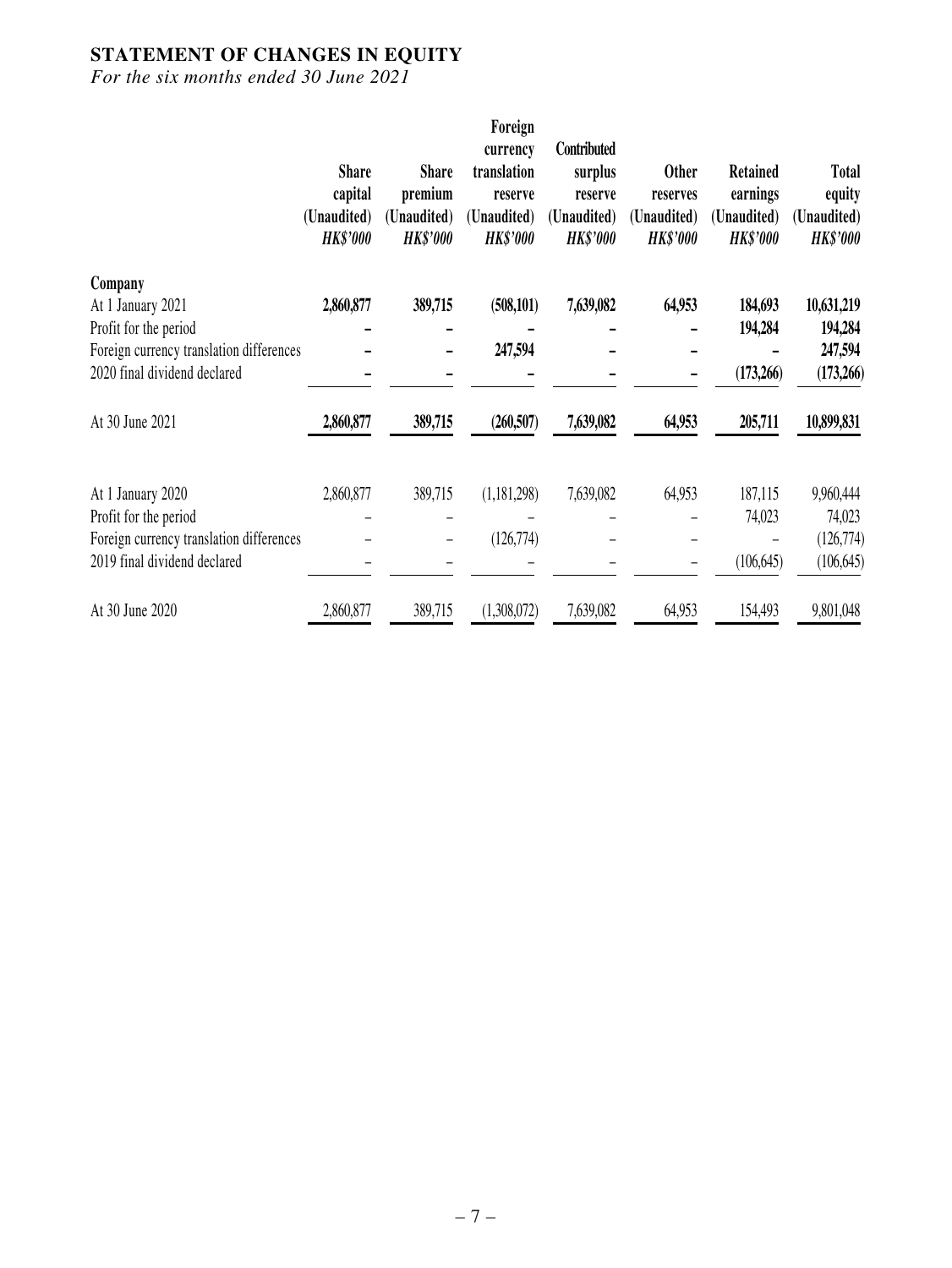## **STATEMENT OF CHANGES IN EQUITY**

|                                          | <b>Share</b><br>capital<br>(Unaudited)<br><b>HK\$'000</b> | <b>Share</b><br>premium<br>(Unaudited)<br><b>HK\$'000</b> | Foreign<br>currency<br>translation<br>reserve<br>(Unaudited)<br><b>HK\$'000</b> | Contributed<br>surplus<br>reserve<br>(Unaudited)<br><b>HK\$'000</b> | <b>Other</b><br>reserves<br>(Unaudited)<br><b>HK\$'000</b> | <b>Retained</b><br>earnings<br>(Unaudited)<br><b>HK\$'000</b> | <b>Total</b><br>equity<br>(Unaudited)<br><b>HK\$'000</b> |
|------------------------------------------|-----------------------------------------------------------|-----------------------------------------------------------|---------------------------------------------------------------------------------|---------------------------------------------------------------------|------------------------------------------------------------|---------------------------------------------------------------|----------------------------------------------------------|
| Company                                  |                                                           |                                                           |                                                                                 |                                                                     |                                                            |                                                               |                                                          |
| At 1 January 2021                        | 2,860,877                                                 | 389,715                                                   | (508, 101)                                                                      | 7,639,082                                                           | 64,953                                                     | 184,693                                                       | 10,631,219                                               |
| Profit for the period                    |                                                           |                                                           |                                                                                 |                                                                     |                                                            | 194,284                                                       | 194,284                                                  |
| Foreign currency translation differences |                                                           |                                                           | 247,594                                                                         |                                                                     |                                                            |                                                               | 247,594                                                  |
| 2020 final dividend declared             |                                                           |                                                           |                                                                                 |                                                                     |                                                            | (173,266)                                                     | (173,266)                                                |
| At 30 June 2021                          | 2,860,877                                                 | 389,715                                                   | (260, 507)                                                                      | 7,639,082                                                           | 64,953                                                     | 205,711                                                       | 10,899,831                                               |
| At 1 January 2020                        | 2,860,877                                                 | 389,715                                                   | (1,181,298)                                                                     | 7,639,082                                                           | 64,953                                                     | 187,115                                                       | 9,960,444                                                |
| Profit for the period                    |                                                           |                                                           |                                                                                 |                                                                     |                                                            | 74,023                                                        | 74,023                                                   |
| Foreign currency translation differences |                                                           |                                                           | (126,774)                                                                       |                                                                     |                                                            |                                                               | (126,774)                                                |
| 2019 final dividend declared             |                                                           |                                                           |                                                                                 |                                                                     |                                                            | (106, 645)                                                    | (106, 645)                                               |
| At 30 June 2020                          | 2,860,877                                                 | 389,715                                                   | (1,308,072)                                                                     | 7,639,082                                                           | 64,953                                                     | 154,493                                                       | 9,801,048                                                |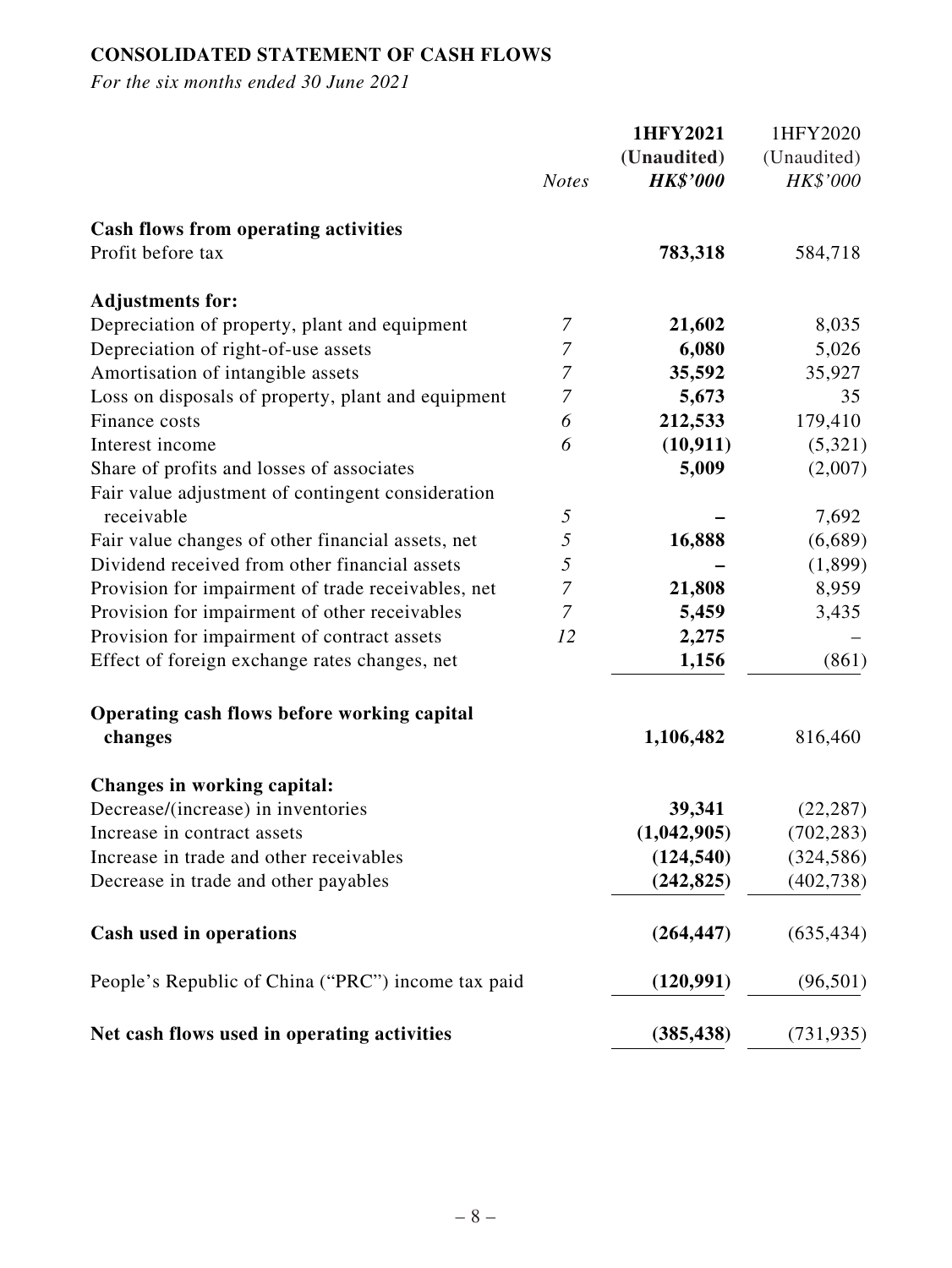## **CONSOLIDATED STATEMENT OF CASH FLOWS**

|                                                    | <b>Notes</b>     | 1HFY2021<br>(Unaudited)<br><b>HK\$'000</b> | 1HFY2020<br>(Unaudited)<br>HK\$'000 |
|----------------------------------------------------|------------------|--------------------------------------------|-------------------------------------|
| <b>Cash flows from operating activities</b>        |                  |                                            |                                     |
| Profit before tax                                  |                  | 783,318                                    | 584,718                             |
| <b>Adjustments for:</b>                            |                  |                                            |                                     |
| Depreciation of property, plant and equipment      | 7                | 21,602                                     | 8,035                               |
| Depreciation of right-of-use assets                | $\boldsymbol{7}$ | 6,080                                      | 5,026                               |
| Amortisation of intangible assets                  | $\overline{7}$   | 35,592                                     | 35,927                              |
| Loss on disposals of property, plant and equipment | $\boldsymbol{7}$ | 5,673                                      | 35                                  |
| Finance costs                                      | 6                | 212,533                                    | 179,410                             |
| Interest income                                    | 6                | (10, 911)                                  | (5,321)                             |
| Share of profits and losses of associates          |                  | 5,009                                      | (2,007)                             |
| Fair value adjustment of contingent consideration  |                  |                                            |                                     |
| receivable                                         | $\mathfrak{H}$   |                                            | 7,692                               |
| Fair value changes of other financial assets, net  | 5                | 16,888                                     | (6,689)                             |
| Dividend received from other financial assets      | 5                |                                            | (1,899)                             |
| Provision for impairment of trade receivables, net | $\boldsymbol{7}$ | 21,808                                     | 8,959                               |
| Provision for impairment of other receivables      | $\boldsymbol{7}$ | 5,459                                      | 3,435                               |
| Provision for impairment of contract assets        | 12               | 2,275                                      |                                     |
| Effect of foreign exchange rates changes, net      |                  | 1,156                                      | (861)                               |
| Operating cash flows before working capital        |                  |                                            |                                     |
| changes                                            |                  | 1,106,482                                  | 816,460                             |
| Changes in working capital:                        |                  |                                            |                                     |
| Decrease/(increase) in inventories                 |                  | 39,341                                     | (22, 287)                           |
| Increase in contract assets                        |                  | (1,042,905)                                | (702, 283)                          |
| Increase in trade and other receivables            |                  | (124, 540)                                 | (324, 586)                          |
| Decrease in trade and other payables               |                  | (242, 825)                                 | (402, 738)                          |
| Cash used in operations                            |                  | (264, 447)                                 | (635, 434)                          |
| People's Republic of China ("PRC") income tax paid |                  | (120,991)                                  | (96, 501)                           |
| Net cash flows used in operating activities        |                  | (385, 438)                                 | (731, 935)                          |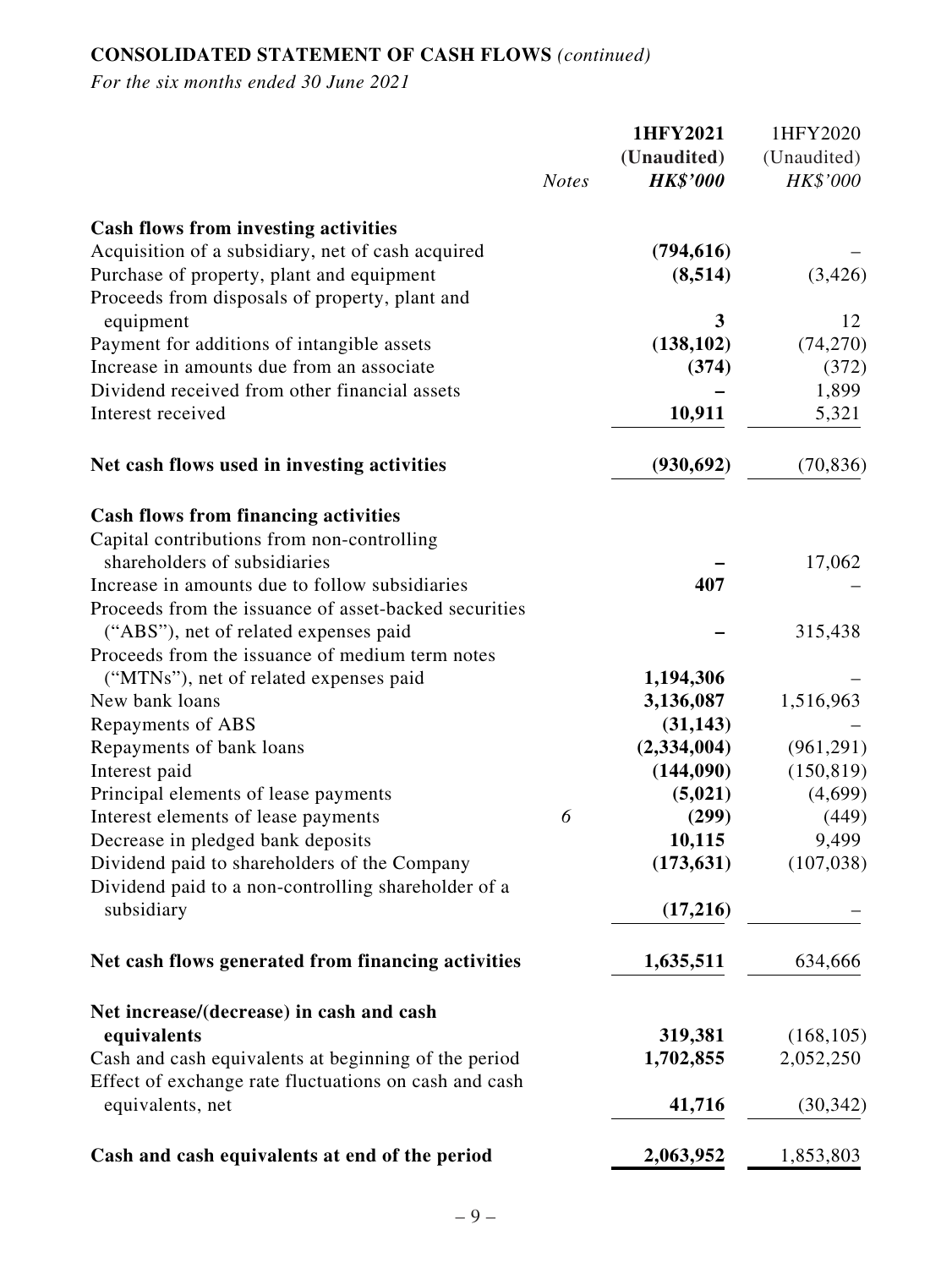## **CONSOLIDATED STATEMENT OF CASH FLOWS** *(continued)*

|                                                                                                                                                                                                 | <b>Notes</b> | 1HFY2021<br>(Unaudited)<br><b>HK\$'000</b> | 1HFY2020<br>(Unaudited)<br>HK\$'000 |
|-------------------------------------------------------------------------------------------------------------------------------------------------------------------------------------------------|--------------|--------------------------------------------|-------------------------------------|
| <b>Cash flows from investing activities</b><br>Acquisition of a subsidiary, net of cash acquired<br>Purchase of property, plant and equipment<br>Proceeds from disposals of property, plant and |              | (794, 616)<br>(8,514)                      | (3, 426)                            |
| equipment                                                                                                                                                                                       |              | 3                                          | 12                                  |
| Payment for additions of intangible assets                                                                                                                                                      |              | (138, 102)                                 | (74, 270)                           |
| Increase in amounts due from an associate                                                                                                                                                       |              | (374)                                      | (372)                               |
| Dividend received from other financial assets                                                                                                                                                   |              |                                            | 1,899                               |
| Interest received                                                                                                                                                                               |              | 10,911                                     | 5,321                               |
| Net cash flows used in investing activities                                                                                                                                                     |              | (930, 692)                                 | (70, 836)                           |
| <b>Cash flows from financing activities</b>                                                                                                                                                     |              |                                            |                                     |
| Capital contributions from non-controlling<br>shareholders of subsidiaries                                                                                                                      |              |                                            | 17,062                              |
| Increase in amounts due to follow subsidiaries                                                                                                                                                  |              | 407                                        |                                     |
| Proceeds from the issuance of asset-backed securities<br>("ABS"), net of related expenses paid                                                                                                  |              |                                            | 315,438                             |
| Proceeds from the issuance of medium term notes                                                                                                                                                 |              |                                            |                                     |
| ("MTNs"), net of related expenses paid<br>New bank loans                                                                                                                                        |              | 1,194,306<br>3,136,087                     | 1,516,963                           |
| Repayments of ABS                                                                                                                                                                               |              | (31, 143)                                  |                                     |
| Repayments of bank loans                                                                                                                                                                        |              | (2, 334, 004)                              | (961, 291)                          |
| Interest paid                                                                                                                                                                                   |              | (144,090)                                  | (150, 819)                          |
| Principal elements of lease payments                                                                                                                                                            |              | (5,021)                                    | (4,699)                             |
| Interest elements of lease payments                                                                                                                                                             | 6            | (299)                                      | (449)                               |
| Decrease in pledged bank deposits                                                                                                                                                               |              | 10,115                                     | 9,499                               |
| Dividend paid to shareholders of the Company                                                                                                                                                    |              | (173, 631)                                 | (107, 038)                          |
| Dividend paid to a non-controlling shareholder of a<br>subsidiary                                                                                                                               |              | (17,216)                                   |                                     |
|                                                                                                                                                                                                 |              |                                            |                                     |
| Net cash flows generated from financing activities                                                                                                                                              |              | 1,635,511                                  | 634,666                             |
| Net increase/(decrease) in cash and cash                                                                                                                                                        |              |                                            |                                     |
| equivalents                                                                                                                                                                                     |              | 319,381                                    | (168, 105)                          |
| Cash and cash equivalents at beginning of the period<br>Effect of exchange rate fluctuations on cash and cash                                                                                   |              | 1,702,855                                  | 2,052,250                           |
| equivalents, net                                                                                                                                                                                |              | 41,716                                     | (30, 342)                           |
| Cash and cash equivalents at end of the period                                                                                                                                                  |              | 2,063,952                                  | 1,853,803                           |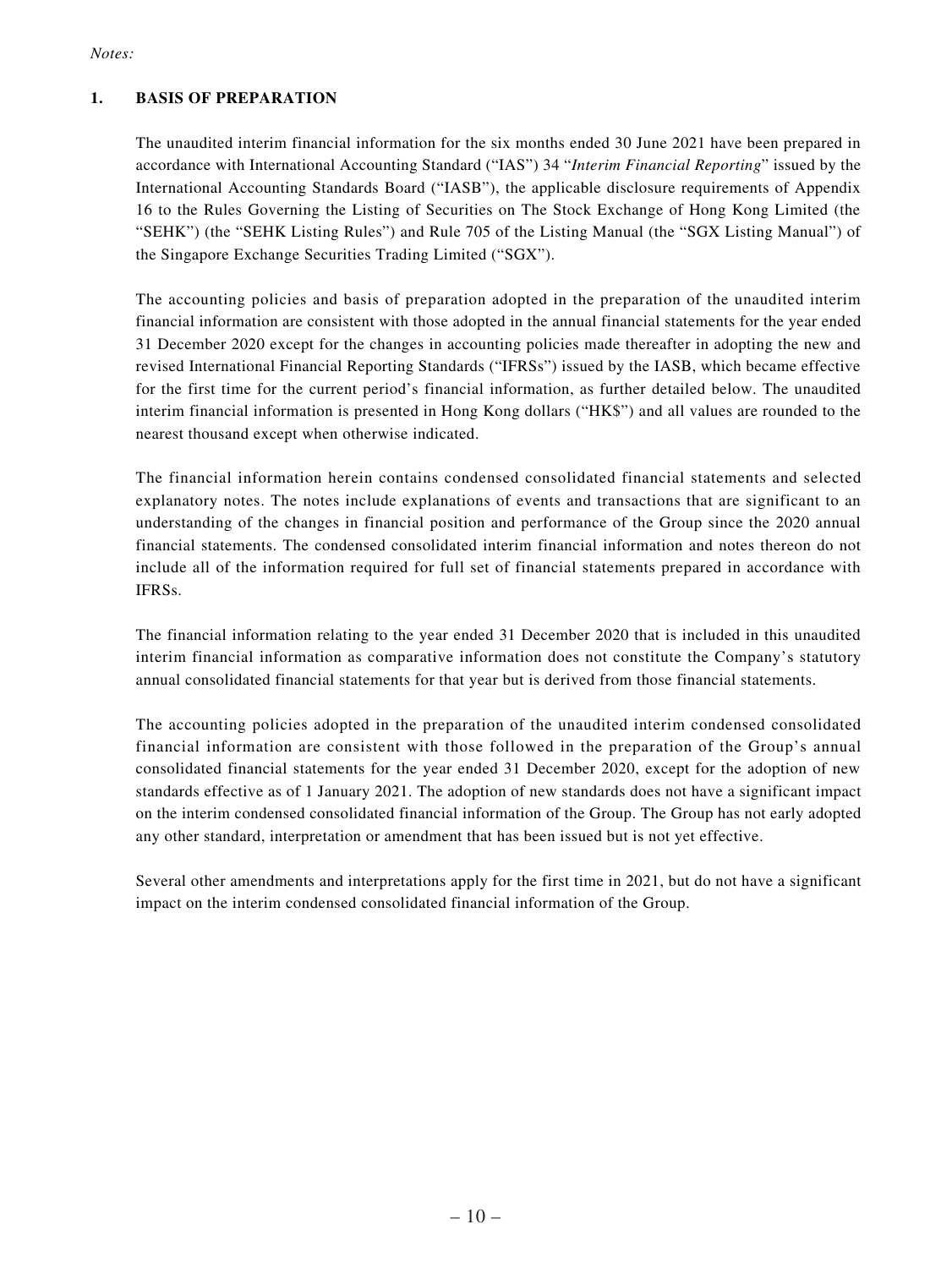### *Notes:*

### **1. BASIS OF PREPARATION**

The unaudited interim financial information for the six months ended 30 June 2021 have been prepared in accordance with International Accounting Standard ("IAS") 34 "*Interim Financial Reporting*" issued by the International Accounting Standards Board ("IASB"), the applicable disclosure requirements of Appendix 16 to the Rules Governing the Listing of Securities on The Stock Exchange of Hong Kong Limited (the "SEHK") (the "SEHK Listing Rules") and Rule 705 of the Listing Manual (the "SGX Listing Manual") of the Singapore Exchange Securities Trading Limited ("SGX").

The accounting policies and basis of preparation adopted in the preparation of the unaudited interim financial information are consistent with those adopted in the annual financial statements for the year ended 31 December 2020 except for the changes in accounting policies made thereafter in adopting the new and revised International Financial Reporting Standards ("IFRSs") issued by the IASB, which became effective for the first time for the current period's financial information, as further detailed below. The unaudited interim financial information is presented in Hong Kong dollars ("HK\$") and all values are rounded to the nearest thousand except when otherwise indicated.

The financial information herein contains condensed consolidated financial statements and selected explanatory notes. The notes include explanations of events and transactions that are significant to an understanding of the changes in financial position and performance of the Group since the 2020 annual financial statements. The condensed consolidated interim financial information and notes thereon do not include all of the information required for full set of financial statements prepared in accordance with IFRSs.

The financial information relating to the year ended 31 December 2020 that is included in this unaudited interim financial information as comparative information does not constitute the Company's statutory annual consolidated financial statements for that year but is derived from those financial statements.

The accounting policies adopted in the preparation of the unaudited interim condensed consolidated financial information are consistent with those followed in the preparation of the Group's annual consolidated financial statements for the year ended 31 December 2020, except for the adoption of new standards effective as of 1 January 2021. The adoption of new standards does not have a significant impact on the interim condensed consolidated financial information of the Group. The Group has not early adopted any other standard, interpretation or amendment that has been issued but is not yet effective.

Several other amendments and interpretations apply for the first time in 2021, but do not have a significant impact on the interim condensed consolidated financial information of the Group.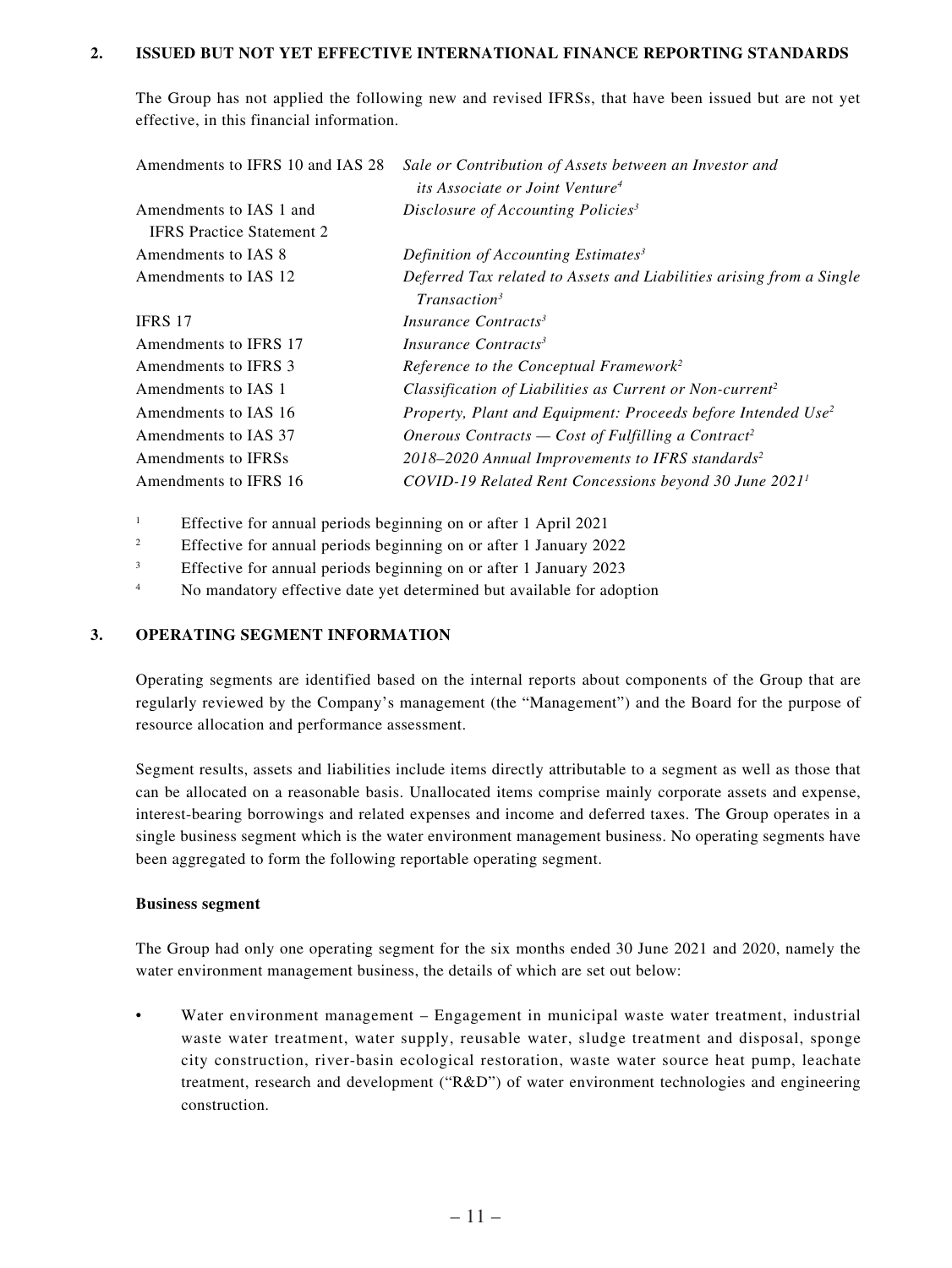### **2. ISSUED BUT NOT YET EFFECTIVE INTERNATIONAL FINANCE REPORTING STANDARDS**

The Group has not applied the following new and revised IFRSs, that have been issued but are not yet effective, in this financial information.

| Amendments to IFRS 10 and IAS 28 | Sale or Contribution of Assets between an Investor and                   |
|----------------------------------|--------------------------------------------------------------------------|
|                                  | <i>its Associate or Joint Venture<sup>4</sup></i>                        |
| Amendments to IAS 1 and          | Disclosure of Accounting Policies <sup>3</sup>                           |
| <b>IFRS</b> Practice Statement 2 |                                                                          |
| Amendments to IAS 8              | Definition of Accounting Estimates <sup>3</sup>                          |
| Amendments to IAS 12             | Deferred Tax related to Assets and Liabilities arising from a Single     |
|                                  | Transaction <sup>3</sup>                                                 |
| IFRS 17                          | Insurance Contracts <sup>3</sup>                                         |
| Amendments to IFRS 17            | Insurance Contracts <sup>3</sup>                                         |
| Amendments to IFRS 3             | Reference to the Conceptual Framework <sup>2</sup>                       |
| Amendments to IAS 1              | Classification of Liabilities as Current or Non-current <sup>2</sup>     |
| Amendments to IAS 16             | Property, Plant and Equipment: Proceeds before Intended Use <sup>2</sup> |
| Amendments to IAS 37             | Onerous Contracts — Cost of Fulfilling a Contract <sup>2</sup>           |
| Amendments to IFRSs              | 2018-2020 Annual Improvements to IFRS standards <sup>2</sup>             |
| Amendments to IFRS 16            | COVID-19 Related Rent Concessions beyond 30 June 2021 <sup>1</sup>       |

<sup>1</sup> Effective for annual periods beginning on or after 1 April 2021

- <sup>2</sup> Effective for annual periods beginning on or after 1 January 2022
- <sup>3</sup> Effective for annual periods beginning on or after 1 January 2023
- <sup>4</sup> No mandatory effective date yet determined but available for adoption

#### **3. OPERATING SEGMENT INFORMATION**

Operating segments are identified based on the internal reports about components of the Group that are regularly reviewed by the Company's management (the "Management") and the Board for the purpose of resource allocation and performance assessment.

Segment results, assets and liabilities include items directly attributable to a segment as well as those that can be allocated on a reasonable basis. Unallocated items comprise mainly corporate assets and expense, interest-bearing borrowings and related expenses and income and deferred taxes. The Group operates in a single business segment which is the water environment management business. No operating segments have been aggregated to form the following reportable operating segment.

#### **Business segment**

The Group had only one operating segment for the six months ended 30 June 2021 and 2020, namely the water environment management business, the details of which are set out below:

• Water environment management – Engagement in municipal waste water treatment, industrial waste water treatment, water supply, reusable water, sludge treatment and disposal, sponge city construction, river-basin ecological restoration, waste water source heat pump, leachate treatment, research and development ("R&D") of water environment technologies and engineering construction.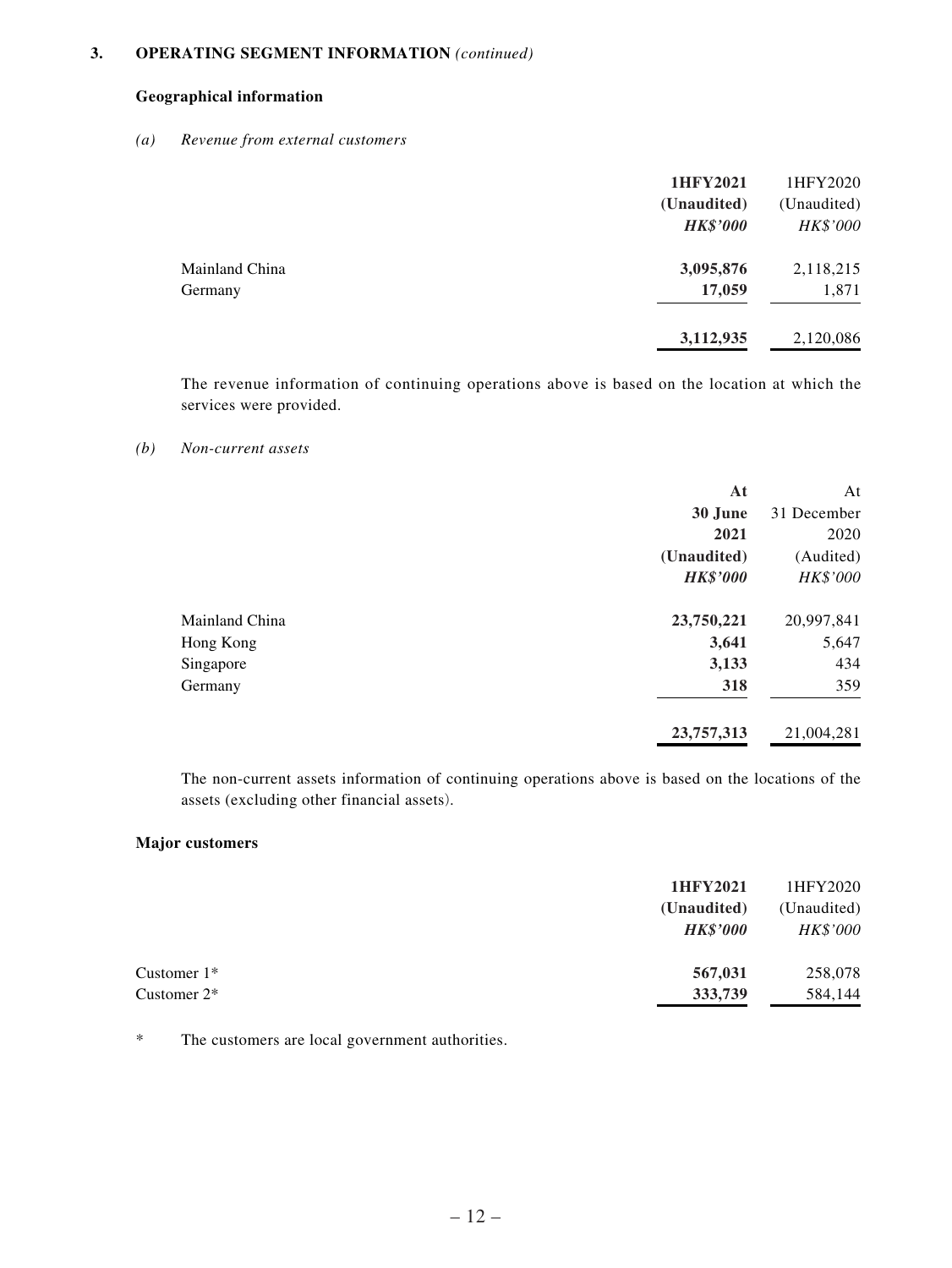### **3. OPERATING SEGMENT INFORMATION** *(continued)*

### **Geographical information**

#### *(a) Revenue from external customers*

|                | 1HFY2021<br>(Unaudited)<br><b>HK\$'000</b> | 1HFY2020<br>(Unaudited)<br>HK\$'000 |
|----------------|--------------------------------------------|-------------------------------------|
| Mainland China | 3,095,876                                  | 2,118,215                           |
| Germany        | 17,059                                     | 1,871                               |
|                | 3,112,935                                  | 2,120,086                           |

The revenue information of continuing operations above is based on the location at which the services were provided.

#### *(b) Non-current assets*

|                | At              | At          |
|----------------|-----------------|-------------|
|                | 30 June         | 31 December |
|                | 2021            | 2020        |
|                | (Unaudited)     | (Audited)   |
|                | <b>HK\$'000</b> | HK\$'000    |
| Mainland China | 23,750,221      | 20,997,841  |
| Hong Kong      | 3,641           | 5,647       |
| Singapore      | 3,133           | 434         |
| Germany        | 318             | 359         |
|                | 23,757,313      | 21,004,281  |

The non-current assets information of continuing operations above is based on the locations of the assets (excluding other financial assets).

#### **Major customers**

|                | 1HFY2021        | 1HFY2020    |
|----------------|-----------------|-------------|
|                | (Unaudited)     | (Unaudited) |
|                | <b>HK\$'000</b> | HK\$'000    |
| Customer $1*$  | 567,031         | 258,078     |
| Customer $2^*$ | 333,739         | 584,144     |

\* The customers are local government authorities.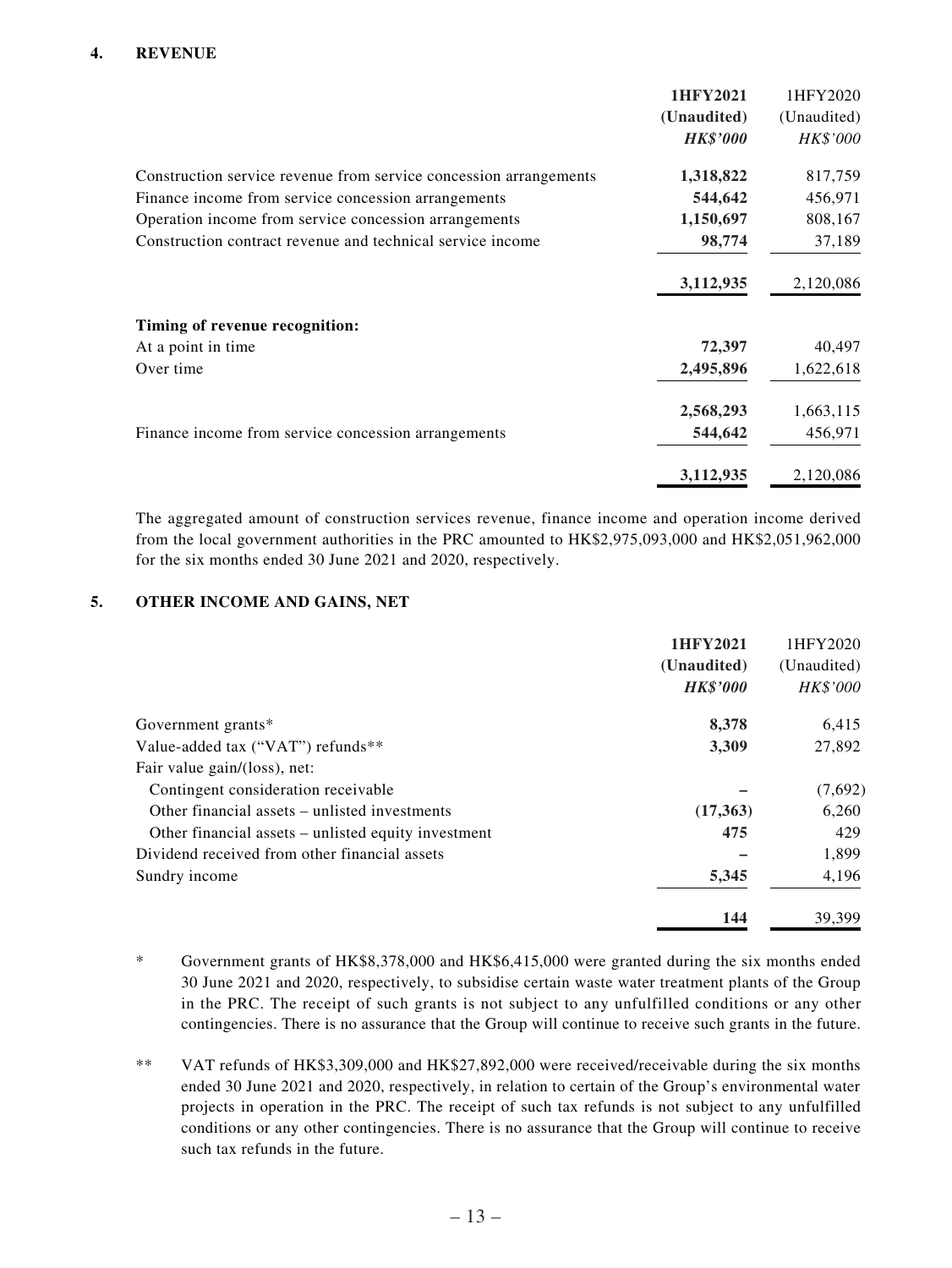### **4. REVENUE**

|                                                                   | 1HFY2021        | 1HFY2020        |
|-------------------------------------------------------------------|-----------------|-----------------|
|                                                                   | (Unaudited)     | (Unaudited)     |
|                                                                   | <b>HK\$'000</b> | <b>HK\$'000</b> |
| Construction service revenue from service concession arrangements | 1,318,822       | 817,759         |
| Finance income from service concession arrangements               | 544,642         | 456,971         |
| Operation income from service concession arrangements             | 1,150,697       | 808,167         |
| Construction contract revenue and technical service income        | 98,774          | 37,189          |
|                                                                   | 3,112,935       | 2,120,086       |
| Timing of revenue recognition:                                    |                 |                 |
| At a point in time                                                | 72,397          | 40,497          |
| Over time                                                         | 2,495,896       | 1,622,618       |
|                                                                   | 2,568,293       | 1,663,115       |
| Finance income from service concession arrangements               | 544,642         | 456,971         |
|                                                                   | 3,112,935       | 2,120,086       |

The aggregated amount of construction services revenue, finance income and operation income derived from the local government authorities in the PRC amounted to HK\$2,975,093,000 and HK\$2,051,962,000 for the six months ended 30 June 2021 and 2020, respectively.

### **5. OTHER INCOME AND GAINS, NET**

|                                                     | 1HFY2021        | 1HFY2020    |
|-----------------------------------------------------|-----------------|-------------|
|                                                     | (Unaudited)     | (Unaudited) |
|                                                     | <b>HK\$'000</b> | HK\$'000    |
| Government grants*                                  | 8,378           | 6,415       |
| Value-added tax ("VAT") refunds**                   | 3,309           | 27,892      |
| Fair value gain/(loss), net:                        |                 |             |
| Contingent consideration receivable                 |                 | (7,692)     |
| Other financial assets – unlisted investments       | (17,363)        | 6,260       |
| Other financial assets – unlisted equity investment | 475             | 429         |
| Dividend received from other financial assets       |                 | 1,899       |
| Sundry income                                       | 5,345           | 4,196       |
|                                                     | 144             | 39.399      |

- \* Government grants of HK\$8,378,000 and HK\$6,415,000 were granted during the six months ended 30 June 2021 and 2020, respectively, to subsidise certain waste water treatment plants of the Group in the PRC. The receipt of such grants is not subject to any unfulfilled conditions or any other contingencies. There is no assurance that the Group will continue to receive such grants in the future.
- \*\* VAT refunds of HK\$3,309,000 and HK\$27,892,000 were received/receivable during the six months ended 30 June 2021 and 2020, respectively, in relation to certain of the Group's environmental water projects in operation in the PRC. The receipt of such tax refunds is not subject to any unfulfilled conditions or any other contingencies. There is no assurance that the Group will continue to receive such tax refunds in the future.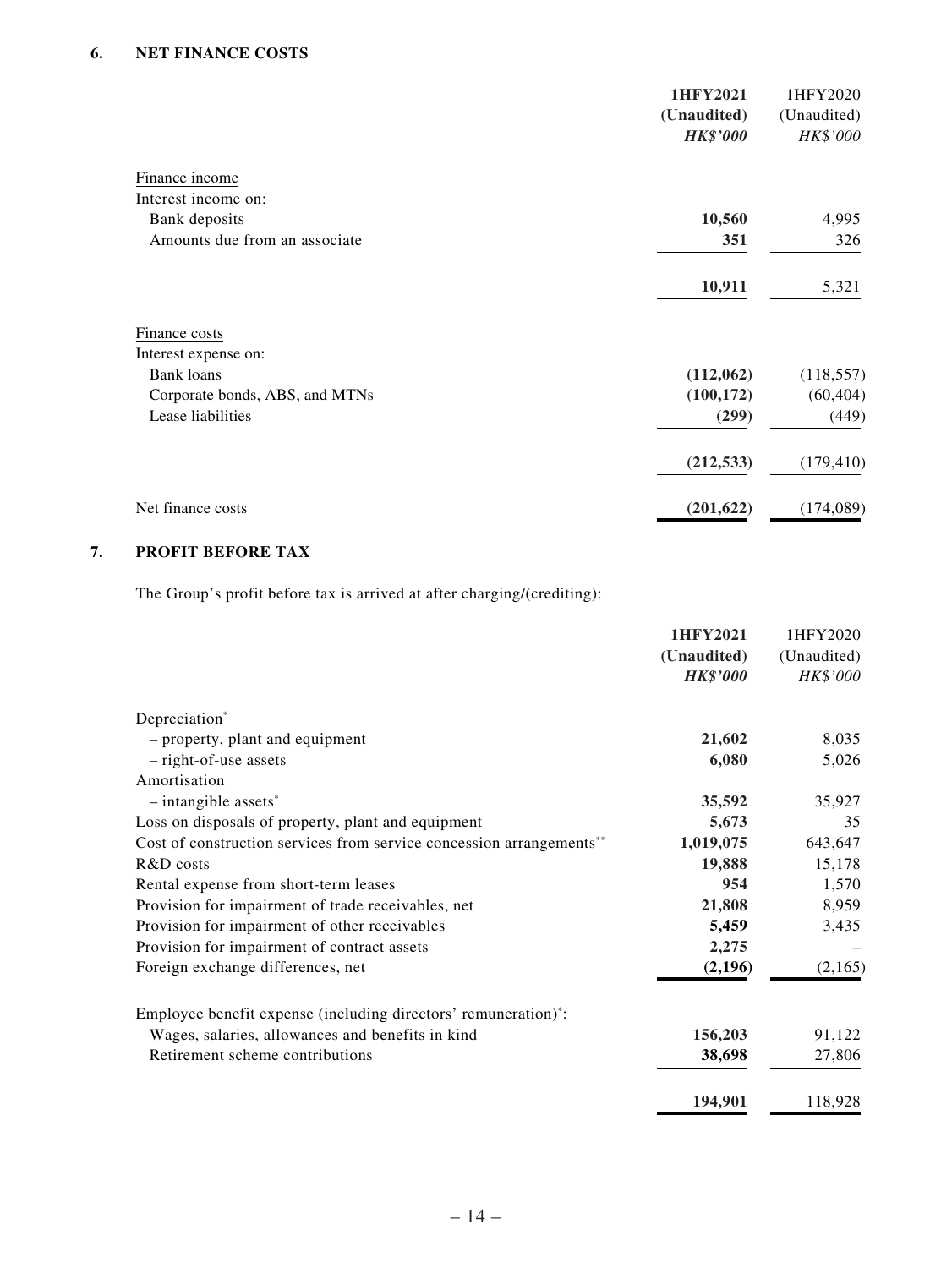|                                | 1HFY2021<br>(Unaudited)<br><b>HK\$'000</b> | 1HFY2020<br>(Unaudited)<br>HK\$'000 |
|--------------------------------|--------------------------------------------|-------------------------------------|
| Finance income                 |                                            |                                     |
| Interest income on:            |                                            |                                     |
| Bank deposits                  | 10,560                                     | 4,995                               |
| Amounts due from an associate  | 351                                        | 326                                 |
|                                | 10,911                                     | 5,321                               |
| Finance costs                  |                                            |                                     |
| Interest expense on:           |                                            |                                     |
| <b>Bank loans</b>              | (112,062)                                  | (118, 557)                          |
| Corporate bonds, ABS, and MTNs | (100, 172)                                 | (60, 404)                           |
| Lease liabilities              | (299)                                      | (449)                               |
|                                | (212, 533)                                 | (179, 410)                          |
| Net finance costs              | (201, 622)                                 | (174, 089)                          |

## **7. PROFIT BEFORE TAX**

The Group's profit before tax is arrived at after charging/(crediting):

|                                                                      | 1HFY2021        | 1HFY2020    |
|----------------------------------------------------------------------|-----------------|-------------|
|                                                                      | (Unaudited)     | (Unaudited) |
|                                                                      | <b>HK\$'000</b> | HK\$'000    |
| Depreciation*                                                        |                 |             |
| - property, plant and equipment                                      | 21,602          | 8,035       |
| $-$ right-of-use assets                                              | 6,080           | 5,026       |
| Amortisation                                                         |                 |             |
| $-$ intangible assets <sup>*</sup>                                   | 35,592          | 35,927      |
| Loss on disposals of property, plant and equipment                   | 5,673           | 35          |
| Cost of construction services from service concession arrangements** | 1,019,075       | 643,647     |
| R&D costs                                                            | 19,888          | 15,178      |
| Rental expense from short-term leases                                | 954             | 1,570       |
| Provision for impairment of trade receivables, net                   | 21,808          | 8,959       |
| Provision for impairment of other receivables                        | 5,459           | 3,435       |
| Provision for impairment of contract assets                          | 2,275           |             |
| Foreign exchange differences, net                                    | (2,196)         | (2,165)     |
| Employee benefit expense (including directors' remuneration)*:       |                 |             |
| Wages, salaries, allowances and benefits in kind                     | 156,203         | 91,122      |
| Retirement scheme contributions                                      | 38,698          | 27,806      |
|                                                                      | 194,901         | 118,928     |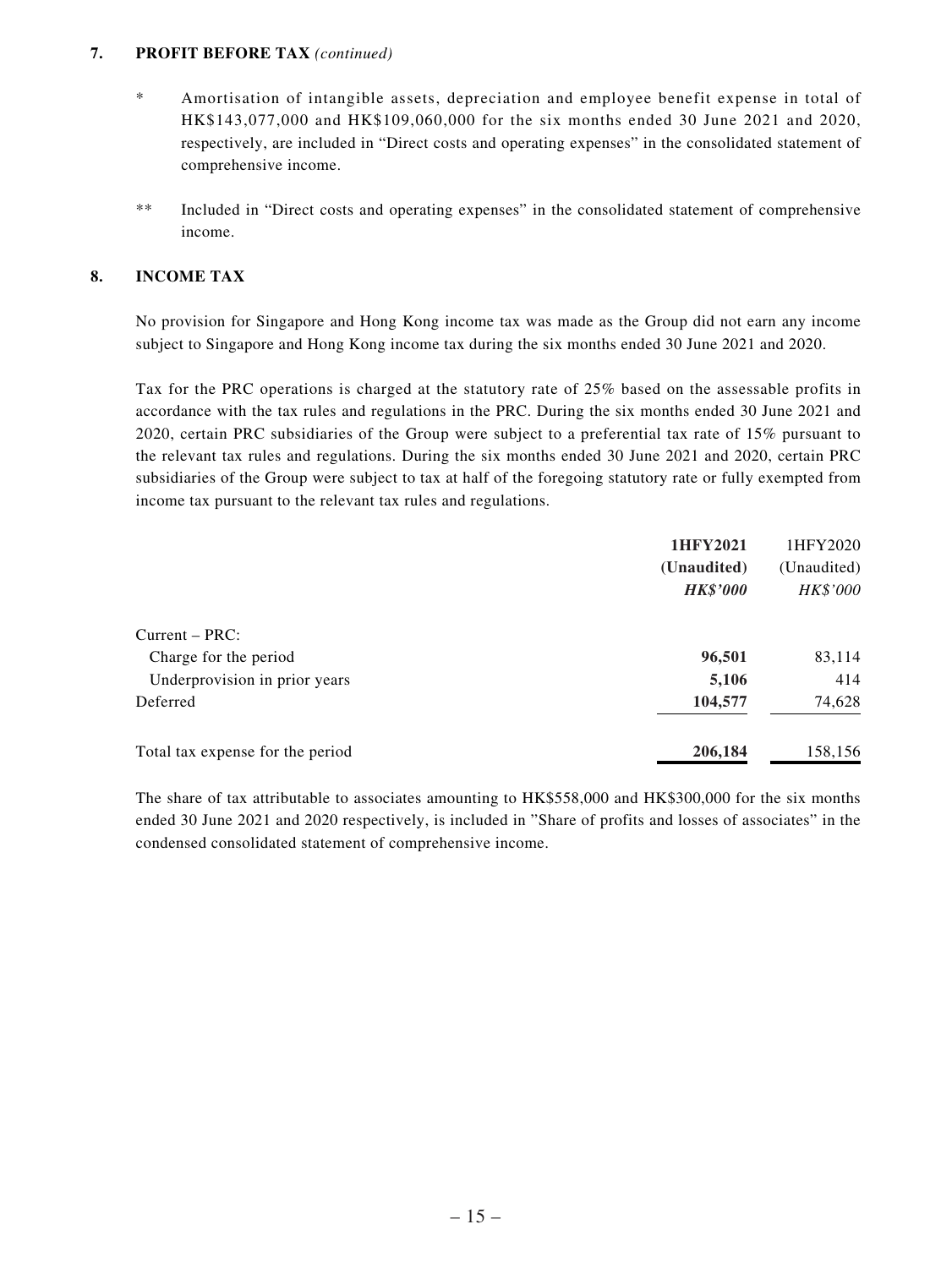#### **7. PROFIT BEFORE TAX** *(continued)*

- \* Amortisation of intangible assets, depreciation and employee benefit expense in total of HK\$143,077,000 and HK\$109,060,000 for the six months ended 30 June 2021 and 2020, respectively, are included in "Direct costs and operating expenses" in the consolidated statement of comprehensive income.
- \*\* Included in "Direct costs and operating expenses" in the consolidated statement of comprehensive income.

### **8. INCOME TAX**

No provision for Singapore and Hong Kong income tax was made as the Group did not earn any income subject to Singapore and Hong Kong income tax during the six months ended 30 June 2021 and 2020.

Tax for the PRC operations is charged at the statutory rate of 25% based on the assessable profits in accordance with the tax rules and regulations in the PRC. During the six months ended 30 June 2021 and 2020, certain PRC subsidiaries of the Group were subject to a preferential tax rate of 15% pursuant to the relevant tax rules and regulations. During the six months ended 30 June 2021 and 2020, certain PRC subsidiaries of the Group were subject to tax at half of the foregoing statutory rate or fully exempted from income tax pursuant to the relevant tax rules and regulations.

|                                  | 1HFY2021        | 1HFY2020    |
|----------------------------------|-----------------|-------------|
|                                  | (Unaudited)     | (Unaudited) |
|                                  | <b>HK\$'000</b> | HK\$'000    |
| $Current - PRC:$                 |                 |             |
| Charge for the period            | 96,501          | 83,114      |
| Underprovision in prior years    | 5,106           | 414         |
| Deferred                         | 104,577         | 74,628      |
| Total tax expense for the period | 206,184         | 158,156     |

The share of tax attributable to associates amounting to HK\$558,000 and HK\$300,000 for the six months ended 30 June 2021 and 2020 respectively, is included in "Share of profits and losses of associates" in the condensed consolidated statement of comprehensive income.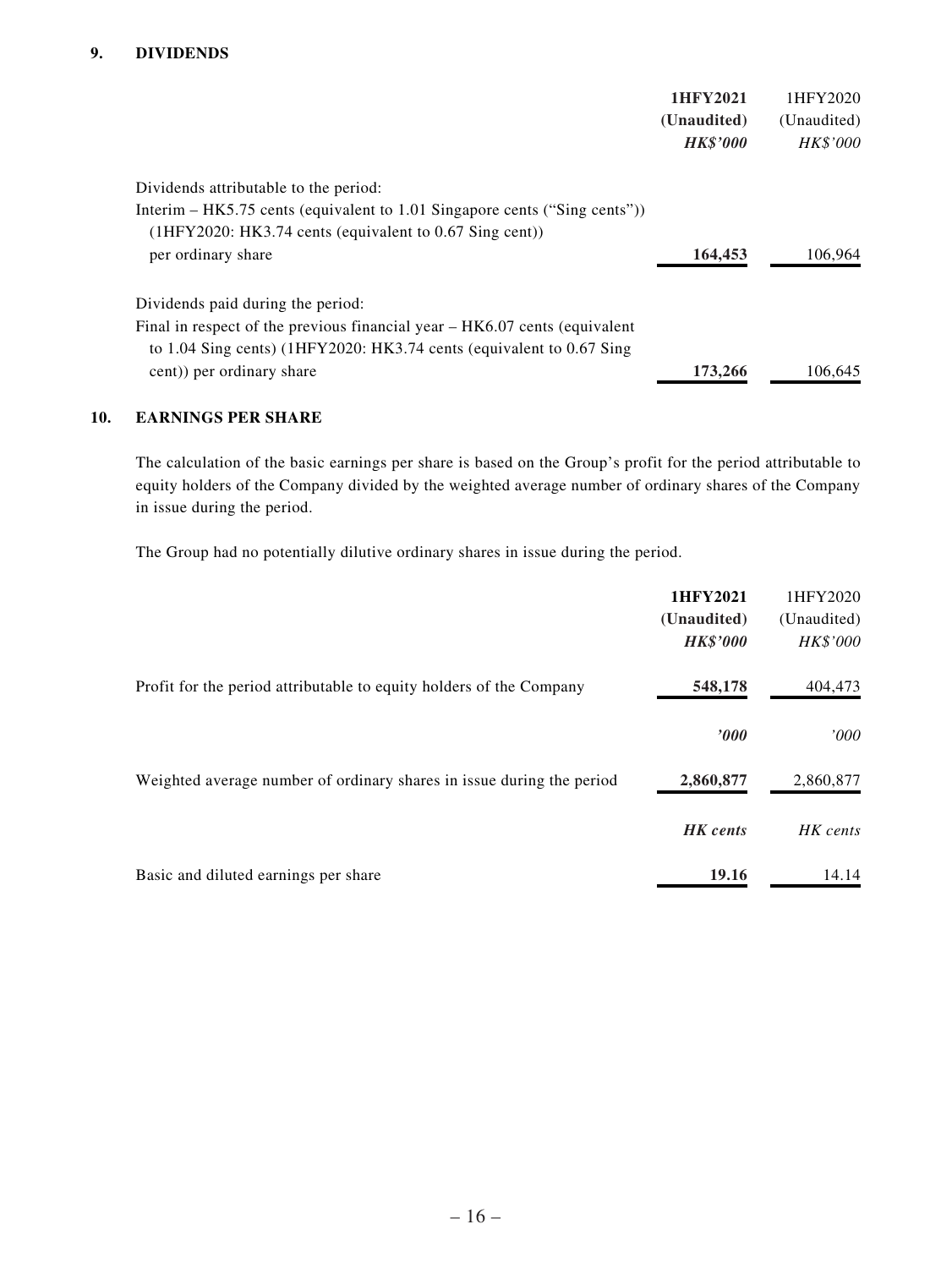|                                                                                                                                                                                         | 1HFY2021<br>(Unaudited)<br><b>HK\$'000</b> | 1HFY2020<br>(Unaudited)<br><b>HK\$'000</b> |
|-----------------------------------------------------------------------------------------------------------------------------------------------------------------------------------------|--------------------------------------------|--------------------------------------------|
| Dividends attributable to the period:<br>Interim – HK5.75 cents (equivalent to 1.01 Singapore cents ("Sing cents"))<br>$(1HFY2020: HK3.74 cents (equivalent to 0.67 Sing cent))$        |                                            |                                            |
| per ordinary share                                                                                                                                                                      | 164,453                                    | 106.964                                    |
| Dividends paid during the period:<br>Final in respect of the previous financial year – HK6.07 cents (equivalent<br>to 1.04 Sing cents) (1HFY2020: HK3.74 cents (equivalent to 0.67 Sing |                                            |                                            |
| cent)) per ordinary share                                                                                                                                                               | 173,266                                    | 106,645                                    |

### **10. EARNINGS PER SHARE**

The calculation of the basic earnings per share is based on the Group's profit for the period attributable to equity holders of the Company divided by the weighted average number of ordinary shares of the Company in issue during the period.

The Group had no potentially dilutive ordinary shares in issue during the period.

|                                                                       | 1HFY2021<br>(Unaudited)<br><b>HK\$'000</b> | 1HFY2020<br>(Unaudited)<br>HK\$'000 |
|-----------------------------------------------------------------------|--------------------------------------------|-------------------------------------|
| Profit for the period attributable to equity holders of the Company   | 548,178                                    | 404,473                             |
|                                                                       | '000                                       | '000                                |
| Weighted average number of ordinary shares in issue during the period | 2,860,877                                  | 2,860,877                           |
|                                                                       | <b>HK</b> cents                            | HK cents                            |
| Basic and diluted earnings per share                                  | 19.16                                      | 14.14                               |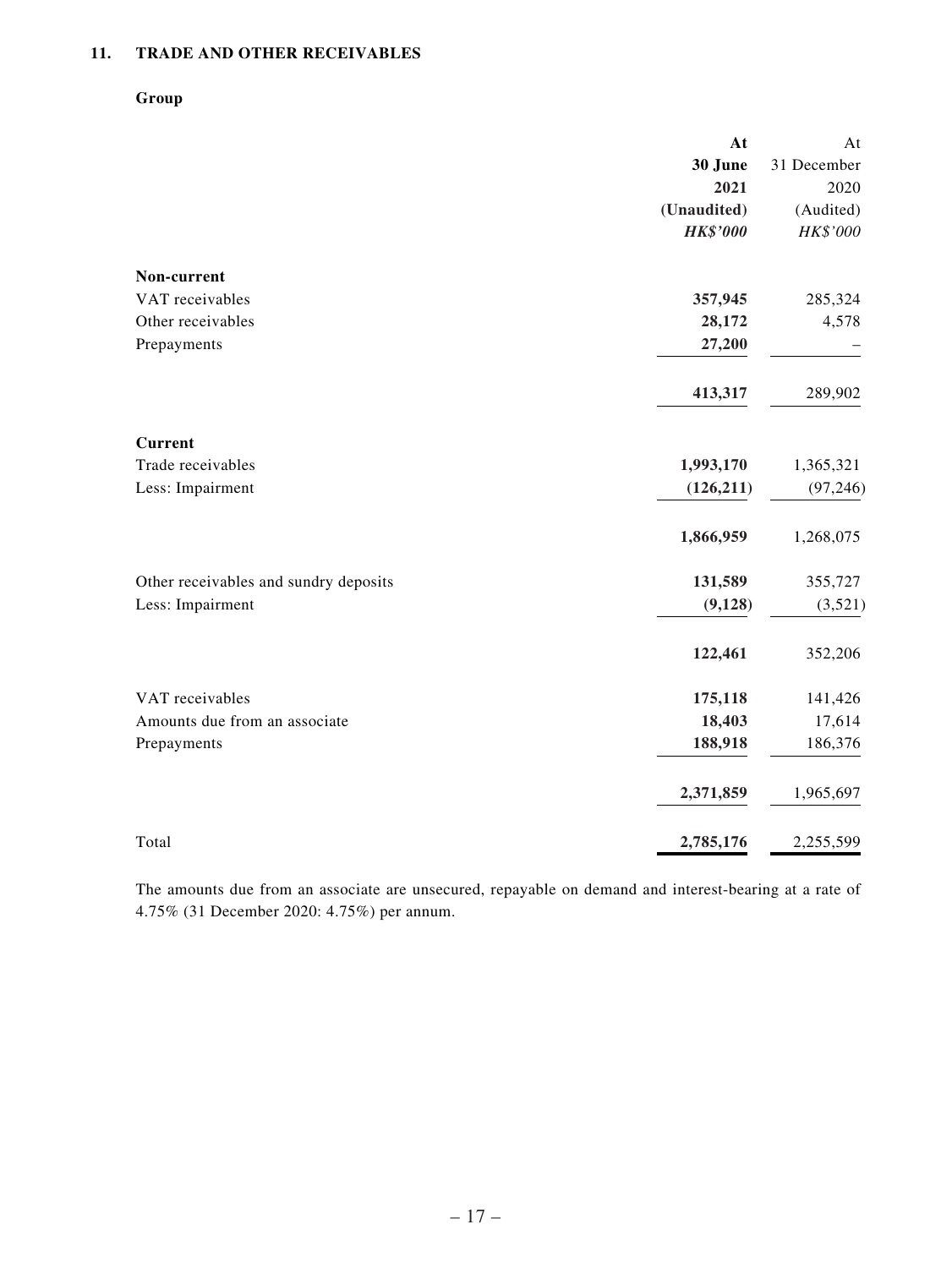### **11. TRADE AND OTHER RECEIVABLES**

### **Group**

|                                       | At              | At          |
|---------------------------------------|-----------------|-------------|
|                                       | 30 June         | 31 December |
|                                       | 2021            | 2020        |
|                                       | (Unaudited)     | (Audited)   |
|                                       | <b>HK\$'000</b> | HK\$'000    |
| Non-current                           |                 |             |
| VAT receivables                       | 357,945         | 285,324     |
| Other receivables                     | 28,172          | 4,578       |
| Prepayments                           | 27,200          |             |
|                                       | 413,317         | 289,902     |
| <b>Current</b>                        |                 |             |
| Trade receivables                     | 1,993,170       | 1,365,321   |
| Less: Impairment                      | (126, 211)      | (97, 246)   |
|                                       | 1,866,959       | 1,268,075   |
| Other receivables and sundry deposits | 131,589         | 355,727     |
| Less: Impairment                      | (9, 128)        | (3,521)     |
|                                       | 122,461         | 352,206     |
| VAT receivables                       | 175,118         | 141,426     |
| Amounts due from an associate         | 18,403          | 17,614      |
| Prepayments                           | 188,918         | 186,376     |
|                                       | 2,371,859       | 1,965,697   |
| Total                                 | 2,785,176       | 2,255,599   |

The amounts due from an associate are unsecured, repayable on demand and interest-bearing at a rate of 4.75% (31 December 2020: 4.75%) per annum.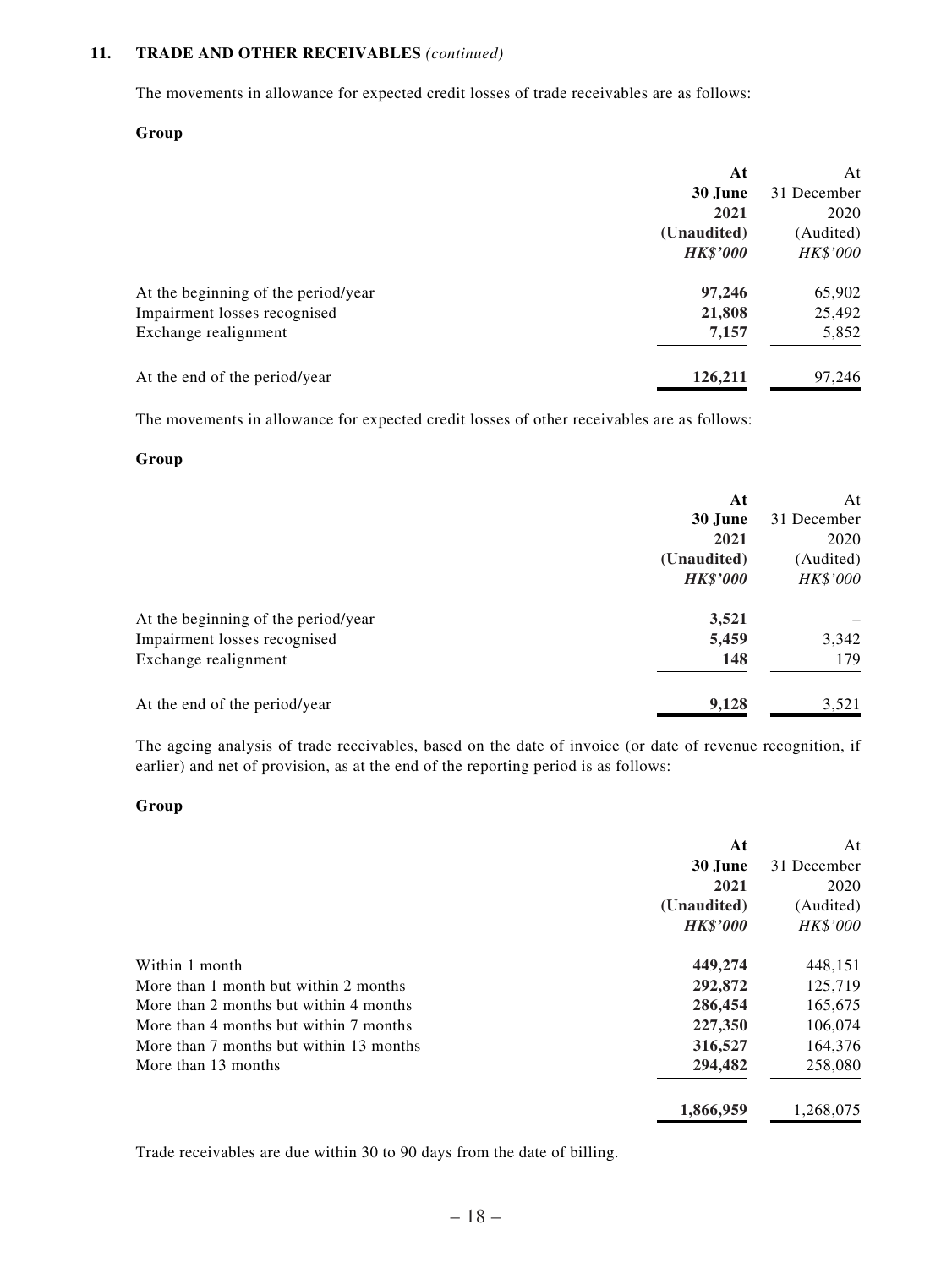### **11. TRADE AND OTHER RECEIVABLES** *(continued)*

The movements in allowance for expected credit losses of trade receivables are as follows:

#### **Group**

|                                     | At              | At              |
|-------------------------------------|-----------------|-----------------|
|                                     | 30 June         | 31 December     |
|                                     | 2021            | 2020            |
|                                     | (Unaudited)     | (Audited)       |
|                                     | <b>HK\$'000</b> | <i>HK\$'000</i> |
| At the beginning of the period/year | 97,246          | 65,902          |
| Impairment losses recognised        | 21,808          | 25,492          |
| Exchange realignment                | 7,157           | 5,852           |
| At the end of the period/year       | 126,211         | 97,246          |

The movements in allowance for expected credit losses of other receivables are as follows:

### **Group**

|                                     | At              | At          |
|-------------------------------------|-----------------|-------------|
|                                     | 30 June         | 31 December |
|                                     | 2021            | 2020        |
|                                     | (Unaudited)     | (Audited)   |
|                                     | <b>HK\$'000</b> | HK\$'000    |
| At the beginning of the period/year | 3,521           |             |
| Impairment losses recognised        | 5,459           | 3,342       |
| Exchange realignment                | 148             | 179         |
| At the end of the period/year       | 9,128           | 3,521       |

The ageing analysis of trade receivables, based on the date of invoice (or date of revenue recognition, if earlier) and net of provision, as at the end of the reporting period is as follows:

#### **Group**

|                                         | At              | At              |
|-----------------------------------------|-----------------|-----------------|
|                                         | 30 June         | 31 December     |
|                                         | 2021            | 2020            |
|                                         | (Unaudited)     | (Audited)       |
|                                         | <b>HK\$'000</b> | <i>HK\$'000</i> |
| Within 1 month                          | 449,274         | 448,151         |
| More than 1 month but within 2 months   | 292,872         | 125,719         |
| More than 2 months but within 4 months  | 286,454         | 165,675         |
| More than 4 months but within 7 months  | 227,350         | 106,074         |
| More than 7 months but within 13 months | 316,527         | 164,376         |
| More than 13 months                     | 294,482         | 258,080         |
|                                         | 1,866,959       | 1,268,075       |

Trade receivables are due within 30 to 90 days from the date of billing.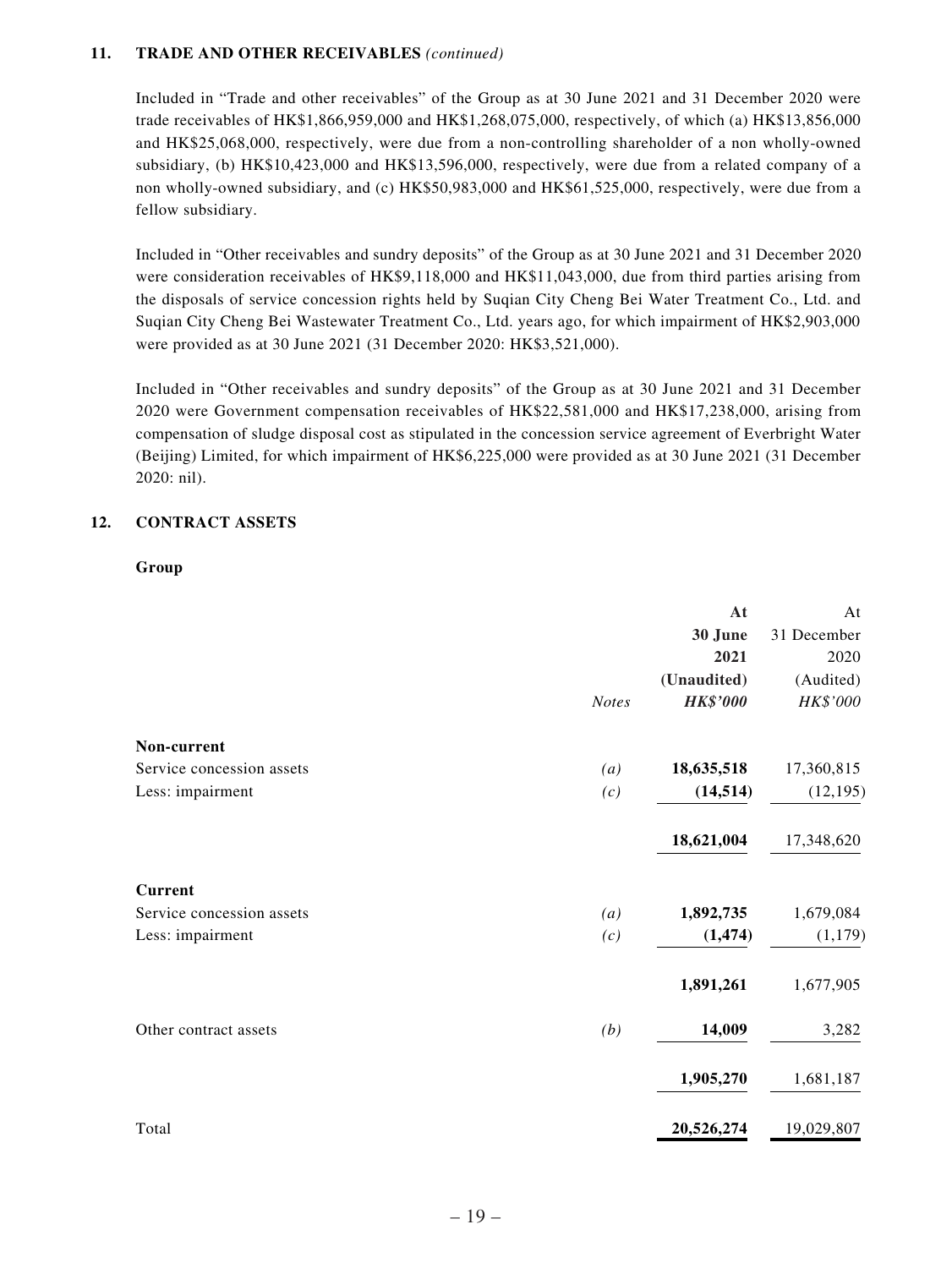### **11. TRADE AND OTHER RECEIVABLES** *(continued)*

Included in "Trade and other receivables" of the Group as at 30 June 2021 and 31 December 2020 were trade receivables of HK\$1,866,959,000 and HK\$1,268,075,000, respectively, of which (a) HK\$13,856,000 and HK\$25,068,000, respectively, were due from a non-controlling shareholder of a non wholly-owned subsidiary, (b) HK\$10,423,000 and HK\$13,596,000, respectively, were due from a related company of a non wholly-owned subsidiary, and (c) HK\$50,983,000 and HK\$61,525,000, respectively, were due from a fellow subsidiary.

Included in "Other receivables and sundry deposits" of the Group as at 30 June 2021 and 31 December 2020 were consideration receivables of HK\$9,118,000 and HK\$11,043,000, due from third parties arising from the disposals of service concession rights held by Suqian City Cheng Bei Water Treatment Co., Ltd. and Suqian City Cheng Bei Wastewater Treatment Co., Ltd. years ago, for which impairment of HK\$2,903,000 were provided as at 30 June 2021 (31 December 2020: HK\$3,521,000).

Included in "Other receivables and sundry deposits" of the Group as at 30 June 2021 and 31 December 2020 were Government compensation receivables of HK\$22,581,000 and HK\$17,238,000, arising from compensation of sludge disposal cost as stipulated in the concession service agreement of Everbright Water (Beijing) Limited, for which impairment of HK\$6,225,000 were provided as at 30 June 2021 (31 December 2020: nil).

### **12. CONTRACT ASSETS**

#### **Group**

|                           |              | At              | At          |
|---------------------------|--------------|-----------------|-------------|
|                           |              | 30 June         | 31 December |
|                           |              | 2021            | 2020        |
|                           |              | (Unaudited)     | (Audited)   |
|                           | <b>Notes</b> | <b>HK\$'000</b> | HK\$'000    |
| Non-current               |              |                 |             |
| Service concession assets | (a)          | 18,635,518      | 17,360,815  |
| Less: impairment          | (c)          | (14, 514)       | (12, 195)   |
|                           |              | 18,621,004      | 17,348,620  |
| <b>Current</b>            |              |                 |             |
| Service concession assets | (a)          | 1,892,735       | 1,679,084   |
| Less: impairment          | (c)          | (1, 474)        | (1, 179)    |
|                           |              | 1,891,261       | 1,677,905   |
| Other contract assets     | (b)          | 14,009          | 3,282       |
|                           |              | 1,905,270       | 1,681,187   |
| Total                     |              | 20,526,274      | 19,029,807  |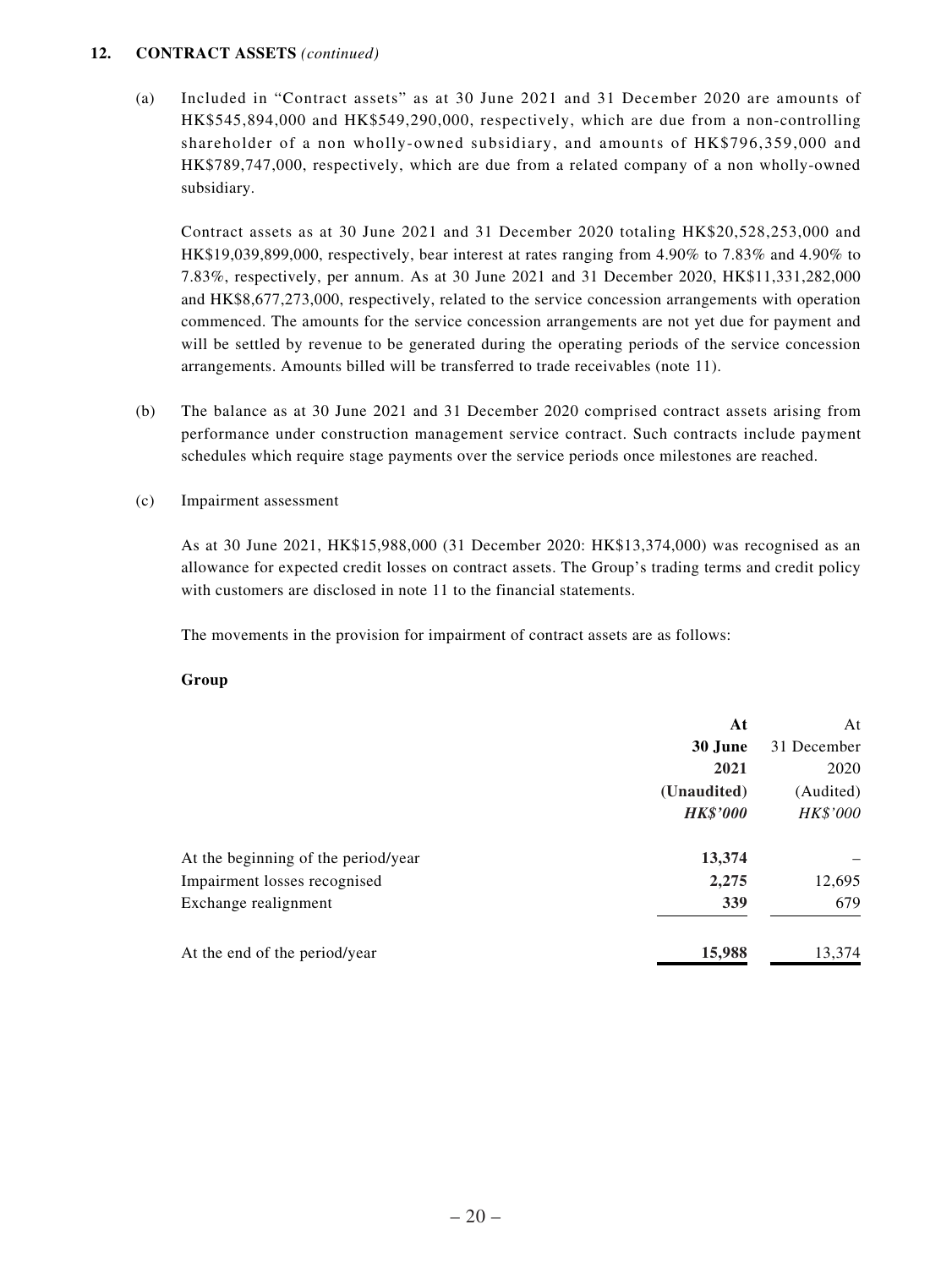### **12. CONTRACT ASSETS** *(continued)*

(a) Included in "Contract assets" as at 30 June 2021 and 31 December 2020 are amounts of HK\$545,894,000 and HK\$549,290,000, respectively, which are due from a non-controlling shareholder of a non wholly-owned subsidiary, and amounts of HK\$796,359,000 and HK\$789,747,000, respectively, which are due from a related company of a non wholly-owned subsidiary.

Contract assets as at 30 June 2021 and 31 December 2020 totaling HK\$20,528,253,000 and HK\$19,039,899,000, respectively, bear interest at rates ranging from 4.90% to 7.83% and 4.90% to 7.83%, respectively, per annum. As at 30 June 2021 and 31 December 2020, HK\$11,331,282,000 and HK\$8,677,273,000, respectively, related to the service concession arrangements with operation commenced. The amounts for the service concession arrangements are not yet due for payment and will be settled by revenue to be generated during the operating periods of the service concession arrangements. Amounts billed will be transferred to trade receivables (note 11).

- (b) The balance as at 30 June 2021 and 31 December 2020 comprised contract assets arising from performance under construction management service contract. Such contracts include payment schedules which require stage payments over the service periods once milestones are reached.
- (c) Impairment assessment

As at 30 June 2021, HK\$15,988,000 (31 December 2020: HK\$13,374,000) was recognised as an allowance for expected credit losses on contract assets. The Group's trading terms and credit policy with customers are disclosed in note 11 to the financial statements.

The movements in the provision for impairment of contract assets are as follows:

#### **Group**

|                                     | At              | At          |
|-------------------------------------|-----------------|-------------|
|                                     | 30 June         | 31 December |
|                                     | 2021            | 2020        |
|                                     | (Unaudited)     | (Audited)   |
|                                     | <b>HK\$'000</b> | HK\$'000    |
| At the beginning of the period/year | 13,374          |             |
| Impairment losses recognised        | 2,275           | 12,695      |
| Exchange realignment                | 339             | 679         |
| At the end of the period/year       | 15,988          | 13,374      |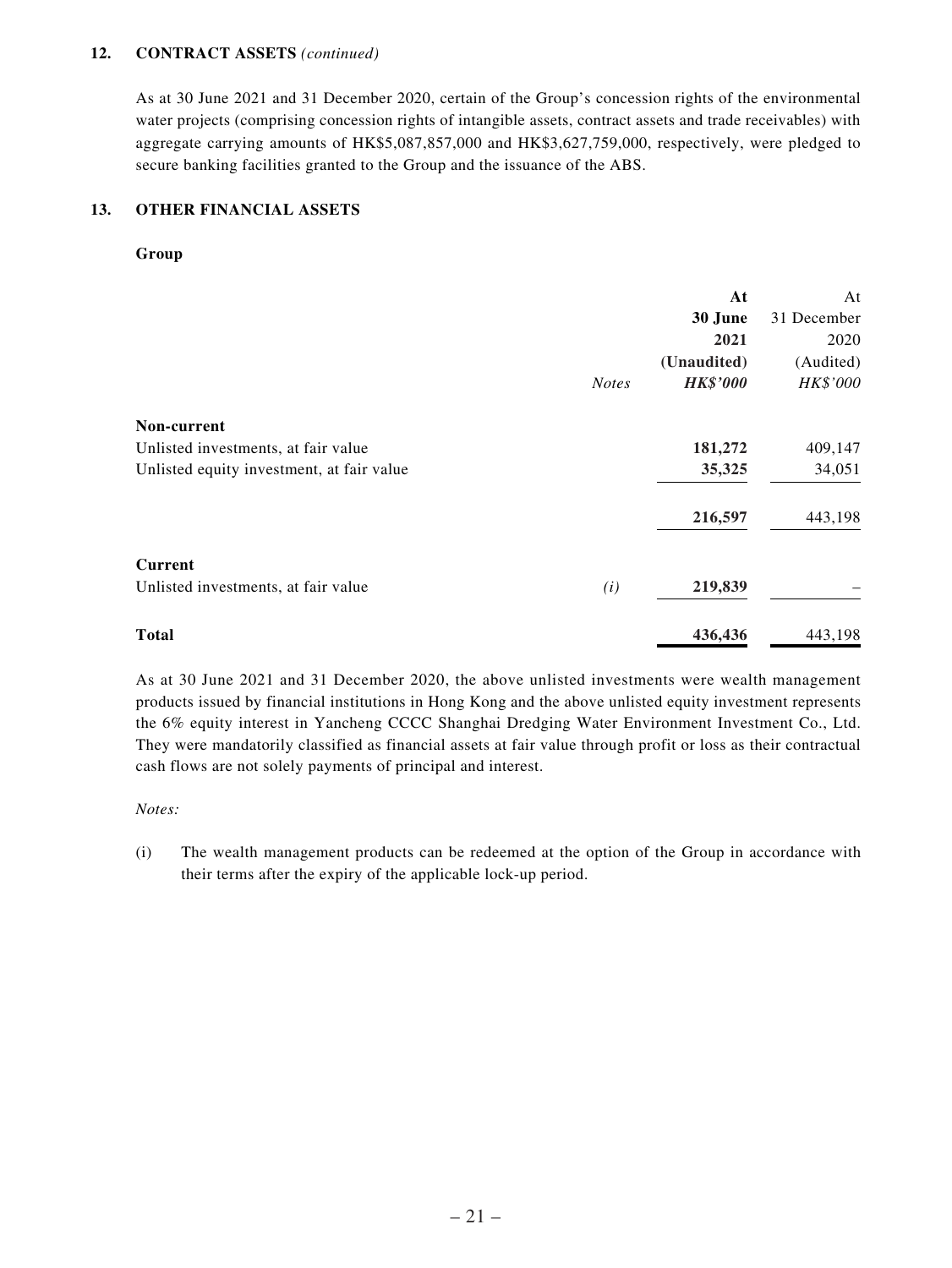#### **12. CONTRACT ASSETS** *(continued)*

As at 30 June 2021 and 31 December 2020, certain of the Group's concession rights of the environmental water projects (comprising concession rights of intangible assets, contract assets and trade receivables) with aggregate carrying amounts of HK\$5,087,857,000 and HK\$3,627,759,000, respectively, were pledged to secure banking facilities granted to the Group and the issuance of the ABS.

### **13. OTHER FINANCIAL ASSETS**

#### **Group**

|                                           |              | At              | At          |
|-------------------------------------------|--------------|-----------------|-------------|
|                                           |              | 30 June         | 31 December |
|                                           |              | 2021            | 2020        |
|                                           |              | (Unaudited)     | (Audited)   |
|                                           | <b>Notes</b> | <b>HK\$'000</b> | HK\$'000    |
| Non-current                               |              |                 |             |
| Unlisted investments, at fair value       |              | 181,272         | 409,147     |
| Unlisted equity investment, at fair value |              | 35,325          | 34,051      |
|                                           |              | 216,597         | 443,198     |
| <b>Current</b>                            |              |                 |             |
| Unlisted investments, at fair value       | (i)          | 219,839         |             |
| <b>Total</b>                              |              | 436,436         | 443,198     |

As at 30 June 2021 and 31 December 2020, the above unlisted investments were wealth management products issued by financial institutions in Hong Kong and the above unlisted equity investment represents the 6% equity interest in Yancheng CCCC Shanghai Dredging Water Environment Investment Co., Ltd. They were mandatorily classified as financial assets at fair value through profit or loss as their contractual cash flows are not solely payments of principal and interest.

#### *Notes:*

(i) The wealth management products can be redeemed at the option of the Group in accordance with their terms after the expiry of the applicable lock-up period.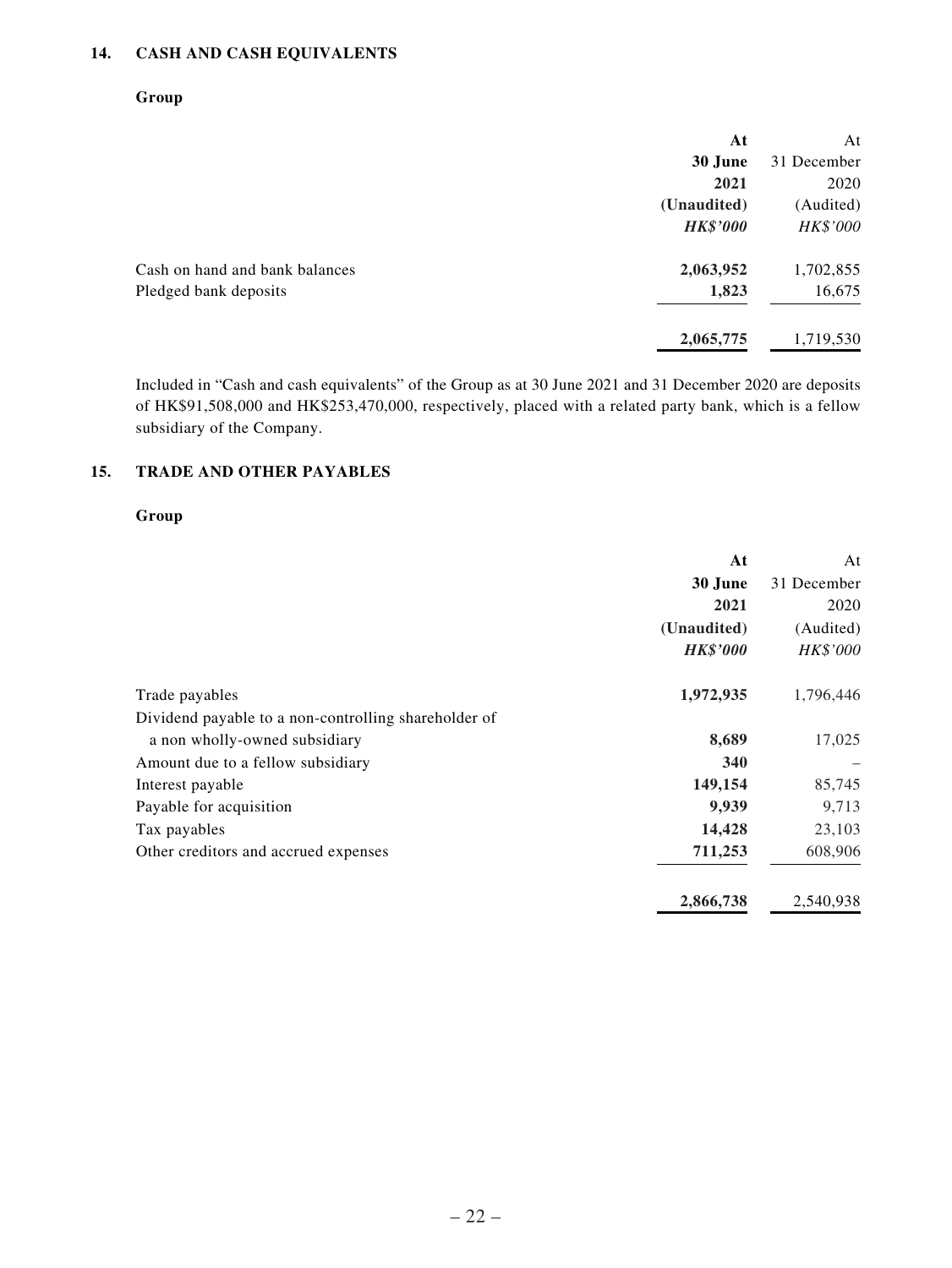### **14. CASH AND CASH EQUIVALENTS**

### **Group**

| At              | At          |
|-----------------|-------------|
| 30 June         | 31 December |
| 2021            | 2020        |
| (Unaudited)     | (Audited)   |
| <b>HK\$'000</b> | HK\$'000    |
| 2,063,952       | 1,702,855   |
| 1,823           | 16,675      |
| 2,065,775       | 1,719,530   |
|                 |             |

Included in "Cash and cash equivalents" of the Group as at 30 June 2021 and 31 December 2020 are deposits of HK\$91,508,000 and HK\$253,470,000, respectively, placed with a related party bank, which is a fellow subsidiary of the Company.

### **15. TRADE AND OTHER PAYABLES**

### **Group**

|                                                      | At              | At          |
|------------------------------------------------------|-----------------|-------------|
|                                                      | 30 June         | 31 December |
|                                                      | 2021            | 2020        |
|                                                      | (Unaudited)     | (Audited)   |
|                                                      | <b>HK\$'000</b> | HK\$'000    |
| Trade payables                                       | 1,972,935       | 1,796,446   |
| Dividend payable to a non-controlling shareholder of |                 |             |
| a non wholly-owned subsidiary                        | 8,689           | 17,025      |
| Amount due to a fellow subsidiary                    | 340             |             |
| Interest payable                                     | 149,154         | 85,745      |
| Payable for acquisition                              | 9,939           | 9,713       |
| Tax payables                                         | 14,428          | 23,103      |
| Other creditors and accrued expenses                 | 711,253         | 608,906     |
|                                                      | 2,866,738       | 2,540,938   |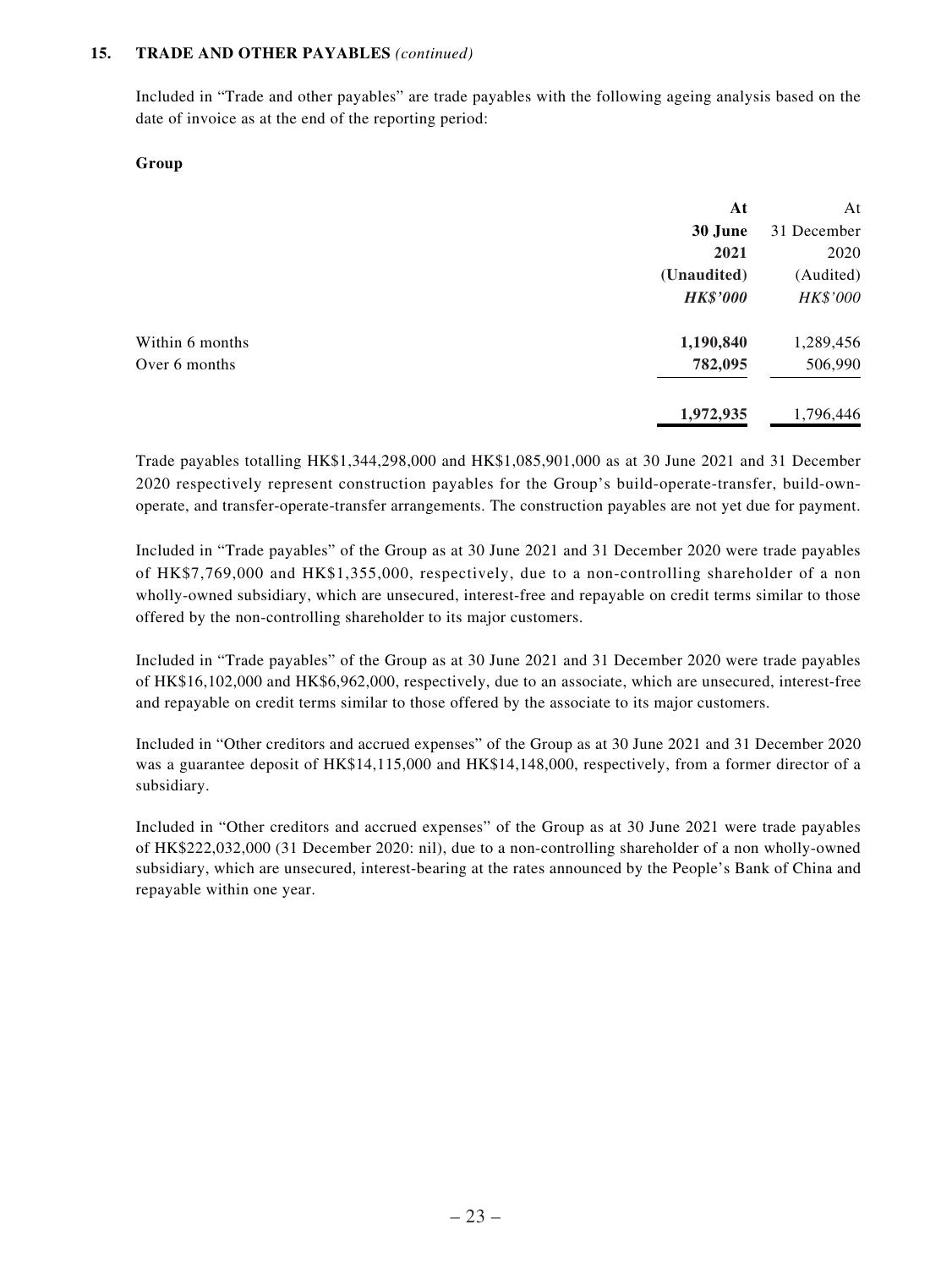#### **15. TRADE AND OTHER PAYABLES** *(continued)*

Included in "Trade and other payables" are trade payables with the following ageing analysis based on the date of invoice as at the end of the reporting period:

#### **Group**

|                 | At              | At          |
|-----------------|-----------------|-------------|
|                 | 30 June         | 31 December |
|                 | 2021            | 2020        |
|                 | (Unaudited)     | (Audited)   |
|                 | <b>HK\$'000</b> | HK\$'000    |
| Within 6 months | 1,190,840       | 1,289,456   |
| Over 6 months   | 782,095         | 506,990     |
|                 | 1,972,935       | 1,796,446   |

Trade payables totalling HK\$1,344,298,000 and HK\$1,085,901,000 as at 30 June 2021 and 31 December 2020 respectively represent construction payables for the Group's build-operate-transfer, build-ownoperate, and transfer-operate-transfer arrangements. The construction payables are not yet due for payment.

Included in "Trade payables" of the Group as at 30 June 2021 and 31 December 2020 were trade payables of HK\$7,769,000 and HK\$1,355,000, respectively, due to a non-controlling shareholder of a non wholly-owned subsidiary, which are unsecured, interest-free and repayable on credit terms similar to those offered by the non-controlling shareholder to its major customers.

Included in "Trade payables" of the Group as at 30 June 2021 and 31 December 2020 were trade payables of HK\$16,102,000 and HK\$6,962,000, respectively, due to an associate, which are unsecured, interest-free and repayable on credit terms similar to those offered by the associate to its major customers.

Included in "Other creditors and accrued expenses" of the Group as at 30 June 2021 and 31 December 2020 was a guarantee deposit of HK\$14,115,000 and HK\$14,148,000, respectively, from a former director of a subsidiary.

Included in "Other creditors and accrued expenses" of the Group as at 30 June 2021 were trade payables of HK\$222,032,000 (31 December 2020: nil), due to a non-controlling shareholder of a non wholly-owned subsidiary, which are unsecured, interest-bearing at the rates announced by the People's Bank of China and repayable within one year.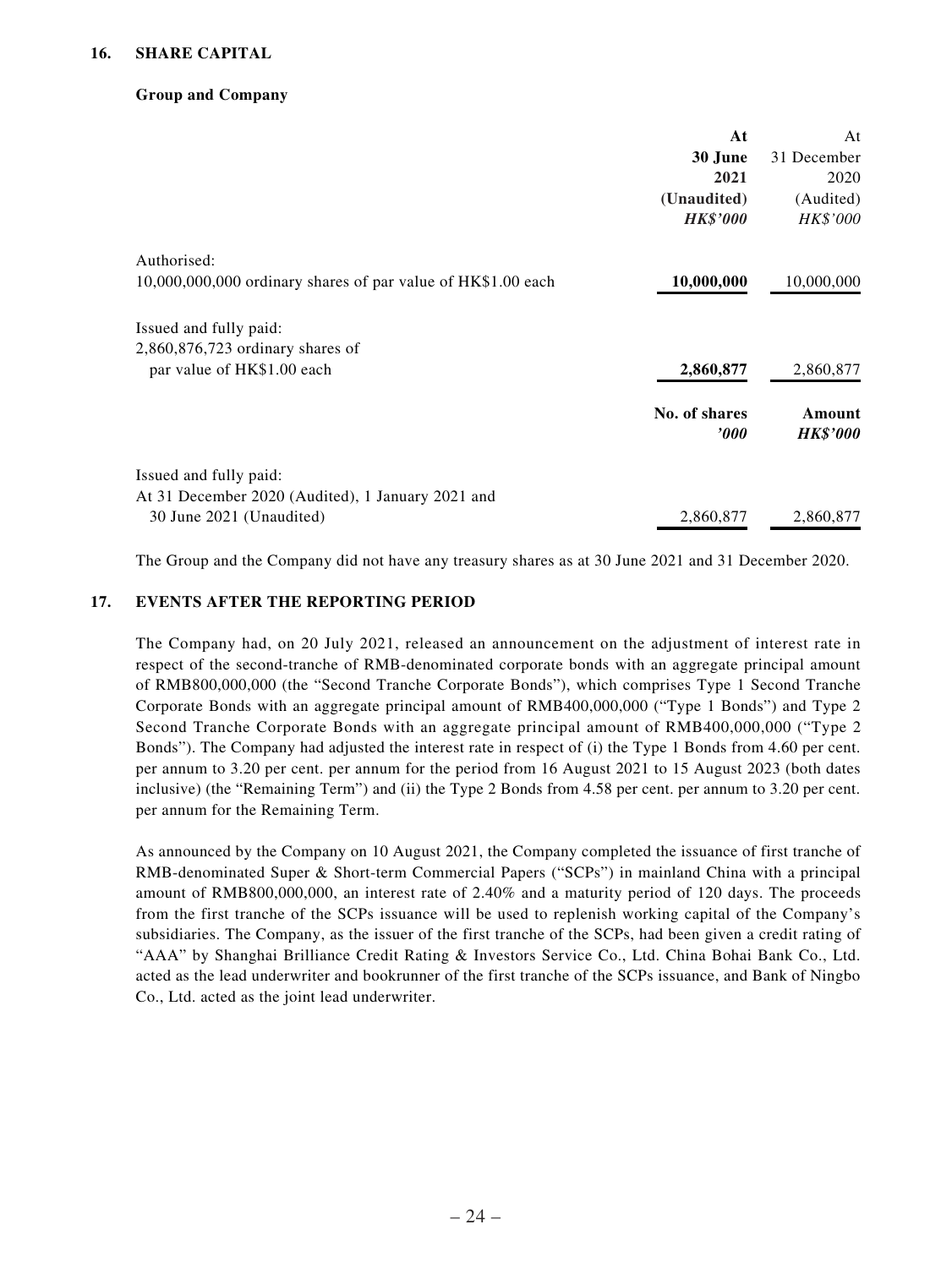### **Group and Company**

|                                                              | At                        | At                        |
|--------------------------------------------------------------|---------------------------|---------------------------|
|                                                              | 30 June                   | 31 December               |
|                                                              | 2021                      | 2020                      |
|                                                              | (Unaudited)               | (Audited)                 |
|                                                              | <b>HK\$'000</b>           | HK\$'000                  |
| Authorised:                                                  |                           |                           |
| 10,000,000,000 ordinary shares of par value of HK\$1.00 each | 10,000,000                | 10,000,000                |
| Issued and fully paid:                                       |                           |                           |
| 2,860,876,723 ordinary shares of                             |                           |                           |
| par value of HK\$1.00 each                                   | 2,860,877                 | 2,860,877                 |
|                                                              | No. of shares<br>$\bm{v}$ | Amount<br><b>HK\$'000</b> |
| Issued and fully paid:                                       |                           |                           |
| At 31 December 2020 (Audited), 1 January 2021 and            |                           |                           |
| 30 June 2021 (Unaudited)                                     | 2,860,877                 | 2,860,877                 |

The Group and the Company did not have any treasury shares as at 30 June 2021 and 31 December 2020.

### **17. EVENTS AFTER THE REPORTING PERIOD**

The Company had, on 20 July 2021, released an announcement on the adjustment of interest rate in respect of the second-tranche of RMB-denominated corporate bonds with an aggregate principal amount of RMB800,000,000 (the "Second Tranche Corporate Bonds"), which comprises Type 1 Second Tranche Corporate Bonds with an aggregate principal amount of RMB400,000,000 ("Type 1 Bonds") and Type 2 Second Tranche Corporate Bonds with an aggregate principal amount of RMB400,000,000 ("Type 2 Bonds"). The Company had adjusted the interest rate in respect of (i) the Type 1 Bonds from 4.60 per cent. per annum to 3.20 per cent. per annum for the period from 16 August 2021 to 15 August 2023 (both dates inclusive) (the "Remaining Term") and (ii) the Type 2 Bonds from 4.58 per cent. per annum to 3.20 per cent. per annum for the Remaining Term.

As announced by the Company on 10 August 2021, the Company completed the issuance of first tranche of RMB-denominated Super & Short-term Commercial Papers ("SCPs") in mainland China with a principal amount of RMB800,000,000, an interest rate of 2.40% and a maturity period of 120 days. The proceeds from the first tranche of the SCPs issuance will be used to replenish working capital of the Company's subsidiaries. The Company, as the issuer of the first tranche of the SCPs, had been given a credit rating of "AAA" by Shanghai Brilliance Credit Rating & Investors Service Co., Ltd. China Bohai Bank Co., Ltd. acted as the lead underwriter and bookrunner of the first tranche of the SCPs issuance, and Bank of Ningbo Co., Ltd. acted as the joint lead underwriter.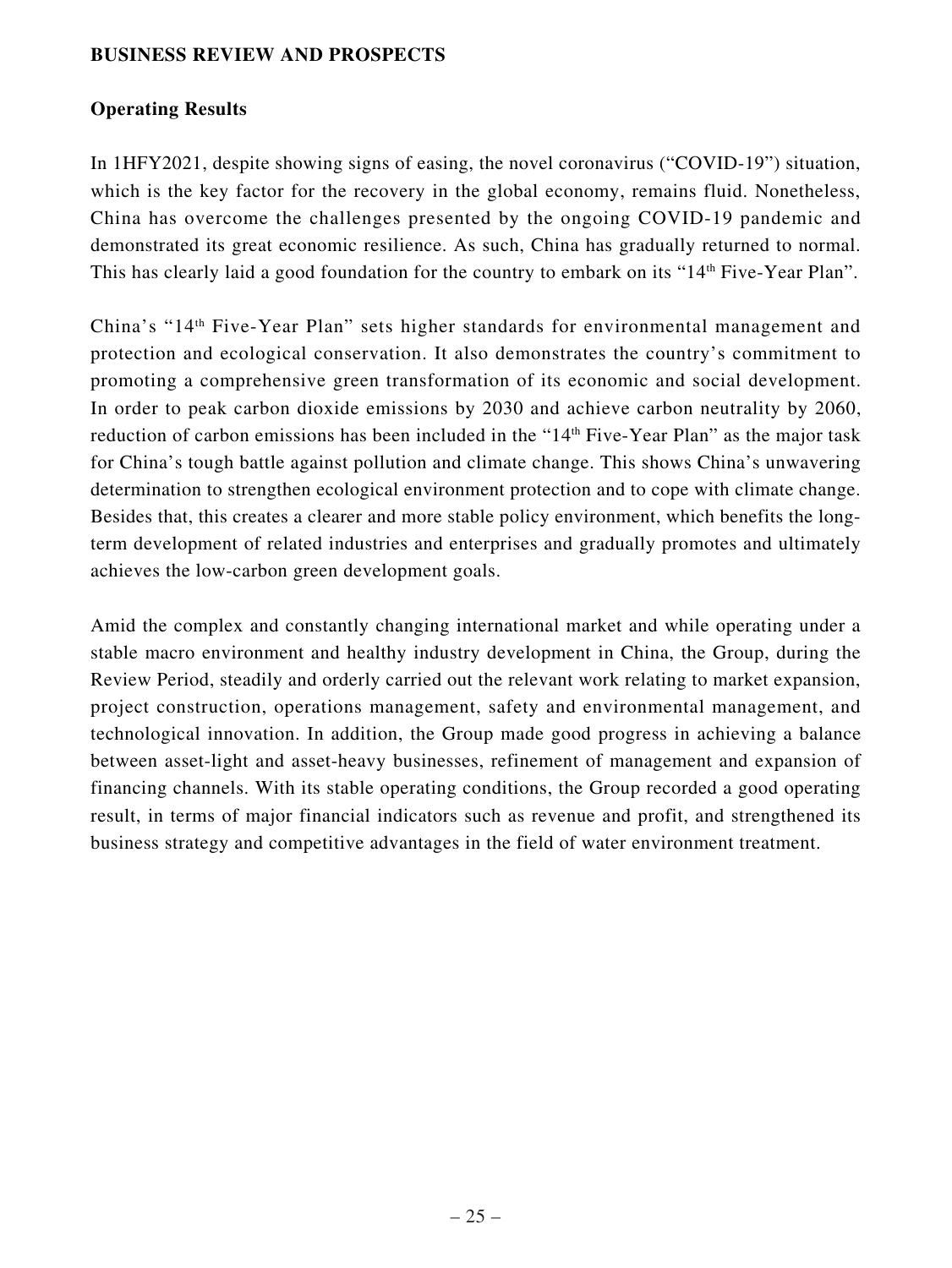### **BUSINESS REVIEW AND PROSPECTS**

## **Operating Results**

In 1HFY2021, despite showing signs of easing, the novel coronavirus ("COVID-19") situation, which is the key factor for the recovery in the global economy, remains fluid. Nonetheless, China has overcome the challenges presented by the ongoing COVID-19 pandemic and demonstrated its great economic resilience. As such, China has gradually returned to normal. This has clearly laid a good foundation for the country to embark on its "14<sup>th</sup> Five-Year Plan".

China's "14th Five-Year Plan" sets higher standards for environmental management and protection and ecological conservation. It also demonstrates the country's commitment to promoting a comprehensive green transformation of its economic and social development. In order to peak carbon dioxide emissions by 2030 and achieve carbon neutrality by 2060, reduction of carbon emissions has been included in the "14<sup>th</sup> Five-Year Plan" as the major task for China's tough battle against pollution and climate change. This shows China's unwavering determination to strengthen ecological environment protection and to cope with climate change. Besides that, this creates a clearer and more stable policy environment, which benefits the longterm development of related industries and enterprises and gradually promotes and ultimately achieves the low-carbon green development goals.

Amid the complex and constantly changing international market and while operating under a stable macro environment and healthy industry development in China, the Group, during the Review Period, steadily and orderly carried out the relevant work relating to market expansion, project construction, operations management, safety and environmental management, and technological innovation. In addition, the Group made good progress in achieving a balance between asset-light and asset-heavy businesses, refinement of management and expansion of financing channels. With its stable operating conditions, the Group recorded a good operating result, in terms of major financial indicators such as revenue and profit, and strengthened its business strategy and competitive advantages in the field of water environment treatment.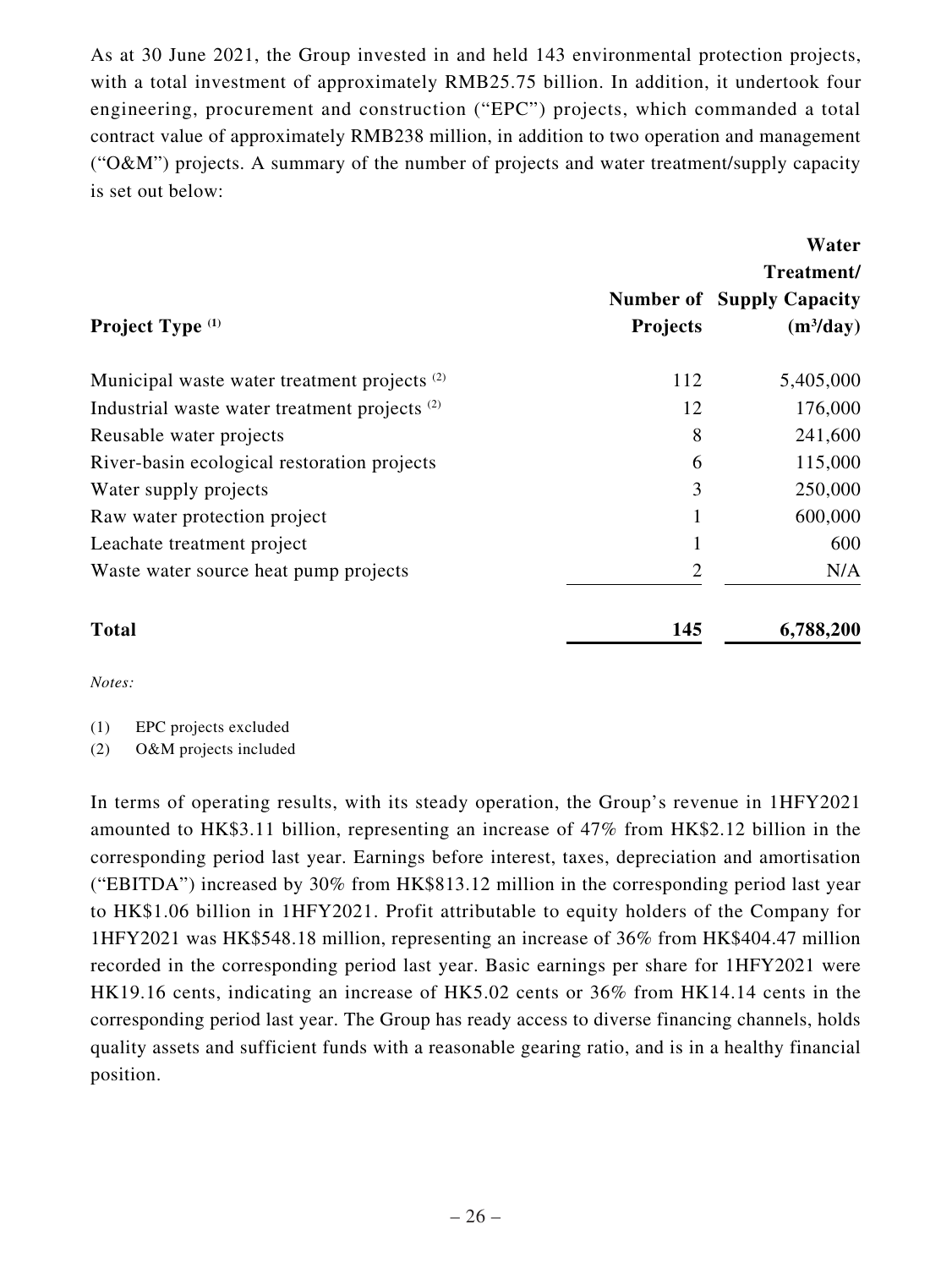As at 30 June 2021, the Group invested in and held 143 environmental protection projects, with a total investment of approximately RMB25.75 billion. In addition, it undertook four engineering, procurement and construction ("EPC") projects, which commanded a total contract value of approximately RMB238 million, in addition to two operation and management (" $O&M$ ") projects. A summary of the number of projects and water treatment/supply capacity is set out below:

|                                                          |                 | Water                            |
|----------------------------------------------------------|-----------------|----------------------------------|
|                                                          |                 | Treatment/                       |
|                                                          |                 | <b>Number of Supply Capacity</b> |
| Project Type <sup>(1)</sup>                              | <b>Projects</b> | $(m^3/day)$                      |
| Municipal waste water treatment projects <sup>(2)</sup>  | 112             | 5,405,000                        |
| Industrial waste water treatment projects <sup>(2)</sup> | 12              | 176,000                          |
| Reusable water projects                                  | 8               | 241,600                          |
| River-basin ecological restoration projects              | 6               | 115,000                          |
| Water supply projects                                    | 3               | 250,000                          |
| Raw water protection project                             |                 | 600,000                          |
| Leachate treatment project                               | 1               | 600                              |
| Waste water source heat pump projects                    | $\overline{2}$  | N/A                              |
| <b>Total</b>                                             | 145             | 6,788,200                        |

*Notes:*

(1) EPC projects excluded

(2) O&M projects included

In terms of operating results, with its steady operation, the Group's revenue in 1HFY2021 amounted to HK\$3.11 billion, representing an increase of 47% from HK\$2.12 billion in the corresponding period last year. Earnings before interest, taxes, depreciation and amortisation ("EBITDA") increased by 30% from HK\$813.12 million in the corresponding period last year to HK\$1.06 billion in 1HFY2021. Profit attributable to equity holders of the Company for 1HFY2021 was HK\$548.18 million, representing an increase of 36% from HK\$404.47 million recorded in the corresponding period last year. Basic earnings per share for 1HFY2021 were HK19.16 cents, indicating an increase of HK5.02 cents or 36% from HK14.14 cents in the corresponding period last year. The Group has ready access to diverse financing channels, holds quality assets and sufficient funds with a reasonable gearing ratio, and is in a healthy financial position.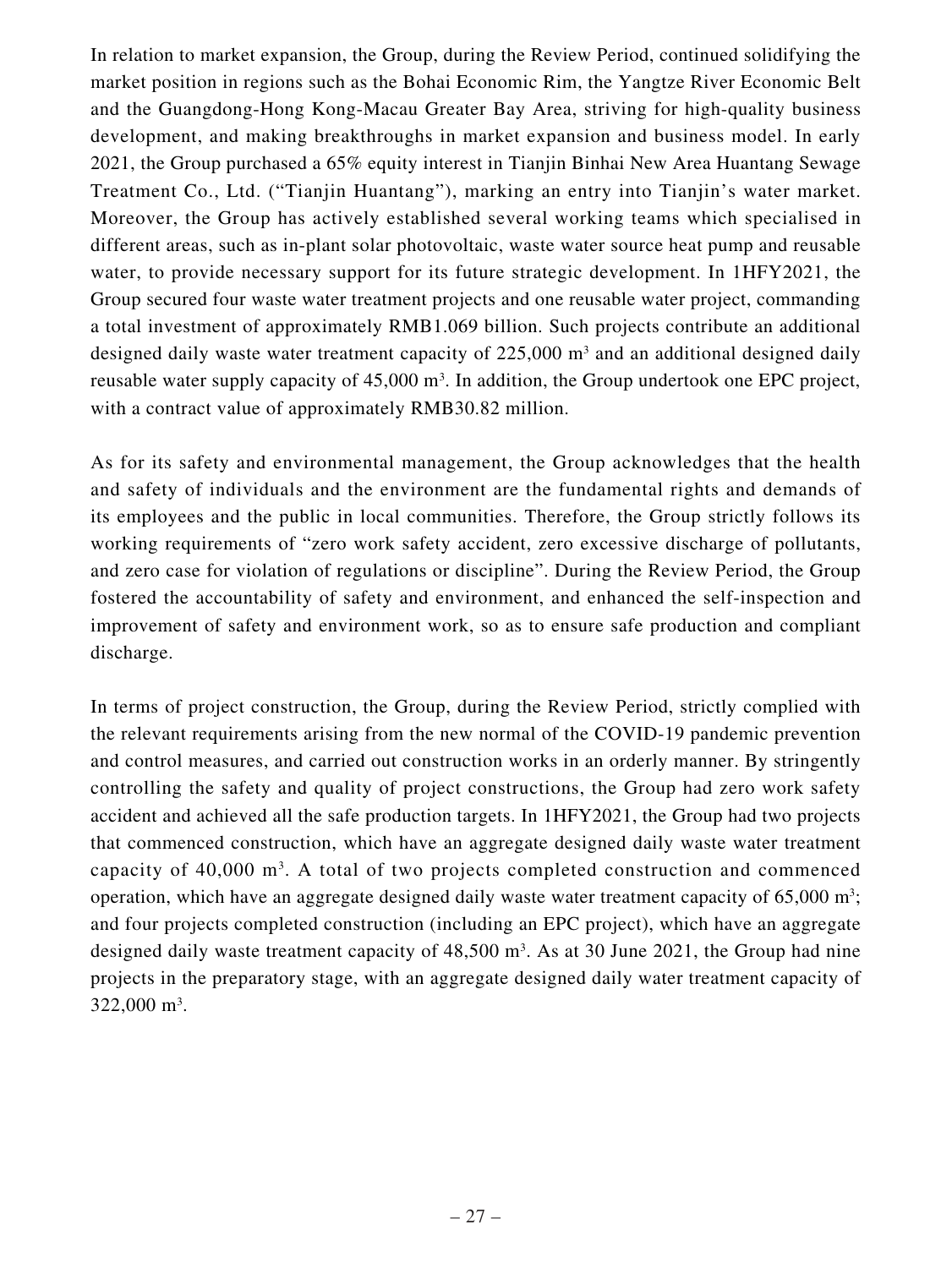In relation to market expansion, the Group, during the Review Period, continued solidifying the market position in regions such as the Bohai Economic Rim, the Yangtze River Economic Belt and the Guangdong-Hong Kong-Macau Greater Bay Area, striving for high-quality business development, and making breakthroughs in market expansion and business model. In early 2021, the Group purchased a 65% equity interest in Tianjin Binhai New Area Huantang Sewage Treatment Co., Ltd. ("Tianjin Huantang"), marking an entry into Tianjin's water market. Moreover, the Group has actively established several working teams which specialised in different areas, such as in-plant solar photovoltaic, waste water source heat pump and reusable water, to provide necessary support for its future strategic development. In 1HFY2021, the Group secured four waste water treatment projects and one reusable water project, commanding a total investment of approximately RMB1.069 billion. Such projects contribute an additional designed daily waste water treatment capacity of  $225,000$  m<sup>3</sup> and an additional designed daily reusable water supply capacity of  $45,000 \text{ m}^3$ . In addition, the Group undertook one EPC project, with a contract value of approximately RMB30.82 million.

As for its safety and environmental management, the Group acknowledges that the health and safety of individuals and the environment are the fundamental rights and demands of its employees and the public in local communities. Therefore, the Group strictly follows its working requirements of "zero work safety accident, zero excessive discharge of pollutants, and zero case for violation of regulations or discipline". During the Review Period, the Group fostered the accountability of safety and environment, and enhanced the self-inspection and improvement of safety and environment work, so as to ensure safe production and compliant discharge.

In terms of project construction, the Group, during the Review Period, strictly complied with the relevant requirements arising from the new normal of the COVID-19 pandemic prevention and control measures, and carried out construction works in an orderly manner. By stringently controlling the safety and quality of project constructions, the Group had zero work safety accident and achieved all the safe production targets. In 1HFY2021, the Group had two projects that commenced construction, which have an aggregate designed daily waste water treatment capacity of 40,000 m<sup>3</sup>. A total of two projects completed construction and commenced operation, which have an aggregate designed daily waste water treatment capacity of  $65,000 \text{ m}^3$ ; and four projects completed construction (including an EPC project), which have an aggregate designed daily waste treatment capacity of  $48,500 \text{ m}^3$ . As at 30 June 2021, the Group had nine projects in the preparatory stage, with an aggregate designed daily water treatment capacity of 322,000 m<sup>3</sup>.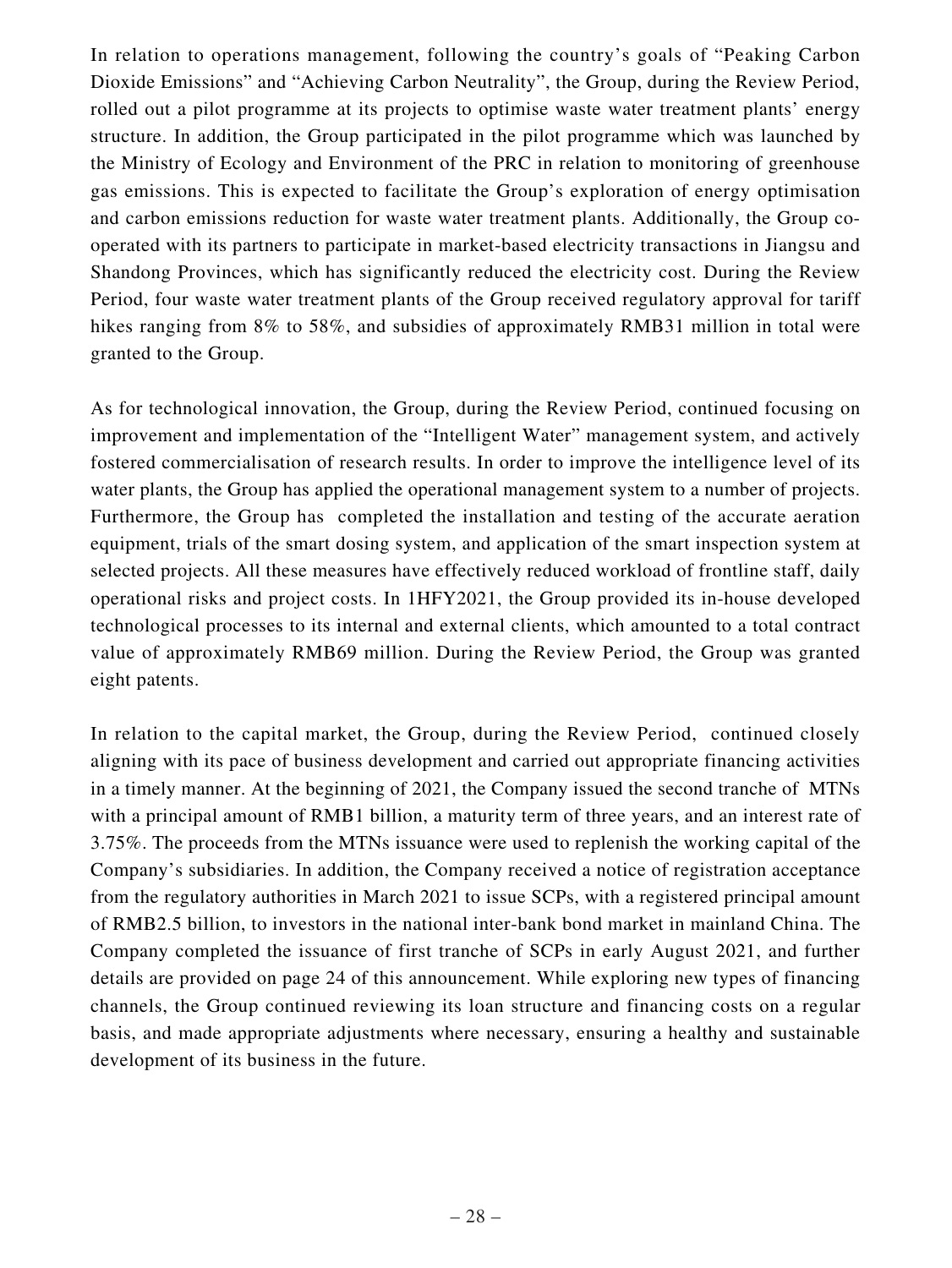In relation to operations management, following the country's goals of "Peaking Carbon Dioxide Emissions" and "Achieving Carbon Neutrality", the Group, during the Review Period, rolled out a pilot programme at its projects to optimise waste water treatment plants' energy structure. In addition, the Group participated in the pilot programme which was launched by the Ministry of Ecology and Environment of the PRC in relation to monitoring of greenhouse gas emissions. This is expected to facilitate the Group's exploration of energy optimisation and carbon emissions reduction for waste water treatment plants. Additionally, the Group cooperated with its partners to participate in market-based electricity transactions in Jiangsu and Shandong Provinces, which has significantly reduced the electricity cost. During the Review Period, four waste water treatment plants of the Group received regulatory approval for tariff hikes ranging from 8% to 58%, and subsidies of approximately RMB31 million in total were granted to the Group.

As for technological innovation, the Group, during the Review Period, continued focusing on improvement and implementation of the "Intelligent Water" management system, and actively fostered commercialisation of research results. In order to improve the intelligence level of its water plants, the Group has applied the operational management system to a number of projects. Furthermore, the Group has completed the installation and testing of the accurate aeration equipment, trials of the smart dosing system, and application of the smart inspection system at selected projects. All these measures have effectively reduced workload of frontline staff, daily operational risks and project costs. In 1HFY2021, the Group provided its in-house developed technological processes to its internal and external clients, which amounted to a total contract value of approximately RMB69 million. During the Review Period, the Group was granted eight patents.

In relation to the capital market, the Group, during the Review Period, continued closely aligning with its pace of business development and carried out appropriate financing activities in a timely manner. At the beginning of 2021, the Company issued the second tranche of MTNs with a principal amount of RMB1 billion, a maturity term of three years, and an interest rate of 3.75%. The proceeds from the MTNs issuance were used to replenish the working capital of the Company's subsidiaries. In addition, the Company received a notice of registration acceptance from the regulatory authorities in March 2021 to issue SCPs, with a registered principal amount of RMB2.5 billion, to investors in the national inter-bank bond market in mainland China. The Company completed the issuance of first tranche of SCPs in early August 2021, and further details are provided on page 24 of this announcement. While exploring new types of financing channels, the Group continued reviewing its loan structure and financing costs on a regular basis, and made appropriate adjustments where necessary, ensuring a healthy and sustainable development of its business in the future.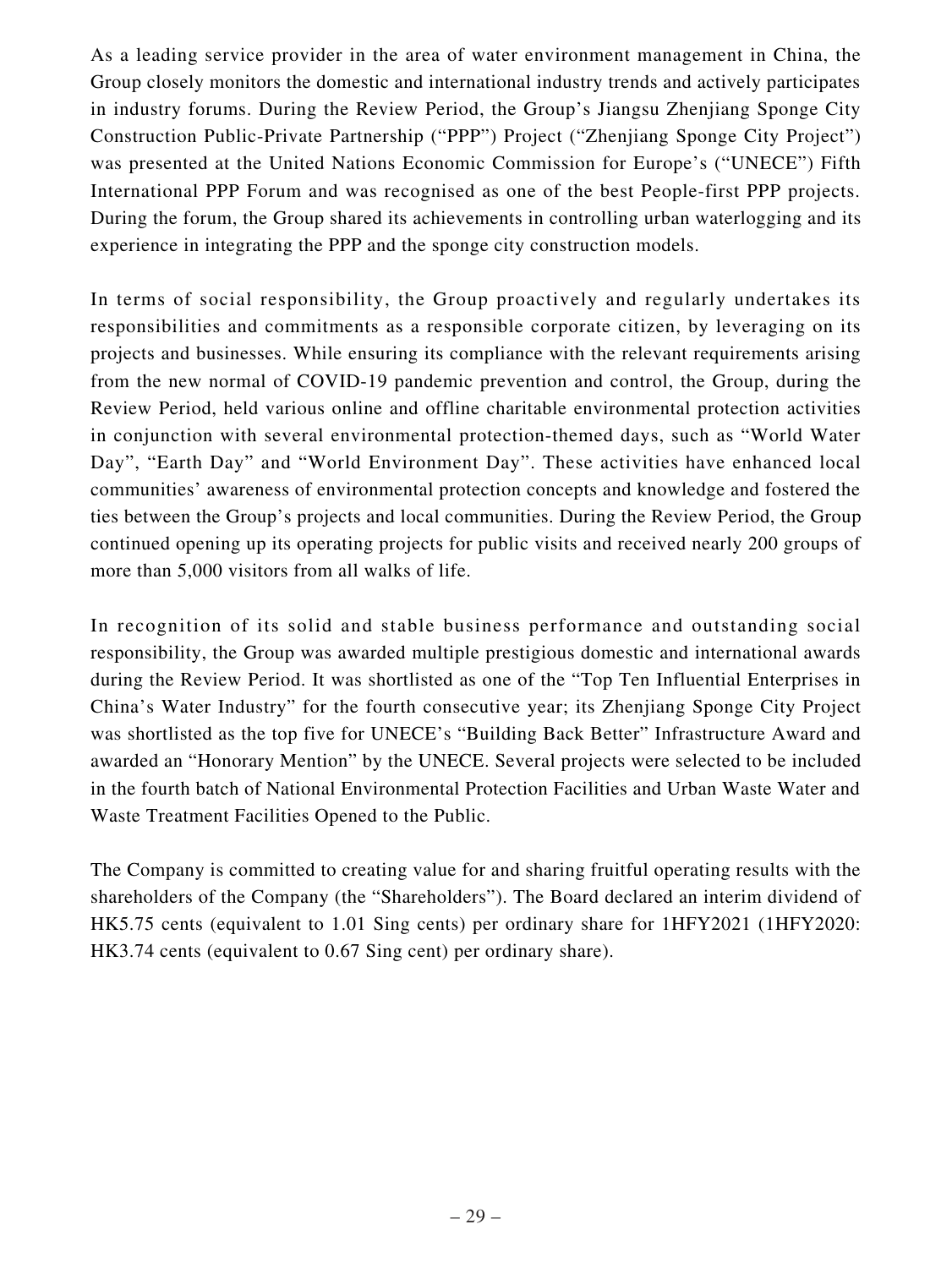As a leading service provider in the area of water environment management in China, the Group closely monitors the domestic and international industry trends and actively participates in industry forums. During the Review Period, the Group's Jiangsu Zhenjiang Sponge City Construction Public-Private Partnership ("PPP") Project ("Zhenjiang Sponge City Project") was presented at the United Nations Economic Commission for Europe's ("UNECE") Fifth International PPP Forum and was recognised as one of the best People-first PPP projects. During the forum, the Group shared its achievements in controlling urban waterlogging and its experience in integrating the PPP and the sponge city construction models.

In terms of social responsibility, the Group proactively and regularly undertakes its responsibilities and commitments as a responsible corporate citizen, by leveraging on its projects and businesses. While ensuring its compliance with the relevant requirements arising from the new normal of COVID-19 pandemic prevention and control, the Group, during the Review Period, held various online and offline charitable environmental protection activities in conjunction with several environmental protection-themed days, such as "World Water Day", "Earth Day" and "World Environment Day". These activities have enhanced local communities' awareness of environmental protection concepts and knowledge and fostered the ties between the Group's projects and local communities. During the Review Period, the Group continued opening up its operating projects for public visits and received nearly 200 groups of more than 5,000 visitors from all walks of life.

In recognition of its solid and stable business performance and outstanding social responsibility, the Group was awarded multiple prestigious domestic and international awards during the Review Period. It was shortlisted as one of the "Top Ten Influential Enterprises in China's Water Industry" for the fourth consecutive year; its Zhenjiang Sponge City Project was shortlisted as the top five for UNECE's "Building Back Better" Infrastructure Award and awarded an "Honorary Mention" by the UNECE. Several projects were selected to be included in the fourth batch of National Environmental Protection Facilities and Urban Waste Water and Waste Treatment Facilities Opened to the Public.

The Company is committed to creating value for and sharing fruitful operating results with the shareholders of the Company (the "Shareholders"). The Board declared an interim dividend of HK5.75 cents (equivalent to 1.01 Sing cents) per ordinary share for 1HFY2021 (1HFY2020: HK3.74 cents (equivalent to 0.67 Sing cent) per ordinary share).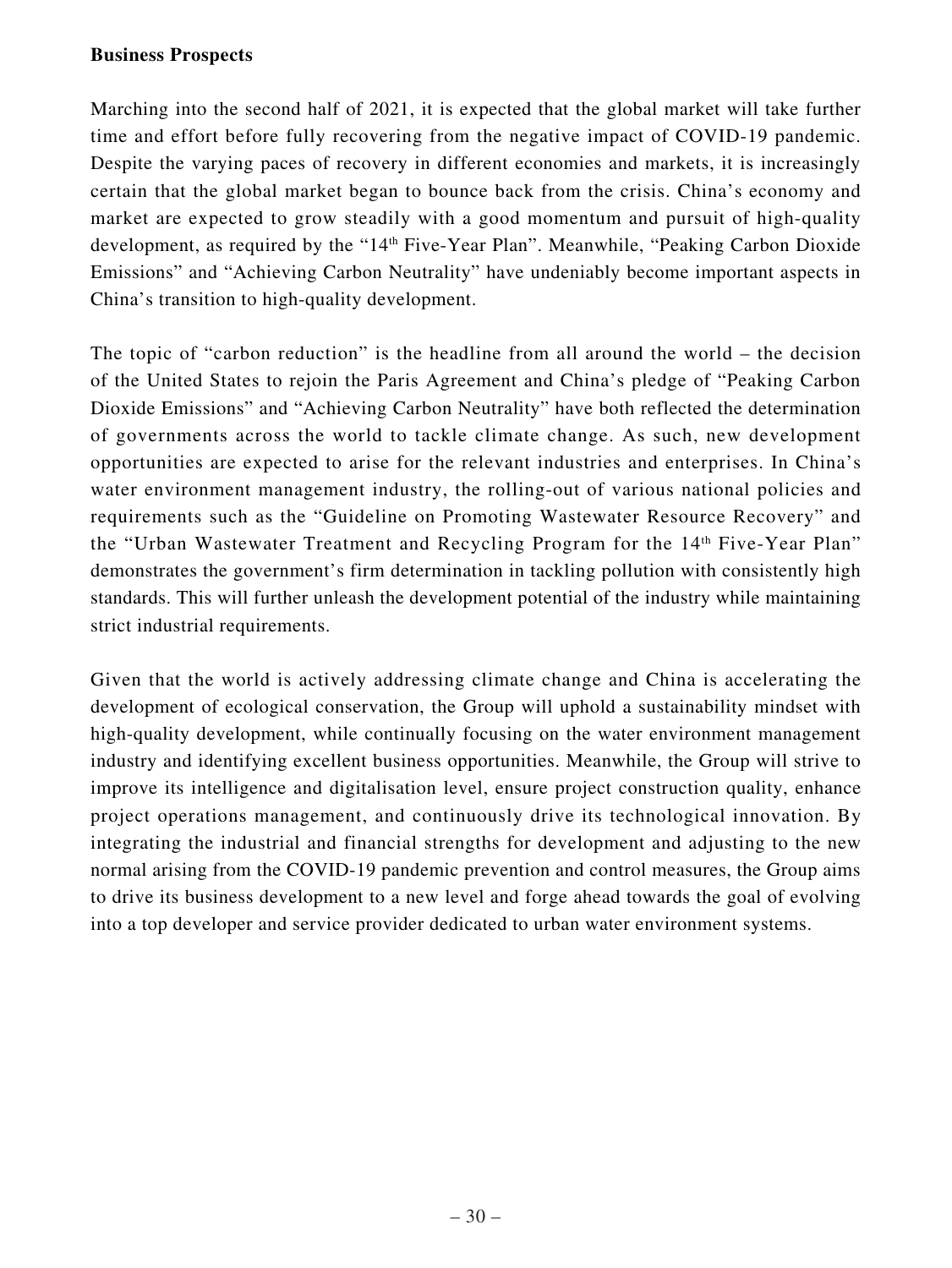### **Business Prospects**

Marching into the second half of 2021, it is expected that the global market will take further time and effort before fully recovering from the negative impact of COVID-19 pandemic. Despite the varying paces of recovery in different economies and markets, it is increasingly certain that the global market began to bounce back from the crisis. China's economy and market are expected to grow steadily with a good momentum and pursuit of high-quality development, as required by the "14<sup>th</sup> Five-Year Plan". Meanwhile, "Peaking Carbon Dioxide Emissions" and "Achieving Carbon Neutrality" have undeniably become important aspects in China's transition to high-quality development.

The topic of "carbon reduction" is the headline from all around the world – the decision of the United States to rejoin the Paris Agreement and China's pledge of "Peaking Carbon Dioxide Emissions" and "Achieving Carbon Neutrality" have both reflected the determination of governments across the world to tackle climate change. As such, new development opportunities are expected to arise for the relevant industries and enterprises. In China's water environment management industry, the rolling-out of various national policies and requirements such as the "Guideline on Promoting Wastewater Resource Recovery" and the "Urban Wastewater Treatment and Recycling Program for the 14th Five-Year Plan" demonstrates the government's firm determination in tackling pollution with consistently high standards. This will further unleash the development potential of the industry while maintaining strict industrial requirements.

Given that the world is actively addressing climate change and China is accelerating the development of ecological conservation, the Group will uphold a sustainability mindset with high-quality development, while continually focusing on the water environment management industry and identifying excellent business opportunities. Meanwhile, the Group will strive to improve its intelligence and digitalisation level, ensure project construction quality, enhance project operations management, and continuously drive its technological innovation. By integrating the industrial and financial strengths for development and adjusting to the new normal arising from the COVID-19 pandemic prevention and control measures, the Group aims to drive its business development to a new level and forge ahead towards the goal of evolving into a top developer and service provider dedicated to urban water environment systems.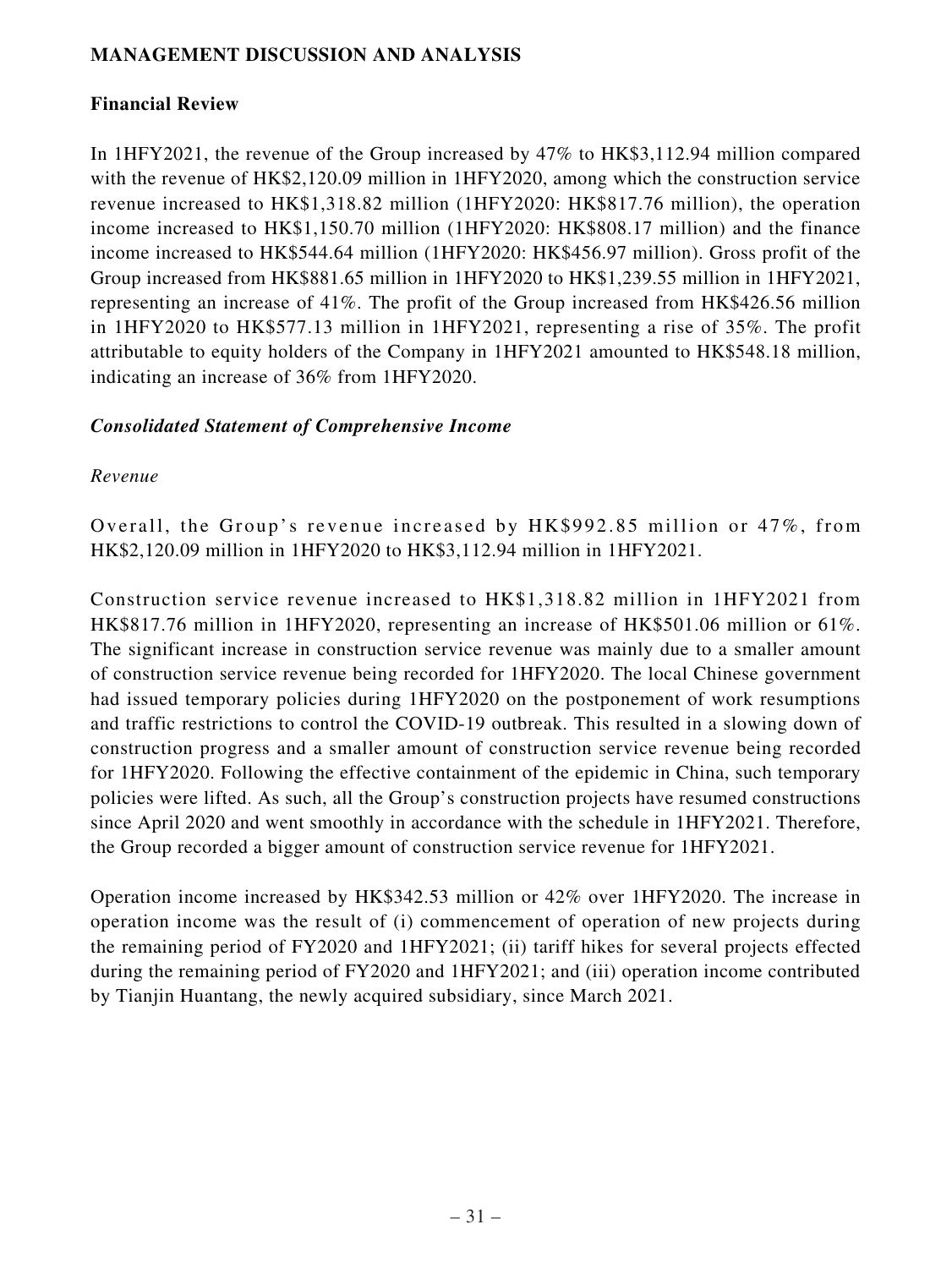## **MANAGEMENT DISCUSSION AND ANALYSIS**

## **Financial Review**

In 1HFY2021, the revenue of the Group increased by 47% to HK\$3,112.94 million compared with the revenue of HK\$2,120.09 million in 1HFY2020, among which the construction service revenue increased to HK\$1,318.82 million (1HFY2020: HK\$817.76 million), the operation income increased to HK\$1,150.70 million (1HFY2020: HK\$808.17 million) and the finance income increased to HK\$544.64 million (1HFY2020: HK\$456.97 million). Gross profit of the Group increased from HK\$881.65 million in 1HFY2020 to HK\$1,239.55 million in 1HFY2021, representing an increase of 41%. The profit of the Group increased from HK\$426.56 million in 1HFY2020 to HK\$577.13 million in 1HFY2021, representing a rise of 35%. The profit attributable to equity holders of the Company in 1HFY2021 amounted to HK\$548.18 million, indicating an increase of 36% from 1HFY2020.

## *Consolidated Statement of Comprehensive Income*

## *Revenue*

Overall, the Group's revenue increased by HK\$992.85 million or 47%, from HK\$2,120.09 million in 1HFY2020 to HK\$3,112.94 million in 1HFY2021.

Construction service revenue increased to HK\$1,318.82 million in 1HFY2021 from HK\$817.76 million in 1HFY2020, representing an increase of HK\$501.06 million or 61%. The significant increase in construction service revenue was mainly due to a smaller amount of construction service revenue being recorded for 1HFY2020. The local Chinese government had issued temporary policies during 1HFY2020 on the postponement of work resumptions and traffic restrictions to control the COVID-19 outbreak. This resulted in a slowing down of construction progress and a smaller amount of construction service revenue being recorded for 1HFY2020. Following the effective containment of the epidemic in China, such temporary policies were lifted. As such, all the Group's construction projects have resumed constructions since April 2020 and went smoothly in accordance with the schedule in 1HFY2021. Therefore, the Group recorded a bigger amount of construction service revenue for 1HFY2021.

Operation income increased by HK\$342.53 million or 42% over 1HFY2020. The increase in operation income was the result of (i) commencement of operation of new projects during the remaining period of FY2020 and 1HFY2021; (ii) tariff hikes for several projects effected during the remaining period of FY2020 and 1HFY2021; and (iii) operation income contributed by Tianjin Huantang, the newly acquired subsidiary, since March 2021.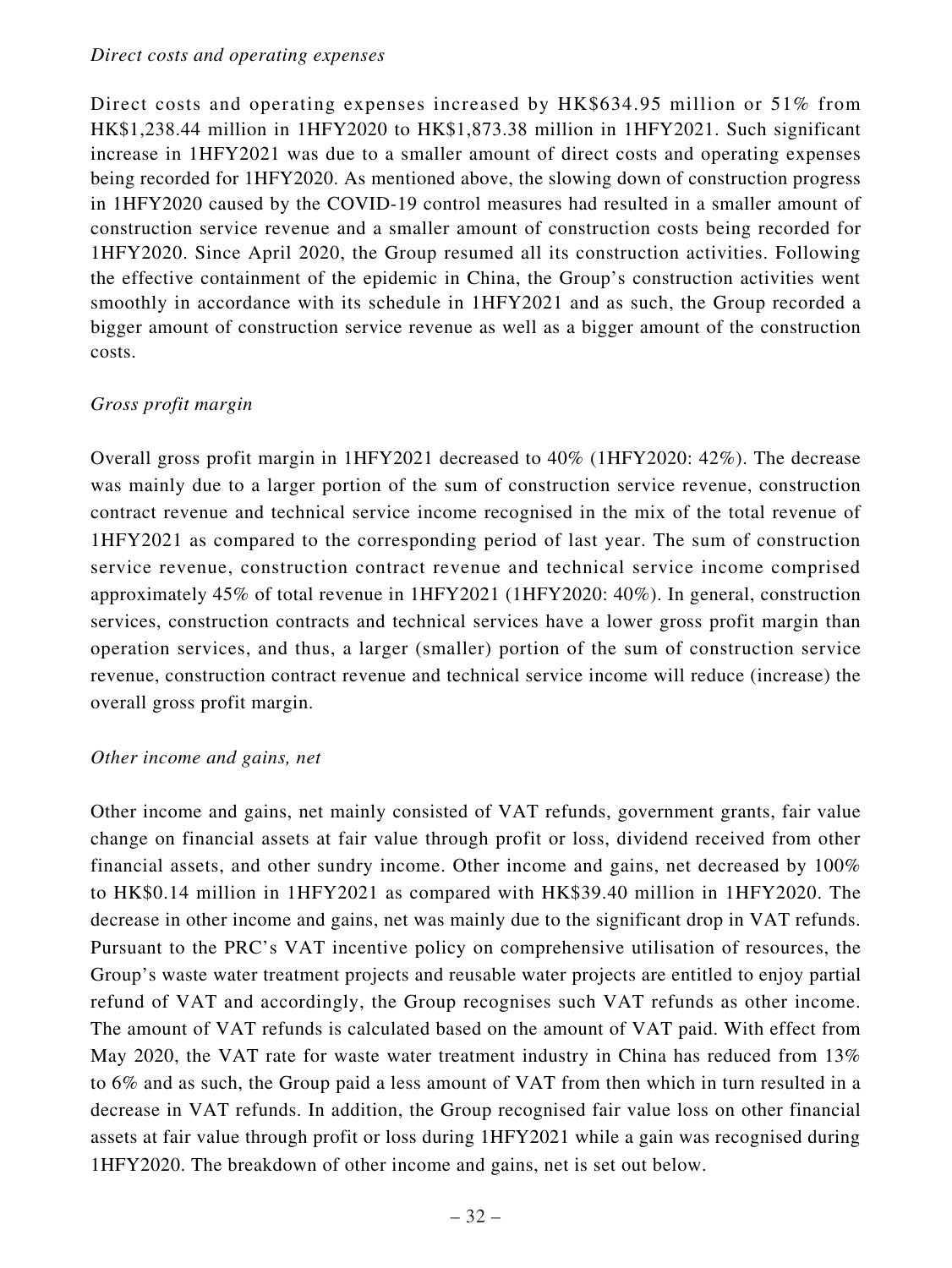### *Direct costs and operating expenses*

Direct costs and operating expenses increased by HK\$634.95 million or 51% from HK\$1,238.44 million in 1HFY2020 to HK\$1,873.38 million in 1HFY2021. Such significant increase in 1HFY2021 was due to a smaller amount of direct costs and operating expenses being recorded for 1HFY2020. As mentioned above, the slowing down of construction progress in 1HFY2020 caused by the COVID-19 control measures had resulted in a smaller amount of construction service revenue and a smaller amount of construction costs being recorded for 1HFY2020. Since April 2020, the Group resumed all its construction activities. Following the effective containment of the epidemic in China, the Group's construction activities went smoothly in accordance with its schedule in 1HFY2021 and as such, the Group recorded a bigger amount of construction service revenue as well as a bigger amount of the construction costs.

## *Gross profit margin*

Overall gross profit margin in 1HFY2021 decreased to 40% (1HFY2020: 42%). The decrease was mainly due to a larger portion of the sum of construction service revenue, construction contract revenue and technical service income recognised in the mix of the total revenue of 1HFY2021 as compared to the corresponding period of last year. The sum of construction service revenue, construction contract revenue and technical service income comprised approximately 45% of total revenue in 1HFY2021 (1HFY2020: 40%). In general, construction services, construction contracts and technical services have a lower gross profit margin than operation services, and thus, a larger (smaller) portion of the sum of construction service revenue, construction contract revenue and technical service income will reduce (increase) the overall gross profit margin.

## *Other income and gains, net*

Other income and gains, net mainly consisted of VAT refunds, government grants, fair value change on financial assets at fair value through profit or loss, dividend received from other financial assets, and other sundry income. Other income and gains, net decreased by 100% to HK\$0.14 million in 1HFY2021 as compared with HK\$39.40 million in 1HFY2020. The decrease in other income and gains, net was mainly due to the significant drop in VAT refunds. Pursuant to the PRC's VAT incentive policy on comprehensive utilisation of resources, the Group's waste water treatment projects and reusable water projects are entitled to enjoy partial refund of VAT and accordingly, the Group recognises such VAT refunds as other income. The amount of VAT refunds is calculated based on the amount of VAT paid. With effect from May 2020, the VAT rate for waste water treatment industry in China has reduced from 13% to 6% and as such, the Group paid a less amount of VAT from then which in turn resulted in a decrease in VAT refunds. In addition, the Group recognised fair value loss on other financial assets at fair value through profit or loss during 1HFY2021 while a gain was recognised during 1HFY2020. The breakdown of other income and gains, net is set out below.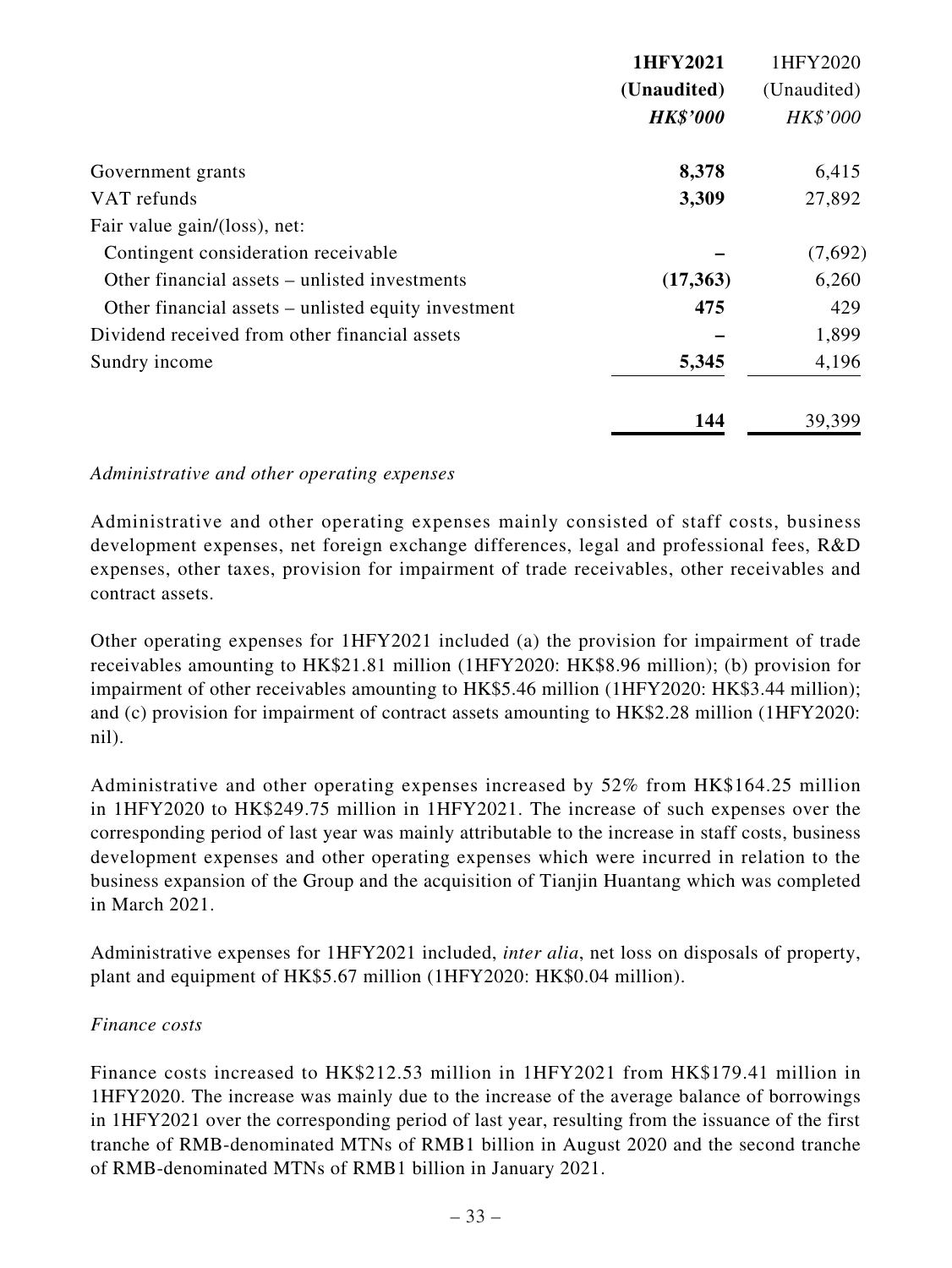|                                                     | 1HFY2021        | 1HFY2020    |
|-----------------------------------------------------|-----------------|-------------|
|                                                     | (Unaudited)     | (Unaudited) |
|                                                     | <b>HK\$'000</b> | HK\$'000    |
| Government grants                                   | 8,378           | 6,415       |
| VAT refunds                                         | 3,309           | 27,892      |
| Fair value gain/(loss), net:                        |                 |             |
| Contingent consideration receivable                 |                 | (7,692)     |
| Other financial assets – unlisted investments       | (17,363)        | 6,260       |
| Other financial assets – unlisted equity investment | 475             | 429         |
| Dividend received from other financial assets       |                 | 1,899       |
| Sundry income                                       | 5,345           | 4,196       |
|                                                     | 144             | 39,399      |

*Administrative and other operating expenses*

Administrative and other operating expenses mainly consisted of staff costs, business development expenses, net foreign exchange differences, legal and professional fees, R&D expenses, other taxes, provision for impairment of trade receivables, other receivables and contract assets.

Other operating expenses for 1HFY2021 included (a) the provision for impairment of trade receivables amounting to HK\$21.81 million (1HFY2020: HK\$8.96 million); (b) provision for impairment of other receivables amounting to HK\$5.46 million (1HFY2020: HK\$3.44 million); and (c) provision for impairment of contract assets amounting to HK\$2.28 million (1HFY2020: nil).

Administrative and other operating expenses increased by 52% from HK\$164.25 million in 1HFY2020 to HK\$249.75 million in 1HFY2021. The increase of such expenses over the corresponding period of last year was mainly attributable to the increase in staff costs, business development expenses and other operating expenses which were incurred in relation to the business expansion of the Group and the acquisition of Tianjin Huantang which was completed in March 2021.

Administrative expenses for 1HFY2021 included, *inter alia*, net loss on disposals of property, plant and equipment of HK\$5.67 million (1HFY2020: HK\$0.04 million).

## *Finance costs*

Finance costs increased to HK\$212.53 million in 1HFY2021 from HK\$179.41 million in 1HFY2020. The increase was mainly due to the increase of the average balance of borrowings in 1HFY2021 over the corresponding period of last year, resulting from the issuance of the first tranche of RMB-denominated MTNs of RMB1 billion in August 2020 and the second tranche of RMB-denominated MTNs of RMB1 billion in January 2021.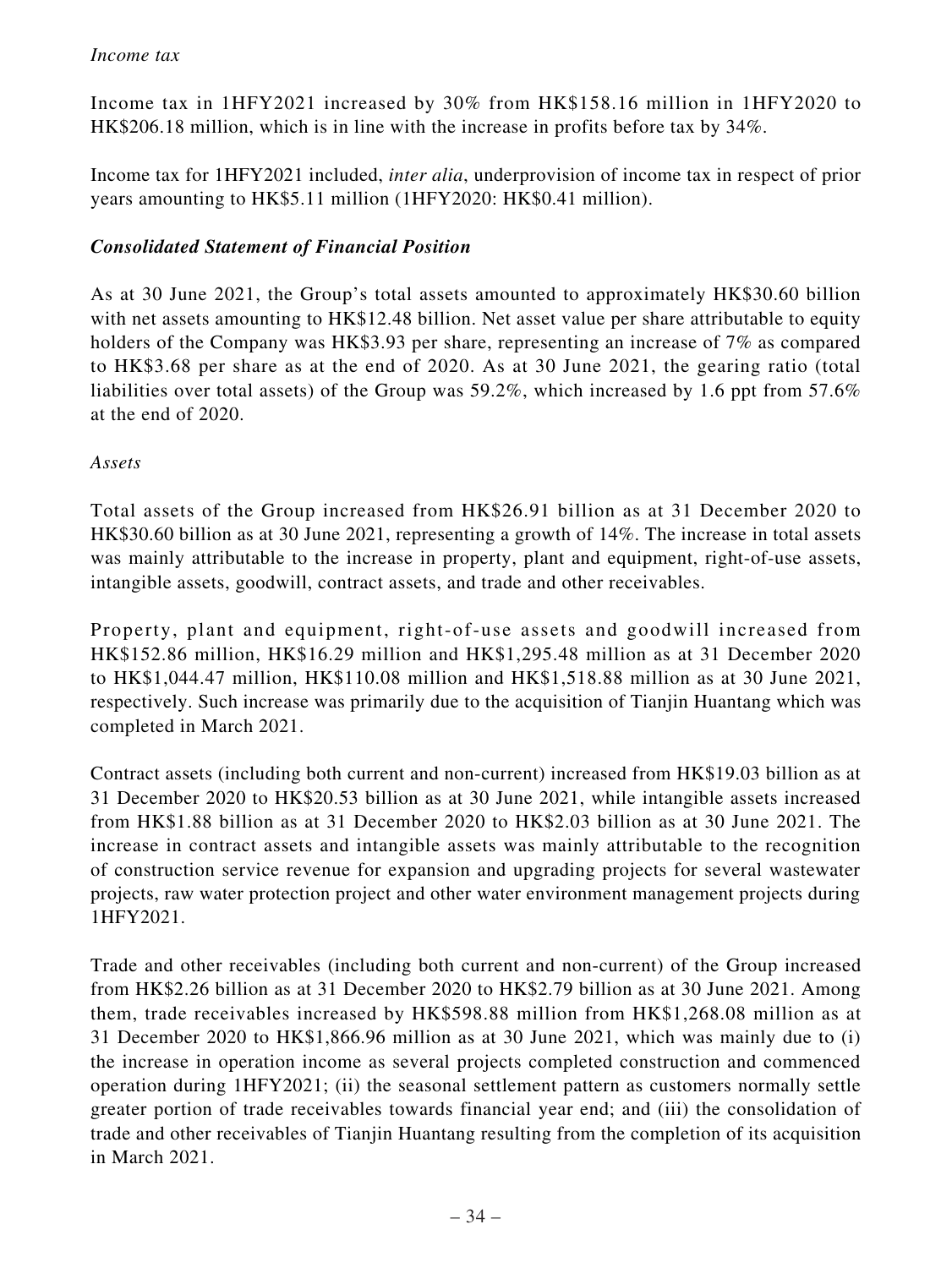Income tax in 1HFY2021 increased by 30% from HK\$158.16 million in 1HFY2020 to HK\$206.18 million, which is in line with the increase in profits before tax by 34%.

Income tax for 1HFY2021 included, *inter alia*, underprovision of income tax in respect of prior years amounting to HK\$5.11 million (1HFY2020: HK\$0.41 million).

## *Consolidated Statement of Financial Position*

As at 30 June 2021, the Group's total assets amounted to approximately HK\$30.60 billion with net assets amounting to HK\$12.48 billion. Net asset value per share attributable to equity holders of the Company was HK\$3.93 per share, representing an increase of 7% as compared to HK\$3.68 per share as at the end of 2020. As at 30 June 2021, the gearing ratio (total liabilities over total assets) of the Group was 59.2%, which increased by 1.6 ppt from 57.6% at the end of 2020.

*Assets*

Total assets of the Group increased from HK\$26.91 billion as at 31 December 2020 to HK\$30.60 billion as at 30 June 2021, representing a growth of 14%. The increase in total assets was mainly attributable to the increase in property, plant and equipment, right-of-use assets, intangible assets, goodwill, contract assets, and trade and other receivables.

Property, plant and equipment, right-of-use assets and goodwill increased from HK\$152.86 million, HK\$16.29 million and HK\$1,295.48 million as at 31 December 2020 to HK\$1,044.47 million, HK\$110.08 million and HK\$1,518.88 million as at 30 June 2021, respectively. Such increase was primarily due to the acquisition of Tianjin Huantang which was completed in March 2021.

Contract assets (including both current and non-current) increased from HK\$19.03 billion as at 31 December 2020 to HK\$20.53 billion as at 30 June 2021, while intangible assets increased from HK\$1.88 billion as at 31 December 2020 to HK\$2.03 billion as at 30 June 2021. The increase in contract assets and intangible assets was mainly attributable to the recognition of construction service revenue for expansion and upgrading projects for several wastewater projects, raw water protection project and other water environment management projects during 1HFY2021.

Trade and other receivables (including both current and non-current) of the Group increased from HK\$2.26 billion as at 31 December 2020 to HK\$2.79 billion as at 30 June 2021. Among them, trade receivables increased by HK\$598.88 million from HK\$1,268.08 million as at 31 December 2020 to HK\$1,866.96 million as at 30 June 2021, which was mainly due to (i) the increase in operation income as several projects completed construction and commenced operation during 1HFY2021; (ii) the seasonal settlement pattern as customers normally settle greater portion of trade receivables towards financial year end; and (iii) the consolidation of trade and other receivables of Tianjin Huantang resulting from the completion of its acquisition in March 2021.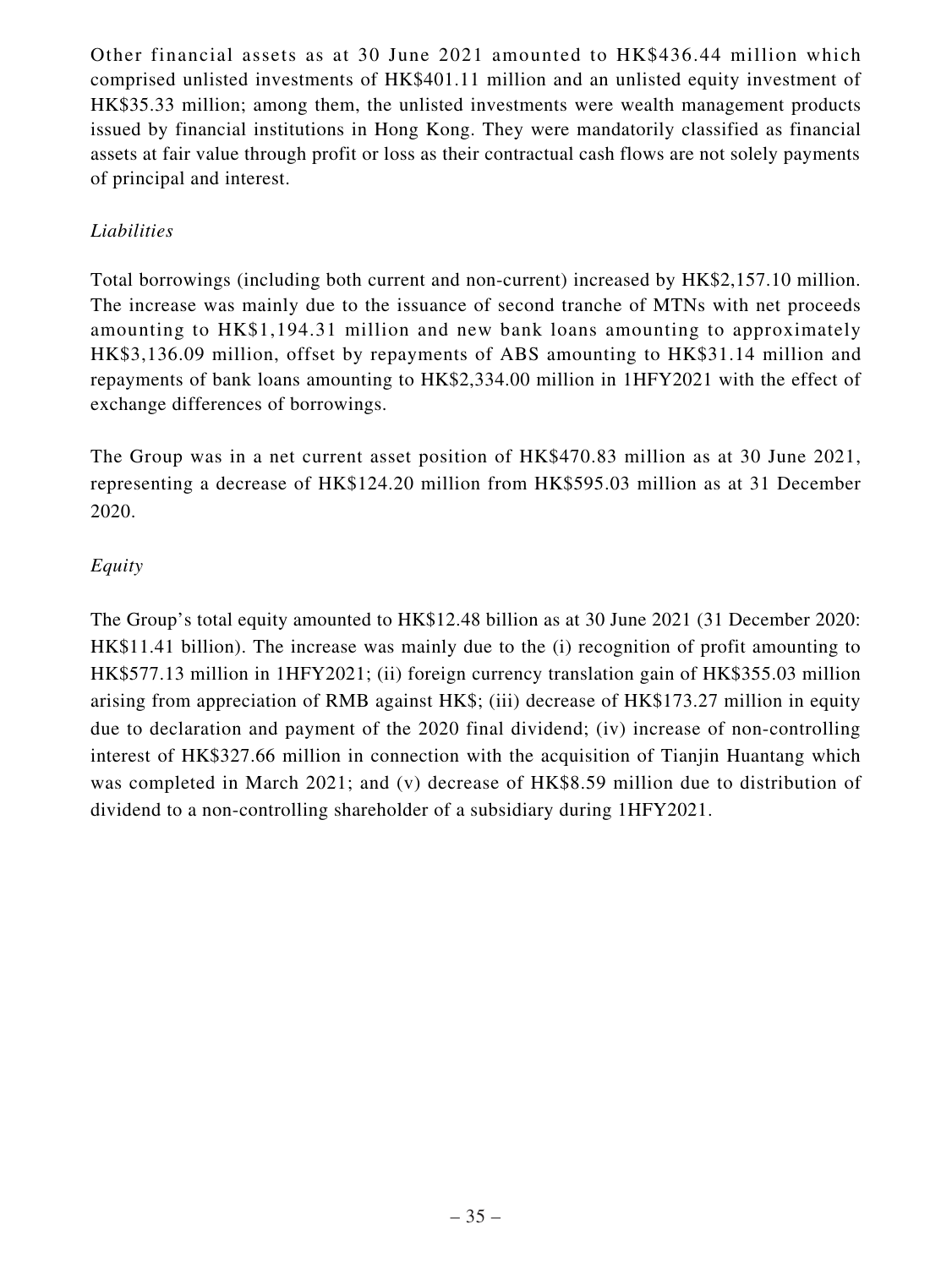Other financial assets as at 30 June 2021 amounted to HK\$436.44 million which comprised unlisted investments of HK\$401.11 million and an unlisted equity investment of HK\$35.33 million; among them, the unlisted investments were wealth management products issued by financial institutions in Hong Kong. They were mandatorily classified as financial assets at fair value through profit or loss as their contractual cash flows are not solely payments of principal and interest.

## *Liabilities*

Total borrowings (including both current and non-current) increased by HK\$2,157.10 million. The increase was mainly due to the issuance of second tranche of MTNs with net proceeds amounting to HK\$1,194.31 million and new bank loans amounting to approximately HK\$3,136.09 million, offset by repayments of ABS amounting to HK\$31.14 million and repayments of bank loans amounting to HK\$2,334.00 million in 1HFY2021 with the effect of exchange differences of borrowings.

The Group was in a net current asset position of HK\$470.83 million as at 30 June 2021, representing a decrease of HK\$124.20 million from HK\$595.03 million as at 31 December 2020.

## *Equity*

The Group's total equity amounted to HK\$12.48 billion as at 30 June 2021 (31 December 2020: HK\$11.41 billion). The increase was mainly due to the (i) recognition of profit amounting to HK\$577.13 million in 1HFY2021; (ii) foreign currency translation gain of HK\$355.03 million arising from appreciation of RMB against HK\$; (iii) decrease of HK\$173.27 million in equity due to declaration and payment of the 2020 final dividend; (iv) increase of non-controlling interest of HK\$327.66 million in connection with the acquisition of Tianjin Huantang which was completed in March 2021; and (v) decrease of HK\$8.59 million due to distribution of dividend to a non-controlling shareholder of a subsidiary during 1HFY2021.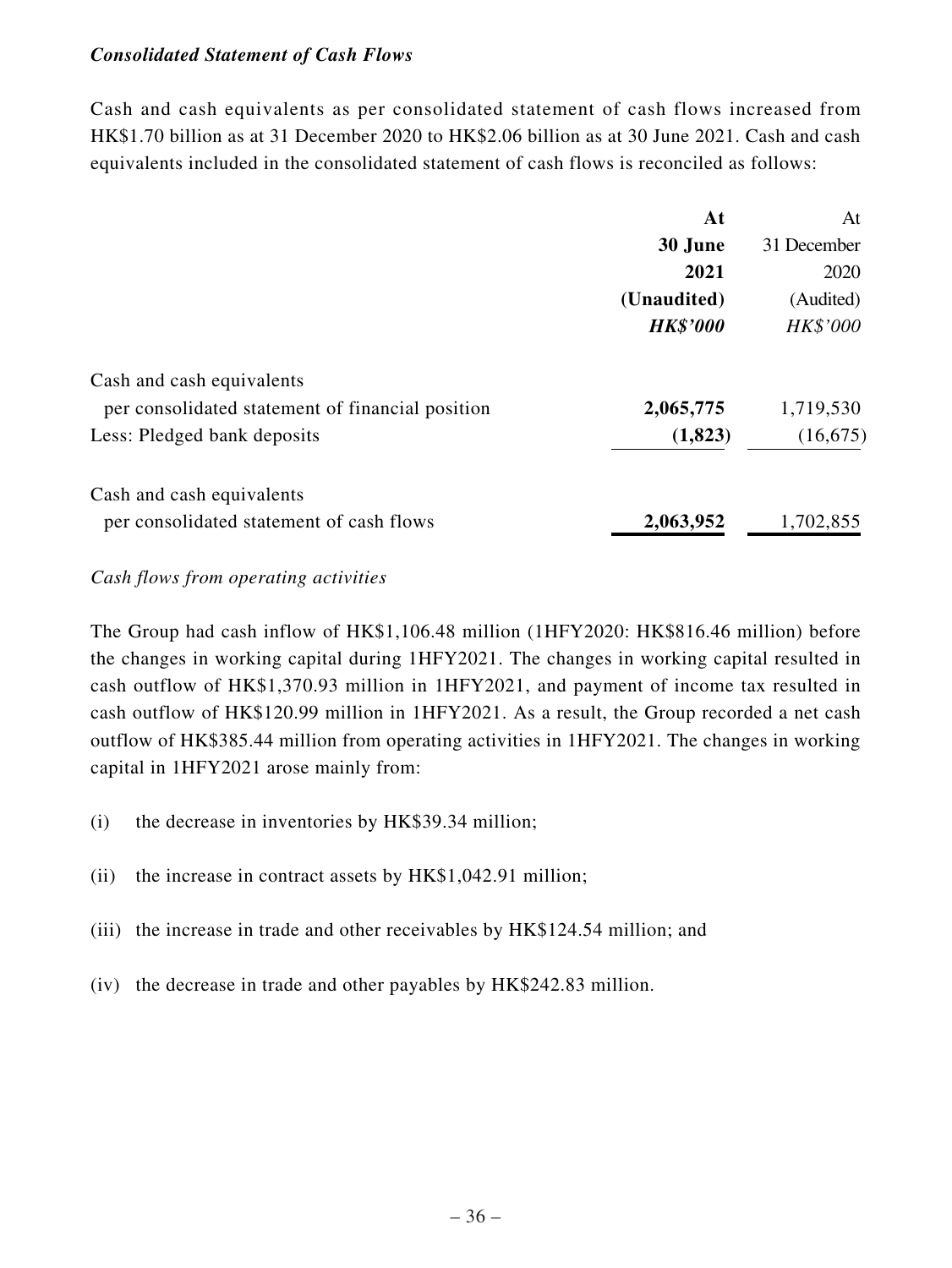## *Consolidated Statement of Cash Flows*

Cash and cash equivalents as per consolidated statement of cash flows increased from HK\$1.70 billion as at 31 December 2020 to HK\$2.06 billion as at 30 June 2021. Cash and cash equivalents included in the consolidated statement of cash flows is reconciled as follows:

|                                                  | At              | At          |
|--------------------------------------------------|-----------------|-------------|
|                                                  | 30 June         | 31 December |
|                                                  | 2021            | 2020        |
|                                                  | (Unaudited)     | (Audited)   |
|                                                  | <b>HK\$'000</b> | HK\$'000    |
| Cash and cash equivalents                        |                 |             |
| per consolidated statement of financial position | 2,065,775       | 1,719,530   |
| Less: Pledged bank deposits                      | (1,823)         | (16, 675)   |
| Cash and cash equivalents                        |                 |             |
| per consolidated statement of cash flows         | 2,063,952       | 1,702,855   |

*Cash flows from operating activities*

The Group had cash inflow of HK\$1,106.48 million (1HFY2020: HK\$816.46 million) before the changes in working capital during 1HFY2021. The changes in working capital resulted in cash outflow of HK\$1,370.93 million in 1HFY2021, and payment of income tax resulted in cash outflow of HK\$120.99 million in 1HFY2021. As a result, the Group recorded a net cash outflow of HK\$385.44 million from operating activities in 1HFY2021. The changes in working capital in 1HFY2021 arose mainly from:

- (i) the decrease in inventories by HK\$39.34 million;
- (ii) the increase in contract assets by HK\$1,042.91 million;
- (iii) the increase in trade and other receivables by HK\$124.54 million; and
- (iv) the decrease in trade and other payables by HK\$242.83 million.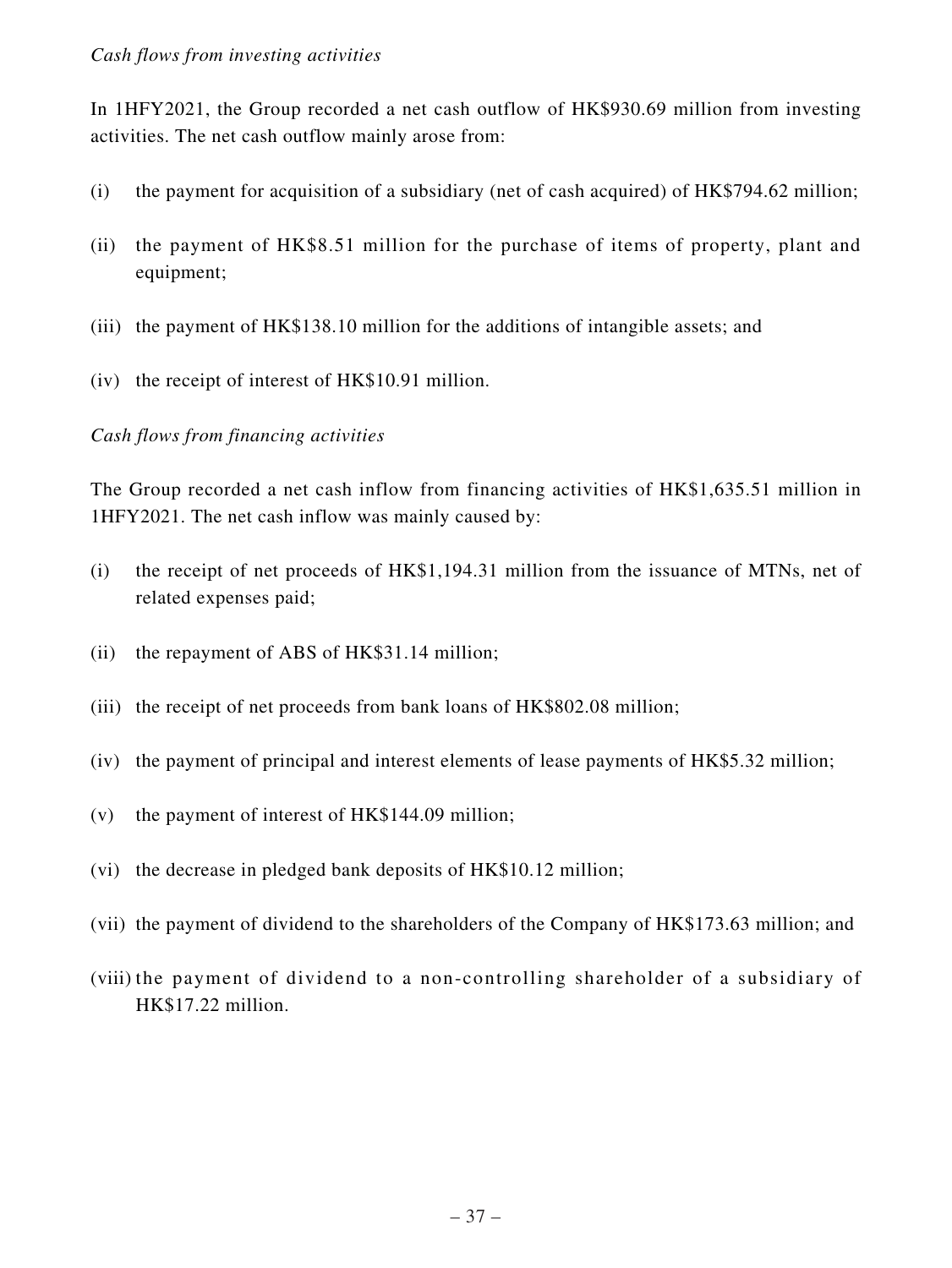In 1HFY2021, the Group recorded a net cash outflow of HK\$930.69 million from investing activities. The net cash outflow mainly arose from:

- (i) the payment for acquisition of a subsidiary (net of cash acquired) of HK\$794.62 million;
- (ii) the payment of HK\$8.51 million for the purchase of items of property, plant and equipment;
- (iii) the payment of HK\$138.10 million for the additions of intangible assets; and
- (iv) the receipt of interest of HK\$10.91 million.

## *Cash flows from financing activities*

The Group recorded a net cash inflow from financing activities of HK\$1,635.51 million in 1HFY2021. The net cash inflow was mainly caused by:

- (i) the receipt of net proceeds of HK\$1,194.31 million from the issuance of MTNs, net of related expenses paid;
- (ii) the repayment of ABS of HK\$31.14 million;
- (iii) the receipt of net proceeds from bank loans of HK\$802.08 million;
- (iv) the payment of principal and interest elements of lease payments of HK\$5.32 million;
- (v) the payment of interest of HK\$144.09 million;
- (vi) the decrease in pledged bank deposits of HK\$10.12 million;
- (vii) the payment of dividend to the shareholders of the Company of HK\$173.63 million; and
- (viii) the payment of dividend to a non-controlling shareholder of a subsidiary of HK\$17.22 million.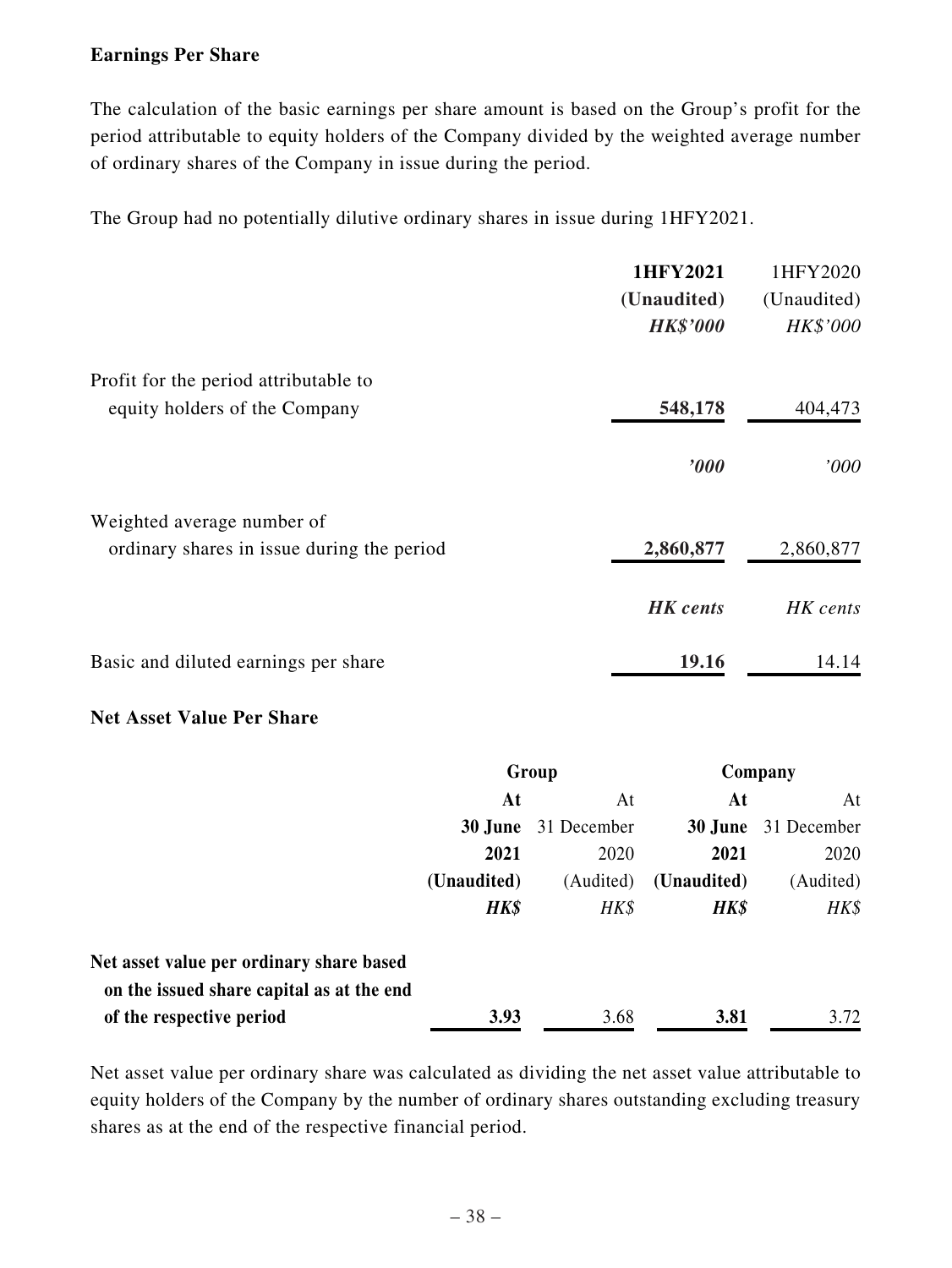## **Earnings Per Share**

The calculation of the basic earnings per share amount is based on the Group's profit for the period attributable to equity holders of the Company divided by the weighted average number of ordinary shares of the Company in issue during the period.

The Group had no potentially dilutive ordinary shares in issue during 1HFY2021.

|                                            | 1HFY2021        | 1HFY2020    |
|--------------------------------------------|-----------------|-------------|
|                                            | (Unaudited)     | (Unaudited) |
|                                            | <b>HK\$'000</b> | HK\$'000    |
| Profit for the period attributable to      |                 |             |
| equity holders of the Company              | 548,178         | 404,473     |
|                                            | $\bm{000}$      | 000'        |
| Weighted average number of                 |                 |             |
| ordinary shares in issue during the period | 2,860,877       | 2,860,877   |
|                                            | <b>HK</b> cents | HK cents    |
| Basic and diluted earnings per share       | 19.16           | 14.14       |

## **Net Asset Value Per Share**

|                                                                                       | Group       |             |             | Company     |
|---------------------------------------------------------------------------------------|-------------|-------------|-------------|-------------|
|                                                                                       | At<br>At    |             | At          | At          |
|                                                                                       | 30 June     | 31 December | 30 June     | 31 December |
|                                                                                       | 2021        | 2020        | 2021        | 2020        |
|                                                                                       | (Unaudited) | (Audited)   | (Unaudited) | (Audited)   |
|                                                                                       | HK\$        | HK\$        | HK\$        | HK\$        |
| Net asset value per ordinary share based<br>on the issued share capital as at the end |             |             |             |             |
| of the respective period                                                              | 3.93        | 3.68        | 3.81        | 3.72        |

Net asset value per ordinary share was calculated as dividing the net asset value attributable to equity holders of the Company by the number of ordinary shares outstanding excluding treasury shares as at the end of the respective financial period.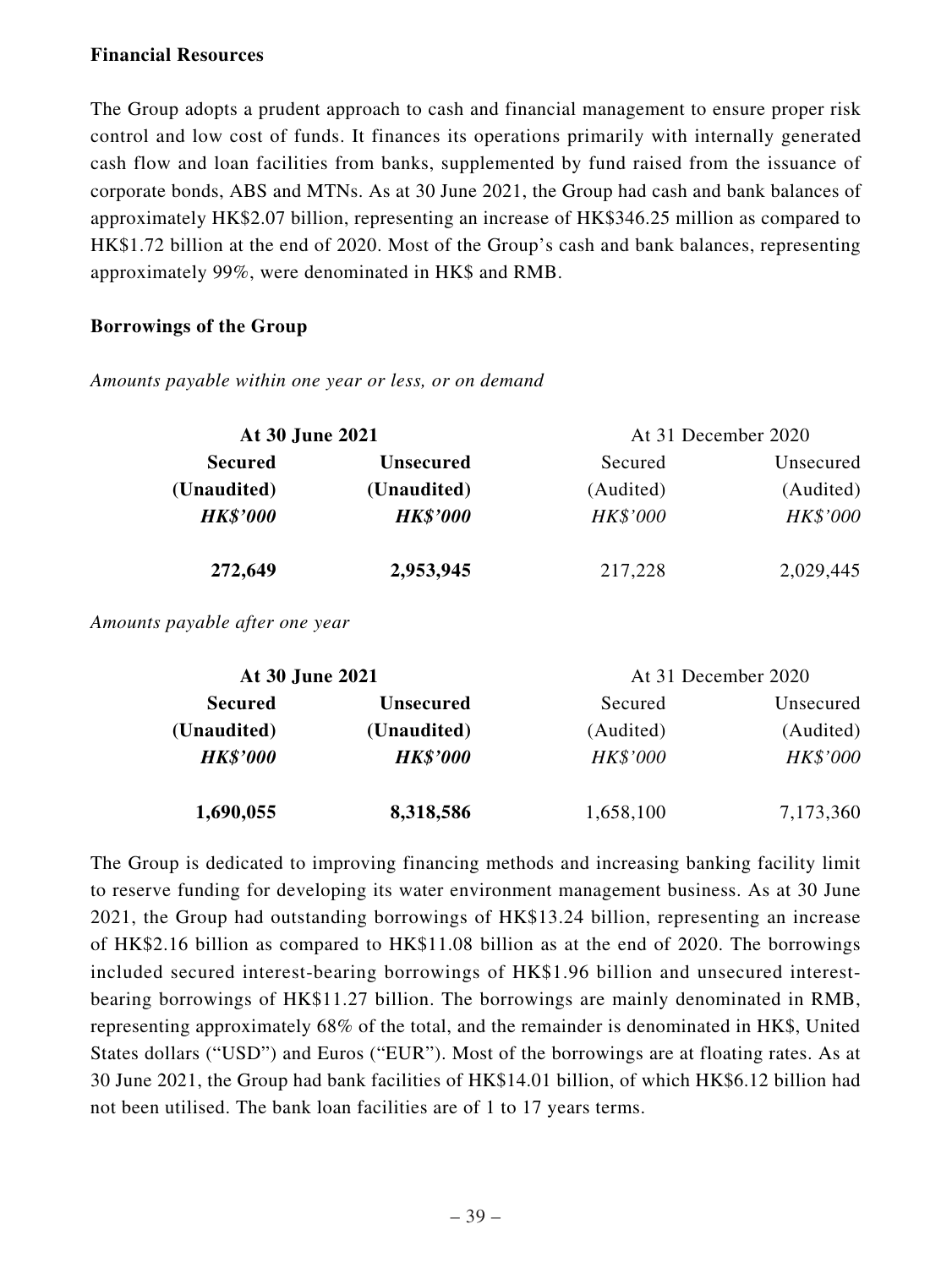### **Financial Resources**

The Group adopts a prudent approach to cash and financial management to ensure proper risk control and low cost of funds. It finances its operations primarily with internally generated cash flow and loan facilities from banks, supplemented by fund raised from the issuance of corporate bonds, ABS and MTNs. As at 30 June 2021, the Group had cash and bank balances of approximately HK\$2.07 billion, representing an increase of HK\$346.25 million as compared to HK\$1.72 billion at the end of 2020. Most of the Group's cash and bank balances, representing approximately 99%, were denominated in HK\$ and RMB.

## **Borrowings of the Group**

*Amounts payable within one year or less, or on demand*

|                 | At 30 June 2021<br>At 31 December 2020 |           |           |
|-----------------|----------------------------------------|-----------|-----------|
| <b>Secured</b>  | <b>Unsecured</b>                       | Secured   | Unsecured |
| (Unaudited)     | (Unaudited)                            | (Audited) | (Audited) |
| <b>HK\$'000</b> | <b>HK\$'000</b>                        | HK\$'000  | HK\$'000  |
| 272,649         | 2,953,945                              | 217,228   | 2,029,445 |

*Amounts payable after one year*

| At 30 June 2021 |                  | At 31 December 2020 |           |
|-----------------|------------------|---------------------|-----------|
| <b>Secured</b>  | <b>Unsecured</b> | Secured             | Unsecured |
| (Unaudited)     | (Unaudited)      | (Audited)           | (Audited) |
| <b>HK\$'000</b> | <b>HK\$'000</b>  | HK\$'000            | HK\$'000  |
| 1,690,055       | 8,318,586        | 1,658,100           | 7,173,360 |

The Group is dedicated to improving financing methods and increasing banking facility limit to reserve funding for developing its water environment management business. As at 30 June 2021, the Group had outstanding borrowings of HK\$13.24 billion, representing an increase of HK\$2.16 billion as compared to HK\$11.08 billion as at the end of 2020. The borrowings included secured interest-bearing borrowings of HK\$1.96 billion and unsecured interestbearing borrowings of HK\$11.27 billion. The borrowings are mainly denominated in RMB, representing approximately 68% of the total, and the remainder is denominated in HK\$, United States dollars ("USD") and Euros ("EUR"). Most of the borrowings are at floating rates. As at 30 June 2021, the Group had bank facilities of HK\$14.01 billion, of which HK\$6.12 billion had not been utilised. The bank loan facilities are of 1 to 17 years terms.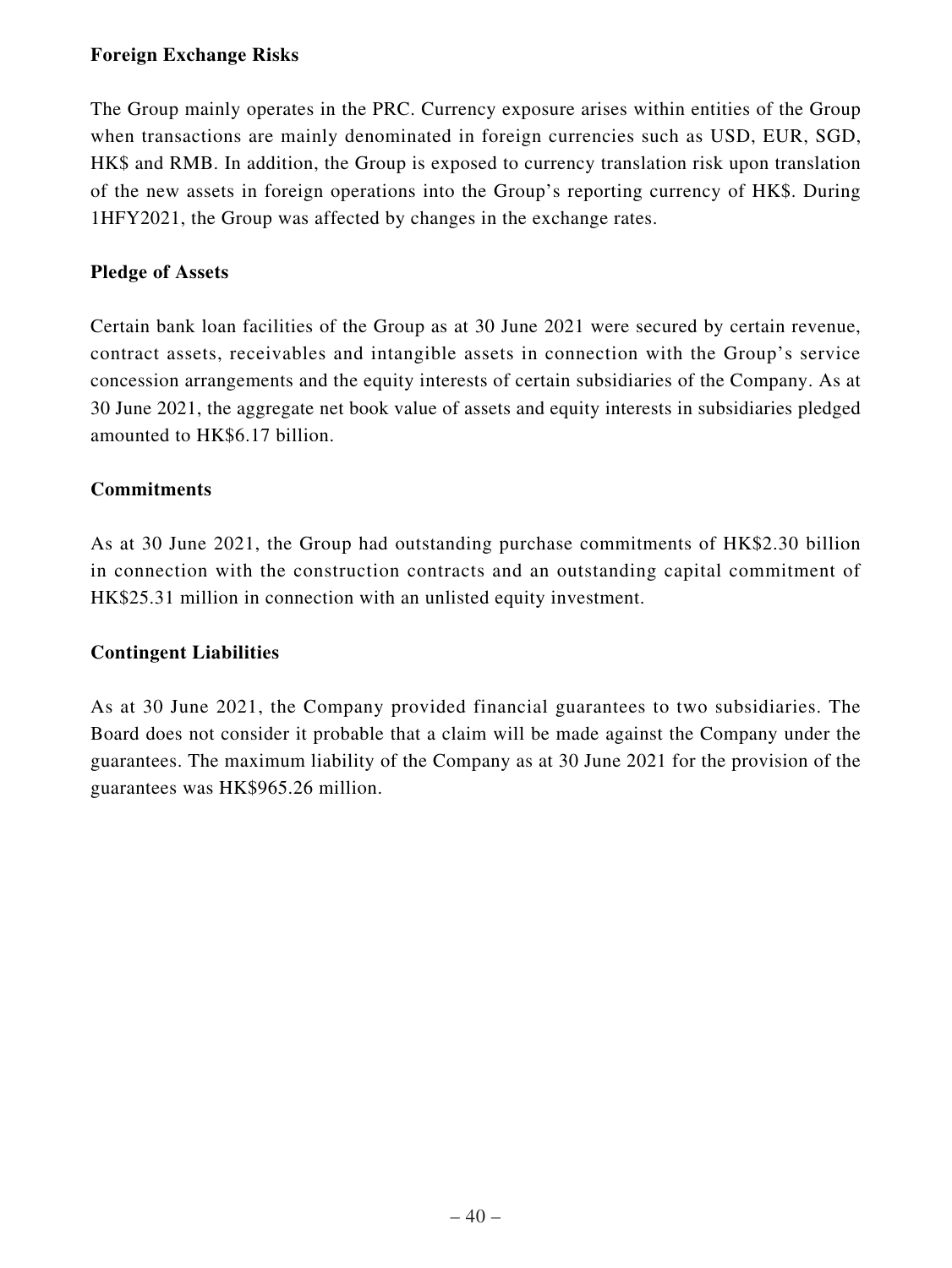## **Foreign Exchange Risks**

The Group mainly operates in the PRC. Currency exposure arises within entities of the Group when transactions are mainly denominated in foreign currencies such as USD, EUR, SGD, HK\$ and RMB. In addition, the Group is exposed to currency translation risk upon translation of the new assets in foreign operations into the Group's reporting currency of HK\$. During 1HFY2021, the Group was affected by changes in the exchange rates.

## **Pledge of Assets**

Certain bank loan facilities of the Group as at 30 June 2021 were secured by certain revenue, contract assets, receivables and intangible assets in connection with the Group's service concession arrangements and the equity interests of certain subsidiaries of the Company. As at 30 June 2021, the aggregate net book value of assets and equity interests in subsidiaries pledged amounted to HK\$6.17 billion.

## **Commitments**

As at 30 June 2021, the Group had outstanding purchase commitments of HK\$2.30 billion in connection with the construction contracts and an outstanding capital commitment of HK\$25.31 million in connection with an unlisted equity investment.

## **Contingent Liabilities**

As at 30 June 2021, the Company provided financial guarantees to two subsidiaries. The Board does not consider it probable that a claim will be made against the Company under the guarantees. The maximum liability of the Company as at 30 June 2021 for the provision of the guarantees was HK\$965.26 million.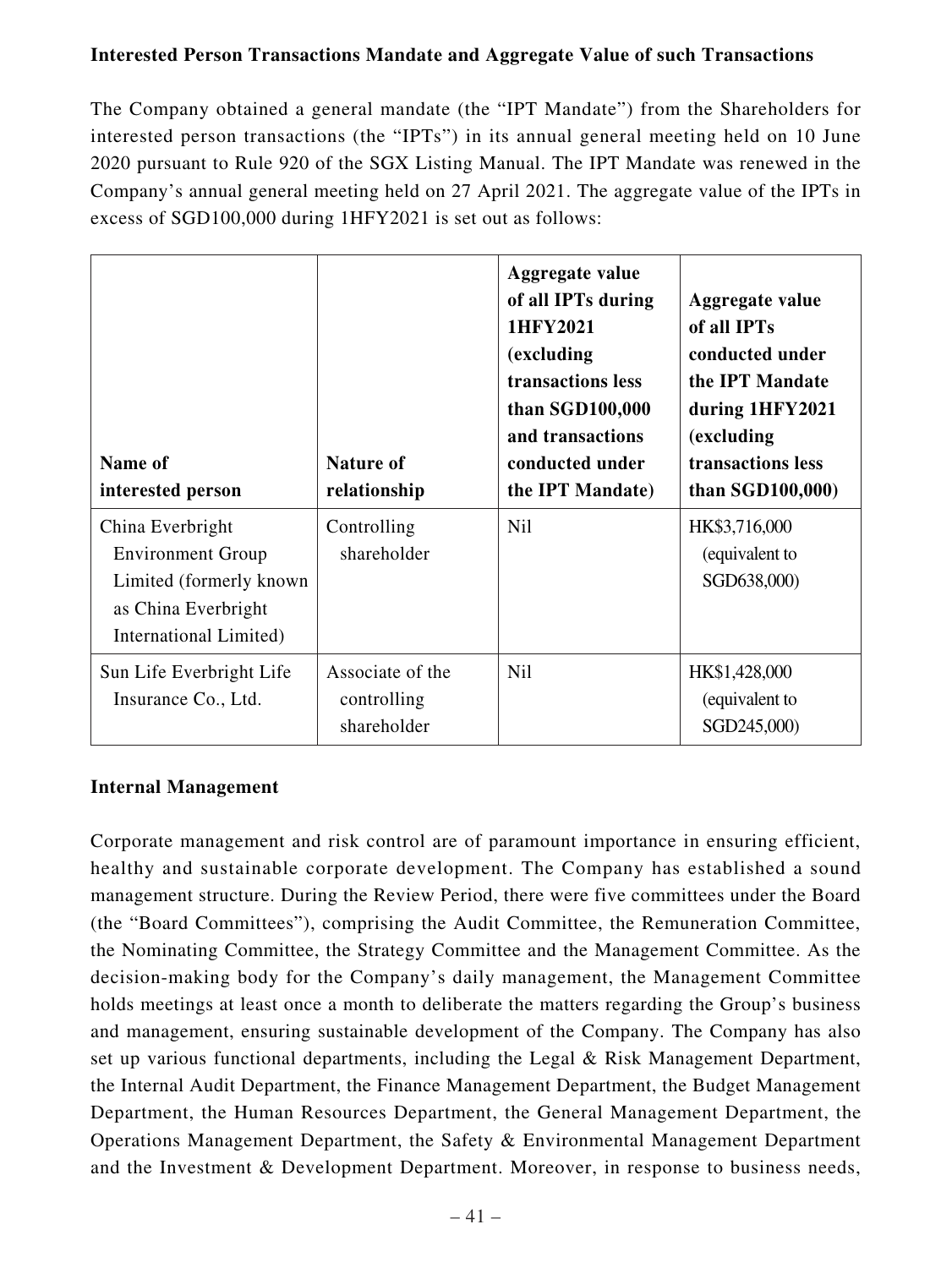## **Interested Person Transactions Mandate and Aggregate Value of such Transactions**

The Company obtained a general mandate (the "IPT Mandate") from the Shareholders for interested person transactions (the "IPTs") in its annual general meeting held on 10 June 2020 pursuant to Rule 920 of the SGX Listing Manual. The IPT Mandate was renewed in the Company's annual general meeting held on 27 April 2021. The aggregate value of the IPTs in excess of SGD100,000 during 1HFY2021 is set out as follows:

| Name of<br>interested person                                                                                              | <b>Nature of</b><br>relationship               | <b>Aggregate value</b><br>of all IPTs during<br>1HFY2021<br>(excluding<br>transactions less<br>than SGD100,000<br>and transactions<br>conducted under<br>the IPT Mandate) | Aggregate value<br>of all IPTs<br>conducted under<br>the IPT Mandate<br>during 1HFY2021<br>(excluding<br>transactions less<br>than $SGD100,000$ |
|---------------------------------------------------------------------------------------------------------------------------|------------------------------------------------|---------------------------------------------------------------------------------------------------------------------------------------------------------------------------|-------------------------------------------------------------------------------------------------------------------------------------------------|
| China Everbright<br><b>Environment Group</b><br>Limited (formerly known)<br>as China Everbright<br>International Limited) | Controlling<br>shareholder                     | <b>Nil</b>                                                                                                                                                                | HK\$3,716,000<br>(equivalent to<br>SGD638,000)                                                                                                  |
| Sun Life Everbright Life<br>Insurance Co., Ltd.                                                                           | Associate of the<br>controlling<br>shareholder | <b>Nil</b>                                                                                                                                                                | HK\$1,428,000<br>(equivalent to<br>SGD245,000)                                                                                                  |

## **Internal Management**

Corporate management and risk control are of paramount importance in ensuring efficient, healthy and sustainable corporate development. The Company has established a sound management structure. During the Review Period, there were five committees under the Board (the "Board Committees"), comprising the Audit Committee, the Remuneration Committee, the Nominating Committee, the Strategy Committee and the Management Committee. As the decision-making body for the Company's daily management, the Management Committee holds meetings at least once a month to deliberate the matters regarding the Group's business and management, ensuring sustainable development of the Company. The Company has also set up various functional departments, including the Legal & Risk Management Department, the Internal Audit Department, the Finance Management Department, the Budget Management Department, the Human Resources Department, the General Management Department, the Operations Management Department, the Safety & Environmental Management Department and the Investment & Development Department. Moreover, in response to business needs,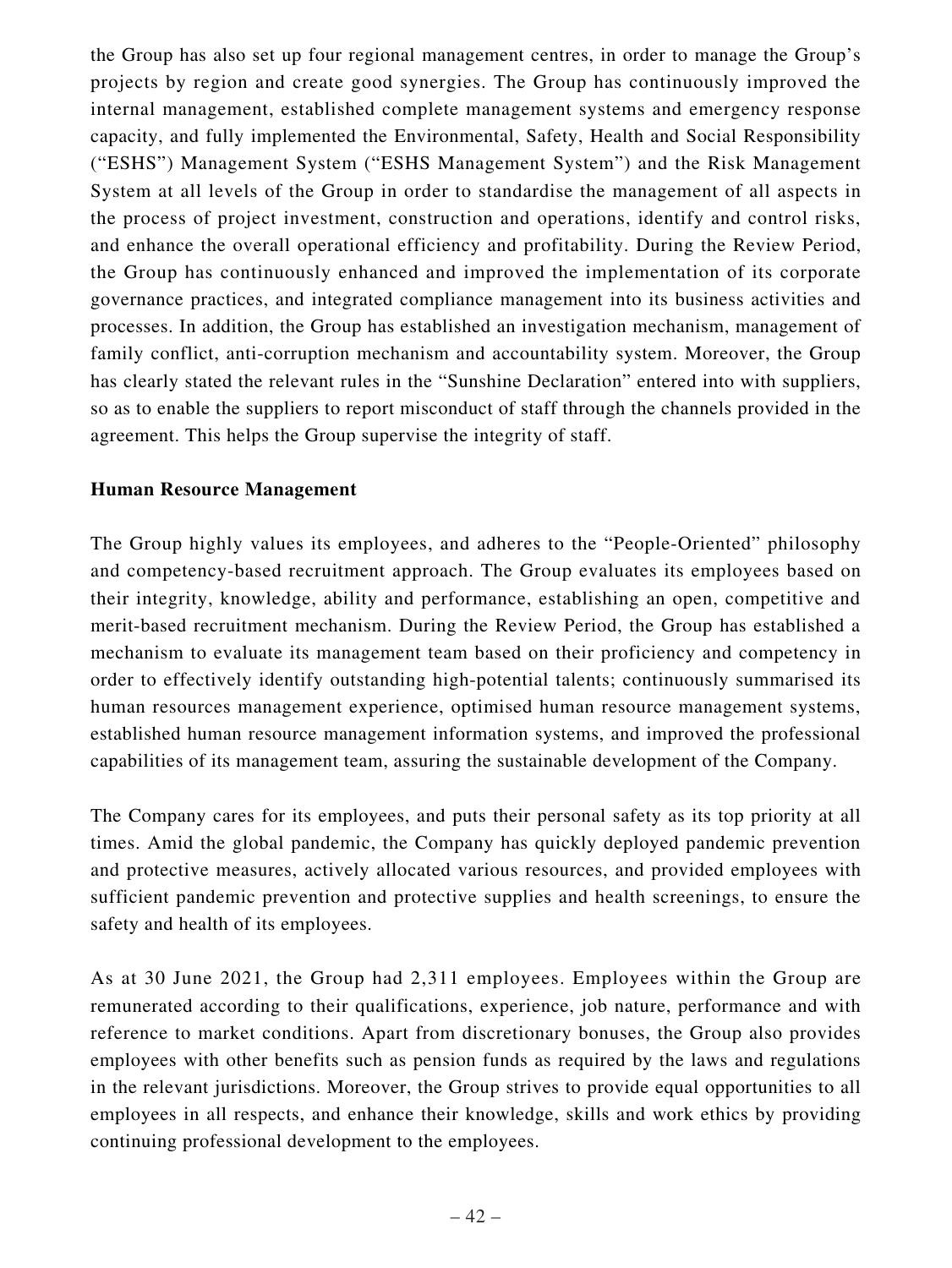the Group has also set up four regional management centres, in order to manage the Group's projects by region and create good synergies. The Group has continuously improved the internal management, established complete management systems and emergency response capacity, and fully implemented the Environmental, Safety, Health and Social Responsibility ("ESHS") Management System ("ESHS Management System") and the Risk Management System at all levels of the Group in order to standardise the management of all aspects in the process of project investment, construction and operations, identify and control risks, and enhance the overall operational efficiency and profitability. During the Review Period, the Group has continuously enhanced and improved the implementation of its corporate governance practices, and integrated compliance management into its business activities and processes. In addition, the Group has established an investigation mechanism, management of family conflict, anti-corruption mechanism and accountability system. Moreover, the Group has clearly stated the relevant rules in the "Sunshine Declaration" entered into with suppliers, so as to enable the suppliers to report misconduct of staff through the channels provided in the agreement. This helps the Group supervise the integrity of staff.

### **Human Resource Management**

The Group highly values its employees, and adheres to the "People-Oriented" philosophy and competency-based recruitment approach. The Group evaluates its employees based on their integrity, knowledge, ability and performance, establishing an open, competitive and merit-based recruitment mechanism. During the Review Period, the Group has established a mechanism to evaluate its management team based on their proficiency and competency in order to effectively identify outstanding high-potential talents; continuously summarised its human resources management experience, optimised human resource management systems, established human resource management information systems, and improved the professional capabilities of its management team, assuring the sustainable development of the Company.

The Company cares for its employees, and puts their personal safety as its top priority at all times. Amid the global pandemic, the Company has quickly deployed pandemic prevention and protective measures, actively allocated various resources, and provided employees with sufficient pandemic prevention and protective supplies and health screenings, to ensure the safety and health of its employees.

As at 30 June 2021, the Group had 2,311 employees. Employees within the Group are remunerated according to their qualifications, experience, job nature, performance and with reference to market conditions. Apart from discretionary bonuses, the Group also provides employees with other benefits such as pension funds as required by the laws and regulations in the relevant jurisdictions. Moreover, the Group strives to provide equal opportunities to all employees in all respects, and enhance their knowledge, skills and work ethics by providing continuing professional development to the employees.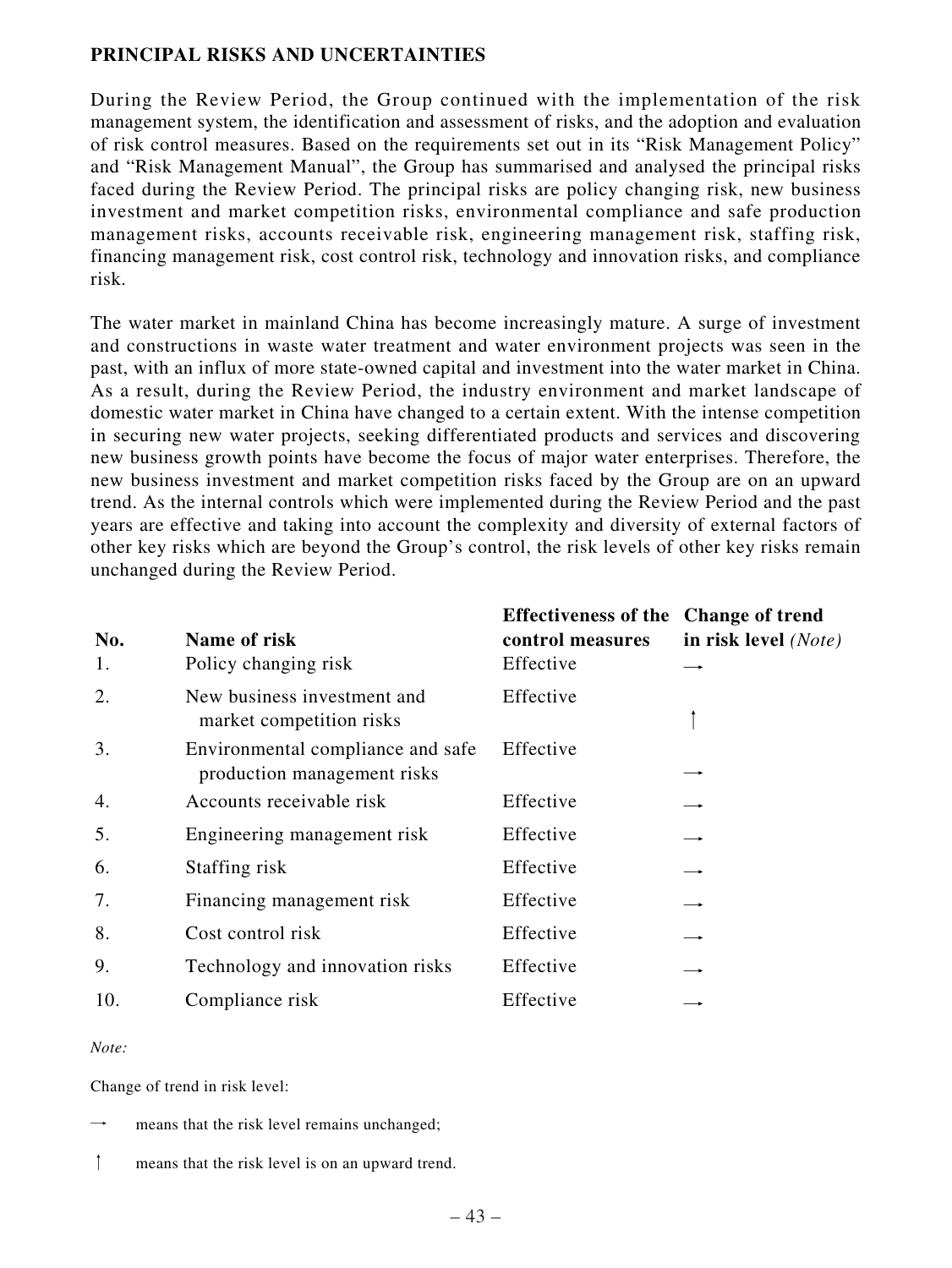## **PRINCIPAL RISKS AND UNCERTAINTIES**

During the Review Period, the Group continued with the implementation of the risk management system, the identification and assessment of risks, and the adoption and evaluation of risk control measures. Based on the requirements set out in its "Risk Management Policy" and "Risk Management Manual", the Group has summarised and analysed the principal risks faced during the Review Period. The principal risks are policy changing risk, new business investment and market competition risks, environmental compliance and safe production management risks, accounts receivable risk, engineering management risk, staffing risk, financing management risk, cost control risk, technology and innovation risks, and compliance risk.

The water market in mainland China has become increasingly mature. A surge of investment and constructions in waste water treatment and water environment projects was seen in the past, with an influx of more state-owned capital and investment into the water market in China. As a result, during the Review Period, the industry environment and market landscape of domestic water market in China have changed to a certain extent. With the intense competition in securing new water projects, seeking differentiated products and services and discovering new business growth points have become the focus of major water enterprises. Therefore, the new business investment and market competition risks faced by the Group are on an upward trend. As the internal controls which were implemented during the Review Period and the past years are effective and taking into account the complexity and diversity of external factors of other key risks which are beyond the Group's control, the risk levels of other key risks remain unchanged during the Review Period.

| No.<br>1. | Name of risk<br>Policy changing risk                             | Effectiveness of the Change of trend<br>control measures<br>Effective | in risk level (Note) |
|-----------|------------------------------------------------------------------|-----------------------------------------------------------------------|----------------------|
| 2.        | New business investment and<br>market competition risks          | Effective                                                             |                      |
| 3.        | Environmental compliance and safe<br>production management risks | Effective                                                             |                      |
| 4.        | Accounts receivable risk                                         | Effective                                                             |                      |
| 5.        | Engineering management risk                                      | Effective                                                             |                      |
| 6.        | Staffing risk                                                    | Effective                                                             |                      |
| 7.        | Financing management risk                                        | Effective                                                             |                      |
| 8.        | Cost control risk                                                | Effective                                                             |                      |
| 9.        | Technology and innovation risks                                  | Effective                                                             |                      |
| 10.       | Compliance risk                                                  | Effective                                                             |                      |

#### *Note:*

Change of trend in risk level:

- means that the risk level remains unchanged;
- ↑ means that the risk level is on an upward trend.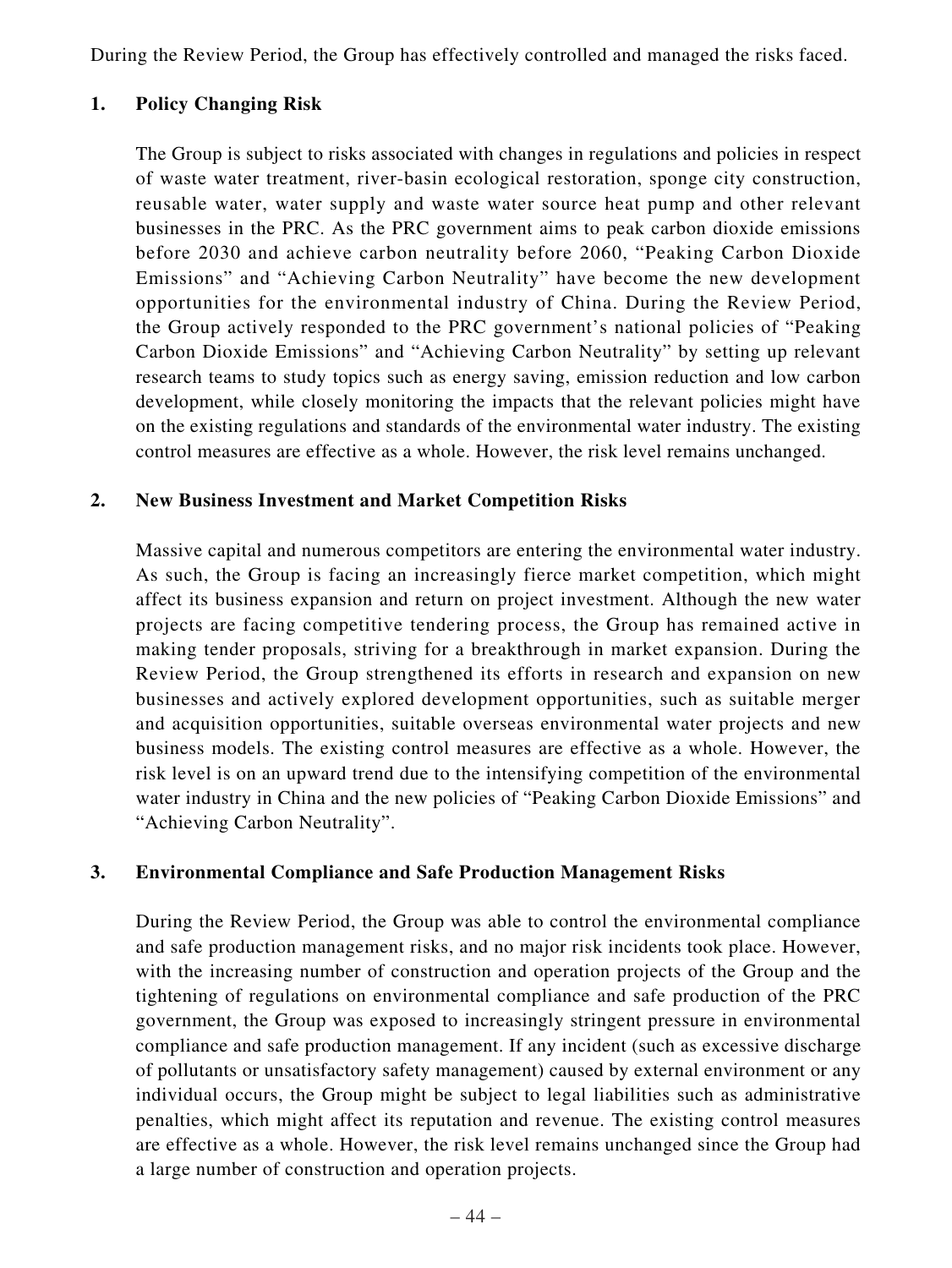During the Review Period, the Group has effectively controlled and managed the risks faced.

## **1. Policy Changing Risk**

The Group is subject to risks associated with changes in regulations and policies in respect of waste water treatment, river-basin ecological restoration, sponge city construction, reusable water, water supply and waste water source heat pump and other relevant businesses in the PRC. As the PRC government aims to peak carbon dioxide emissions before 2030 and achieve carbon neutrality before 2060, "Peaking Carbon Dioxide Emissions" and "Achieving Carbon Neutrality" have become the new development opportunities for the environmental industry of China. During the Review Period, the Group actively responded to the PRC government's national policies of "Peaking Carbon Dioxide Emissions" and "Achieving Carbon Neutrality" by setting up relevant research teams to study topics such as energy saving, emission reduction and low carbon development, while closely monitoring the impacts that the relevant policies might have on the existing regulations and standards of the environmental water industry. The existing control measures are effective as a whole. However, the risk level remains unchanged.

## **2. New Business Investment and Market Competition Risks**

Massive capital and numerous competitors are entering the environmental water industry. As such, the Group is facing an increasingly fierce market competition, which might affect its business expansion and return on project investment. Although the new water projects are facing competitive tendering process, the Group has remained active in making tender proposals, striving for a breakthrough in market expansion. During the Review Period, the Group strengthened its efforts in research and expansion on new businesses and actively explored development opportunities, such as suitable merger and acquisition opportunities, suitable overseas environmental water projects and new business models. The existing control measures are effective as a whole. However, the risk level is on an upward trend due to the intensifying competition of the environmental water industry in China and the new policies of "Peaking Carbon Dioxide Emissions" and "Achieving Carbon Neutrality".

## **3. Environmental Compliance and Safe Production Management Risks**

During the Review Period, the Group was able to control the environmental compliance and safe production management risks, and no major risk incidents took place. However, with the increasing number of construction and operation projects of the Group and the tightening of regulations on environmental compliance and safe production of the PRC government, the Group was exposed to increasingly stringent pressure in environmental compliance and safe production management. If any incident (such as excessive discharge of pollutants or unsatisfactory safety management) caused by external environment or any individual occurs, the Group might be subject to legal liabilities such as administrative penalties, which might affect its reputation and revenue. The existing control measures are effective as a whole. However, the risk level remains unchanged since the Group had a large number of construction and operation projects.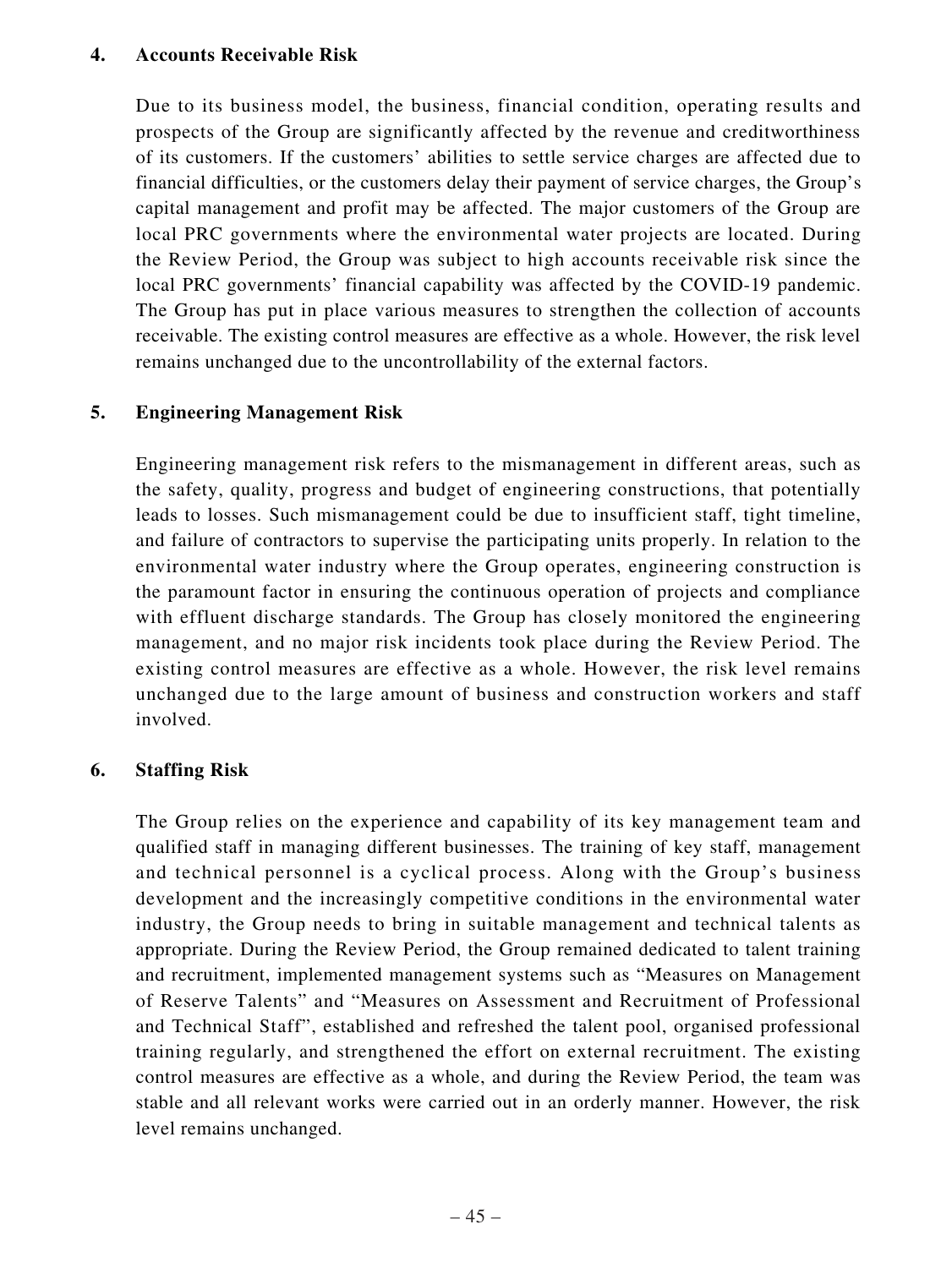### **4. Accounts Receivable Risk**

Due to its business model, the business, financial condition, operating results and prospects of the Group are significantly affected by the revenue and creditworthiness of its customers. If the customers' abilities to settle service charges are affected due to financial difficulties, or the customers delay their payment of service charges, the Group's capital management and profit may be affected. The major customers of the Group are local PRC governments where the environmental water projects are located. During the Review Period, the Group was subject to high accounts receivable risk since the local PRC governments' financial capability was affected by the COVID-19 pandemic. The Group has put in place various measures to strengthen the collection of accounts receivable. The existing control measures are effective as a whole. However, the risk level remains unchanged due to the uncontrollability of the external factors.

## **5. Engineering Management Risk**

Engineering management risk refers to the mismanagement in different areas, such as the safety, quality, progress and budget of engineering constructions, that potentially leads to losses. Such mismanagement could be due to insufficient staff, tight timeline, and failure of contractors to supervise the participating units properly. In relation to the environmental water industry where the Group operates, engineering construction is the paramount factor in ensuring the continuous operation of projects and compliance with effluent discharge standards. The Group has closely monitored the engineering management, and no major risk incidents took place during the Review Period. The existing control measures are effective as a whole. However, the risk level remains unchanged due to the large amount of business and construction workers and staff involved.

## **6. Staffing Risk**

The Group relies on the experience and capability of its key management team and qualified staff in managing different businesses. The training of key staff, management and technical personnel is a cyclical process. Along with the Group's business development and the increasingly competitive conditions in the environmental water industry, the Group needs to bring in suitable management and technical talents as appropriate. During the Review Period, the Group remained dedicated to talent training and recruitment, implemented management systems such as "Measures on Management of Reserve Talents" and "Measures on Assessment and Recruitment of Professional and Technical Staff", established and refreshed the talent pool, organised professional training regularly, and strengthened the effort on external recruitment. The existing control measures are effective as a whole, and during the Review Period, the team was stable and all relevant works were carried out in an orderly manner. However, the risk level remains unchanged.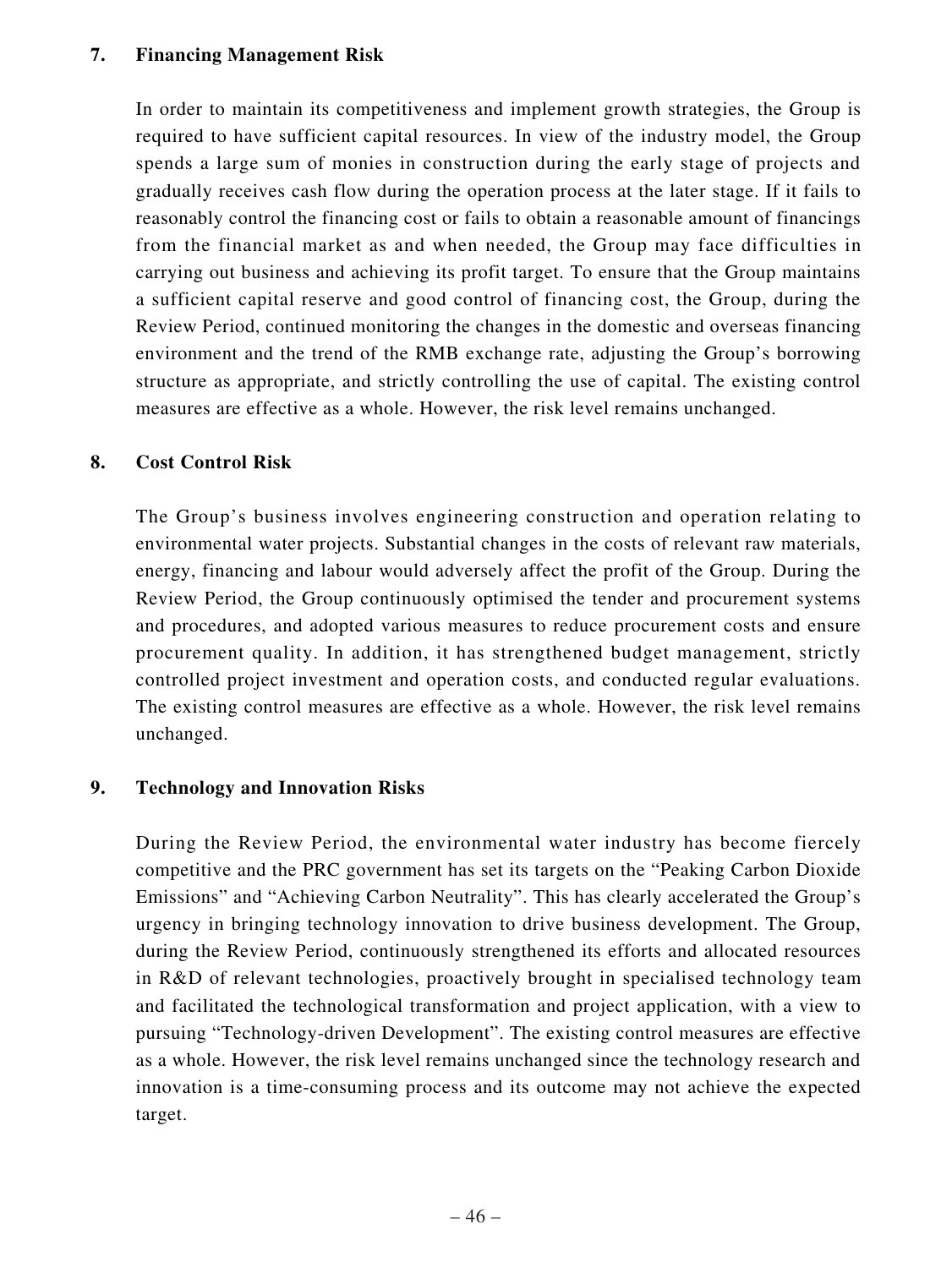## **7. Financing Management Risk**

In order to maintain its competitiveness and implement growth strategies, the Group is required to have sufficient capital resources. In view of the industry model, the Group spends a large sum of monies in construction during the early stage of projects and gradually receives cash flow during the operation process at the later stage. If it fails to reasonably control the financing cost or fails to obtain a reasonable amount of financings from the financial market as and when needed, the Group may face difficulties in carrying out business and achieving its profit target. To ensure that the Group maintains a sufficient capital reserve and good control of financing cost, the Group, during the Review Period, continued monitoring the changes in the domestic and overseas financing environment and the trend of the RMB exchange rate, adjusting the Group's borrowing structure as appropriate, and strictly controlling the use of capital. The existing control measures are effective as a whole. However, the risk level remains unchanged.

## **8. Cost Control Risk**

The Group's business involves engineering construction and operation relating to environmental water projects. Substantial changes in the costs of relevant raw materials, energy, financing and labour would adversely affect the profit of the Group. During the Review Period, the Group continuously optimised the tender and procurement systems and procedures, and adopted various measures to reduce procurement costs and ensure procurement quality. In addition, it has strengthened budget management, strictly controlled project investment and operation costs, and conducted regular evaluations. The existing control measures are effective as a whole. However, the risk level remains unchanged.

## **9. Technology and Innovation Risks**

During the Review Period, the environmental water industry has become fiercely competitive and the PRC government has set its targets on the "Peaking Carbon Dioxide Emissions" and "Achieving Carbon Neutrality". This has clearly accelerated the Group's urgency in bringing technology innovation to drive business development. The Group, during the Review Period, continuously strengthened its efforts and allocated resources in R&D of relevant technologies, proactively brought in specialised technology team and facilitated the technological transformation and project application, with a view to pursuing "Technology-driven Development". The existing control measures are effective as a whole. However, the risk level remains unchanged since the technology research and innovation is a time-consuming process and its outcome may not achieve the expected target.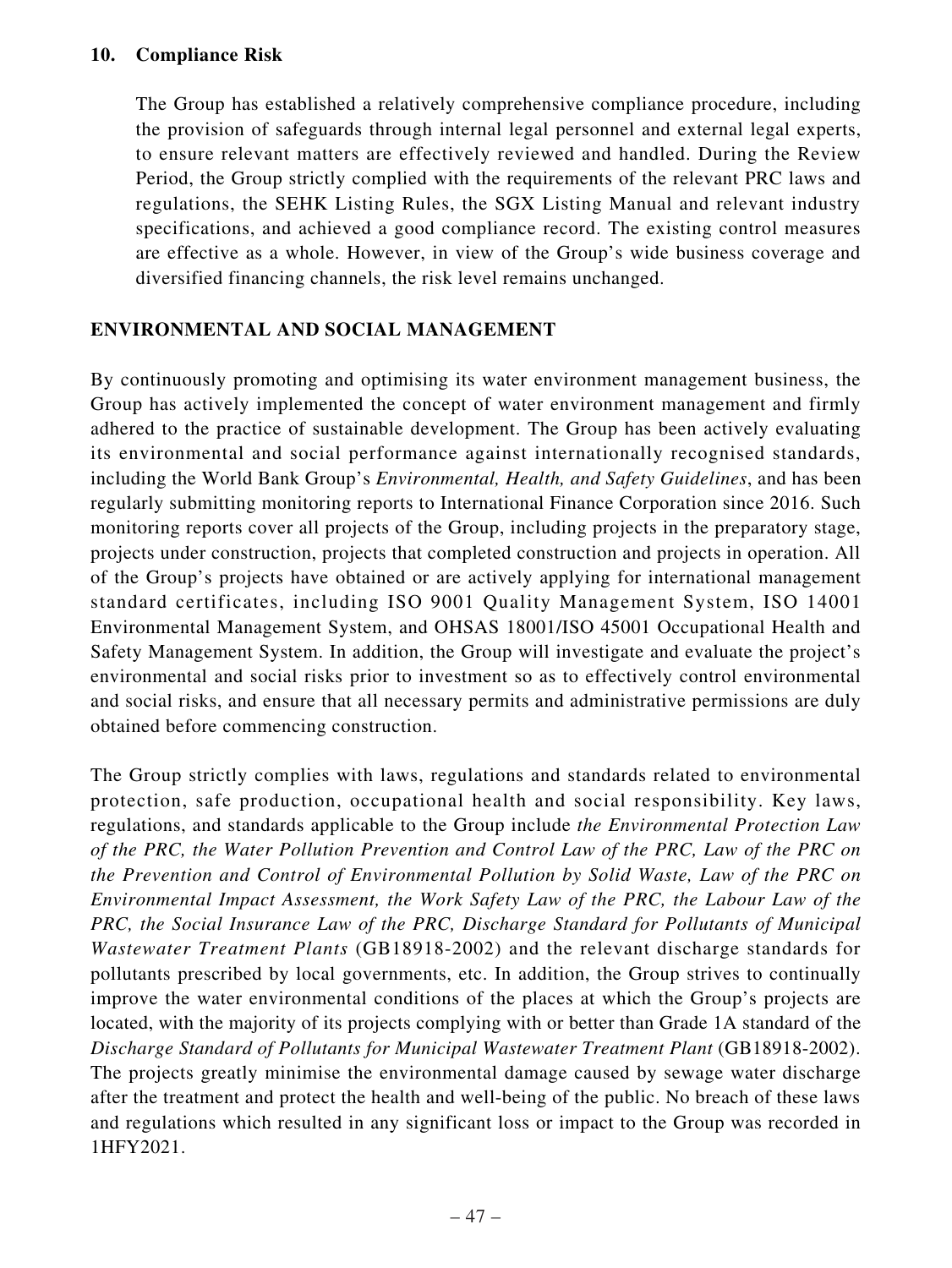## **10. Compliance Risk**

The Group has established a relatively comprehensive compliance procedure, including the provision of safeguards through internal legal personnel and external legal experts, to ensure relevant matters are effectively reviewed and handled. During the Review Period, the Group strictly complied with the requirements of the relevant PRC laws and regulations, the SEHK Listing Rules, the SGX Listing Manual and relevant industry specifications, and achieved a good compliance record. The existing control measures are effective as a whole. However, in view of the Group's wide business coverage and diversified financing channels, the risk level remains unchanged.

## **ENVIRONMENTAL AND SOCIAL MANAGEMENT**

By continuously promoting and optimising its water environment management business, the Group has actively implemented the concept of water environment management and firmly adhered to the practice of sustainable development. The Group has been actively evaluating its environmental and social performance against internationally recognised standards, including the World Bank Group's *Environmental, Health, and Safety Guidelines*, and has been regularly submitting monitoring reports to International Finance Corporation since 2016. Such monitoring reports cover all projects of the Group, including projects in the preparatory stage, projects under construction, projects that completed construction and projects in operation. All of the Group's projects have obtained or are actively applying for international management standard certificates, including ISO 9001 Quality Management System, ISO 14001 Environmental Management System, and OHSAS 18001/ISO 45001 Occupational Health and Safety Management System. In addition, the Group will investigate and evaluate the project's environmental and social risks prior to investment so as to effectively control environmental and social risks, and ensure that all necessary permits and administrative permissions are duly obtained before commencing construction.

The Group strictly complies with laws, regulations and standards related to environmental protection, safe production, occupational health and social responsibility. Key laws, regulations, and standards applicable to the Group include *the Environmental Protection Law of the PRC, the Water Pollution Prevention and Control Law of the PRC, Law of the PRC on the Prevention and Control of Environmental Pollution by Solid Waste, Law of the PRC on Environmental Impact Assessment, the Work Safety Law of the PRC, the Labour Law of the PRC, the Social Insurance Law of the PRC, Discharge Standard for Pollutants of Municipal Wastewater Treatment Plants* (GB18918-2002) and the relevant discharge standards for pollutants prescribed by local governments, etc. In addition, the Group strives to continually improve the water environmental conditions of the places at which the Group's projects are located, with the majority of its projects complying with or better than Grade 1A standard of the *Discharge Standard of Pollutants for Municipal Wastewater Treatment Plant* (GB18918-2002). The projects greatly minimise the environmental damage caused by sewage water discharge after the treatment and protect the health and well-being of the public. No breach of these laws and regulations which resulted in any significant loss or impact to the Group was recorded in 1HFY2021.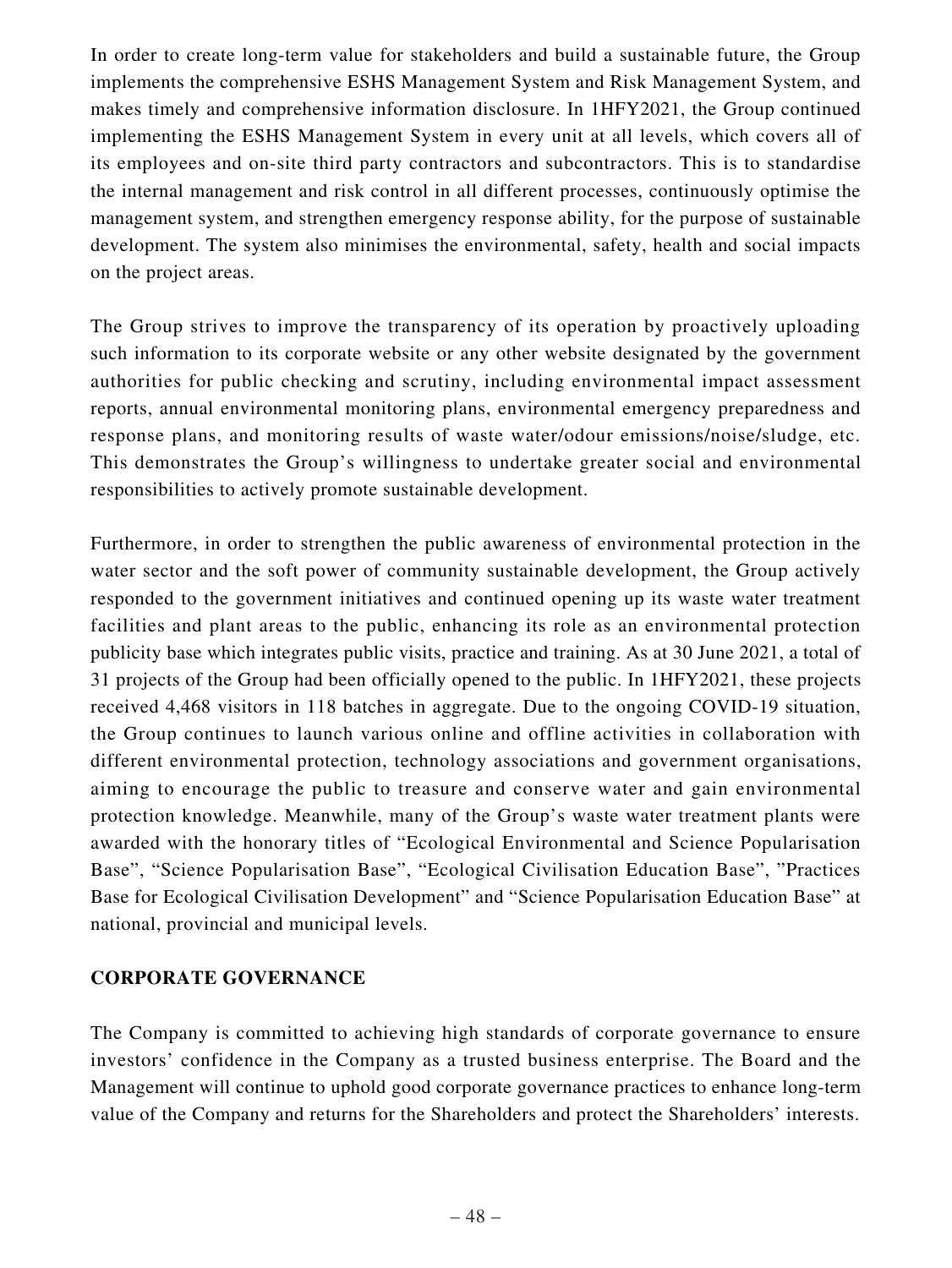In order to create long-term value for stakeholders and build a sustainable future, the Group implements the comprehensive ESHS Management System and Risk Management System, and makes timely and comprehensive information disclosure. In 1HFY2021, the Group continued implementing the ESHS Management System in every unit at all levels, which covers all of its employees and on-site third party contractors and subcontractors. This is to standardise the internal management and risk control in all different processes, continuously optimise the management system, and strengthen emergency response ability, for the purpose of sustainable development. The system also minimises the environmental, safety, health and social impacts on the project areas.

The Group strives to improve the transparency of its operation by proactively uploading such information to its corporate website or any other website designated by the government authorities for public checking and scrutiny, including environmental impact assessment reports, annual environmental monitoring plans, environmental emergency preparedness and response plans, and monitoring results of waste water/odour emissions/noise/sludge, etc. This demonstrates the Group's willingness to undertake greater social and environmental responsibilities to actively promote sustainable development.

Furthermore, in order to strengthen the public awareness of environmental protection in the water sector and the soft power of community sustainable development, the Group actively responded to the government initiatives and continued opening up its waste water treatment facilities and plant areas to the public, enhancing its role as an environmental protection publicity base which integrates public visits, practice and training. As at 30 June 2021, a total of 31 projects of the Group had been officially opened to the public. In 1HFY2021, these projects received 4,468 visitors in 118 batches in aggregate. Due to the ongoing COVID-19 situation, the Group continues to launch various online and offline activities in collaboration with different environmental protection, technology associations and government organisations, aiming to encourage the public to treasure and conserve water and gain environmental protection knowledge. Meanwhile, many of the Group's waste water treatment plants were awarded with the honorary titles of "Ecological Environmental and Science Popularisation Base", "Science Popularisation Base", "Ecological Civilisation Education Base", "Practices Base for Ecological Civilisation Development" and "Science Popularisation Education Base" at national, provincial and municipal levels.

## **CORPORATE GOVERNANCE**

The Company is committed to achieving high standards of corporate governance to ensure investors' confidence in the Company as a trusted business enterprise. The Board and the Management will continue to uphold good corporate governance practices to enhance long-term value of the Company and returns for the Shareholders and protect the Shareholders' interests.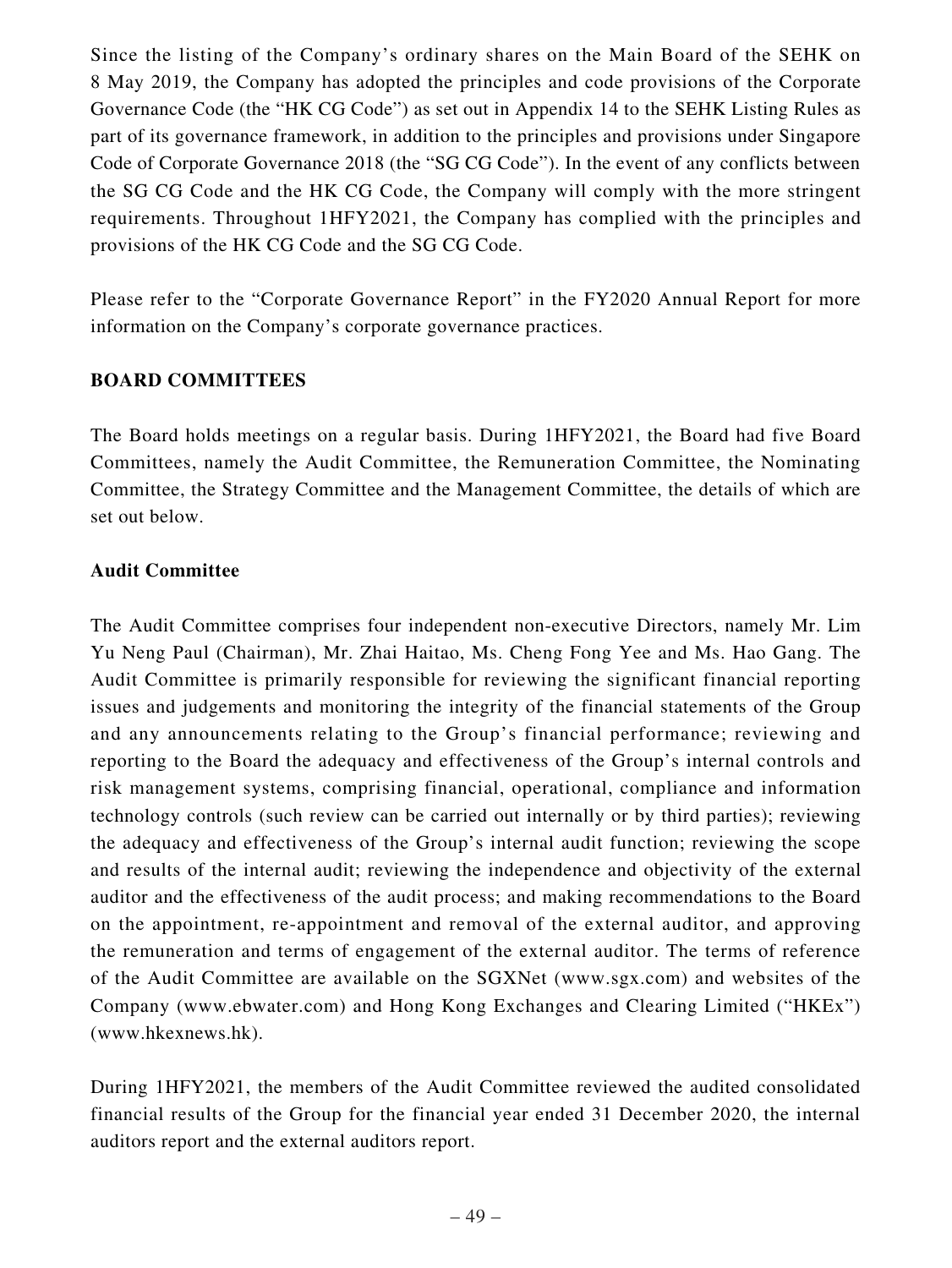Since the listing of the Company's ordinary shares on the Main Board of the SEHK on 8 May 2019, the Company has adopted the principles and code provisions of the Corporate Governance Code (the "HK CG Code") as set out in Appendix 14 to the SEHK Listing Rules as part of its governance framework, in addition to the principles and provisions under Singapore Code of Corporate Governance 2018 (the "SG CG Code"). In the event of any conflicts between the SG CG Code and the HK CG Code, the Company will comply with the more stringent requirements. Throughout 1HFY2021, the Company has complied with the principles and provisions of the HK CG Code and the SG CG Code.

Please refer to the "Corporate Governance Report" in the FY2020 Annual Report for more information on the Company's corporate governance practices.

## **BOARD COMMITTEES**

The Board holds meetings on a regular basis. During 1HFY2021, the Board had five Board Committees, namely the Audit Committee, the Remuneration Committee, the Nominating Committee, the Strategy Committee and the Management Committee, the details of which are set out below.

## **Audit Committee**

The Audit Committee comprises four independent non-executive Directors, namely Mr. Lim Yu Neng Paul (Chairman), Mr. Zhai Haitao, Ms. Cheng Fong Yee and Ms. Hao Gang. The Audit Committee is primarily responsible for reviewing the significant financial reporting issues and judgements and monitoring the integrity of the financial statements of the Group and any announcements relating to the Group's financial performance; reviewing and reporting to the Board the adequacy and effectiveness of the Group's internal controls and risk management systems, comprising financial, operational, compliance and information technology controls (such review can be carried out internally or by third parties); reviewing the adequacy and effectiveness of the Group's internal audit function; reviewing the scope and results of the internal audit; reviewing the independence and objectivity of the external auditor and the effectiveness of the audit process; and making recommendations to the Board on the appointment, re-appointment and removal of the external auditor, and approving the remuneration and terms of engagement of the external auditor. The terms of reference of the Audit Committee are available on the SGXNet (www.sgx.com) and websites of the Company (www.ebwater.com) and Hong Kong Exchanges and Clearing Limited ("HKEx") (www.hkexnews.hk).

During 1HFY2021, the members of the Audit Committee reviewed the audited consolidated financial results of the Group for the financial year ended 31 December 2020, the internal auditors report and the external auditors report.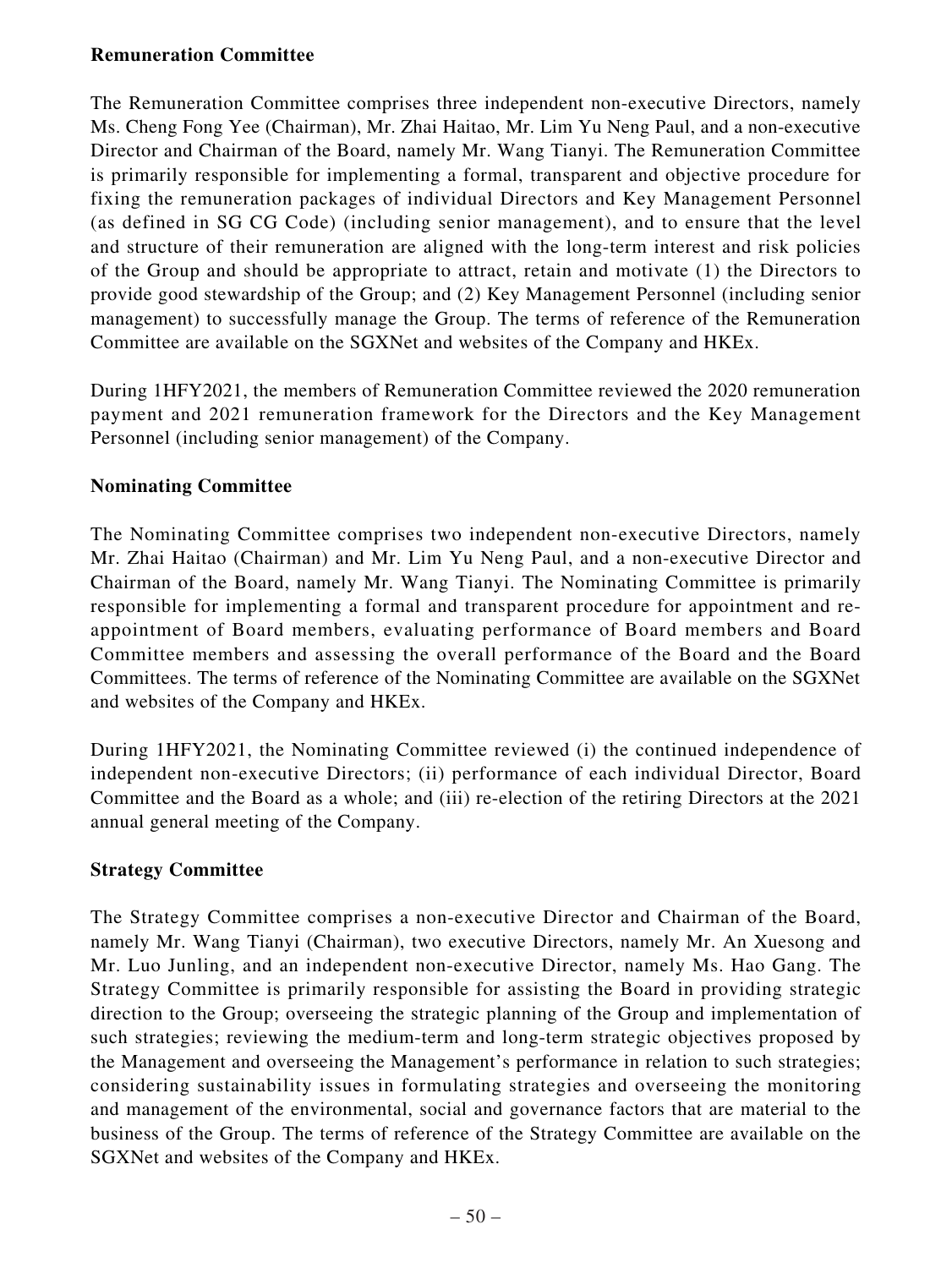## **Remuneration Committee**

The Remuneration Committee comprises three independent non-executive Directors, namely Ms. Cheng Fong Yee (Chairman), Mr. Zhai Haitao, Mr. Lim Yu Neng Paul, and a non-executive Director and Chairman of the Board, namely Mr. Wang Tianyi. The Remuneration Committee is primarily responsible for implementing a formal, transparent and objective procedure for fixing the remuneration packages of individual Directors and Key Management Personnel (as defined in SG CG Code) (including senior management), and to ensure that the level and structure of their remuneration are aligned with the long-term interest and risk policies of the Group and should be appropriate to attract, retain and motivate (1) the Directors to provide good stewardship of the Group; and (2) Key Management Personnel (including senior management) to successfully manage the Group. The terms of reference of the Remuneration Committee are available on the SGXNet and websites of the Company and HKEx.

During 1HFY2021, the members of Remuneration Committee reviewed the 2020 remuneration payment and 2021 remuneration framework for the Directors and the Key Management Personnel (including senior management) of the Company.

## **Nominating Committee**

The Nominating Committee comprises two independent non-executive Directors, namely Mr. Zhai Haitao (Chairman) and Mr. Lim Yu Neng Paul, and a non-executive Director and Chairman of the Board, namely Mr. Wang Tianyi. The Nominating Committee is primarily responsible for implementing a formal and transparent procedure for appointment and reappointment of Board members, evaluating performance of Board members and Board Committee members and assessing the overall performance of the Board and the Board Committees. The terms of reference of the Nominating Committee are available on the SGXNet and websites of the Company and HKEx.

During 1HFY2021, the Nominating Committee reviewed (i) the continued independence of independent non-executive Directors; (ii) performance of each individual Director, Board Committee and the Board as a whole; and (iii) re-election of the retiring Directors at the 2021 annual general meeting of the Company.

## **Strategy Committee**

The Strategy Committee comprises a non-executive Director and Chairman of the Board, namely Mr. Wang Tianyi (Chairman), two executive Directors, namely Mr. An Xuesong and Mr. Luo Junling, and an independent non-executive Director, namely Ms. Hao Gang. The Strategy Committee is primarily responsible for assisting the Board in providing strategic direction to the Group; overseeing the strategic planning of the Group and implementation of such strategies; reviewing the medium-term and long-term strategic objectives proposed by the Management and overseeing the Management's performance in relation to such strategies; considering sustainability issues in formulating strategies and overseeing the monitoring and management of the environmental, social and governance factors that are material to the business of the Group. The terms of reference of the Strategy Committee are available on the SGXNet and websites of the Company and HKEx.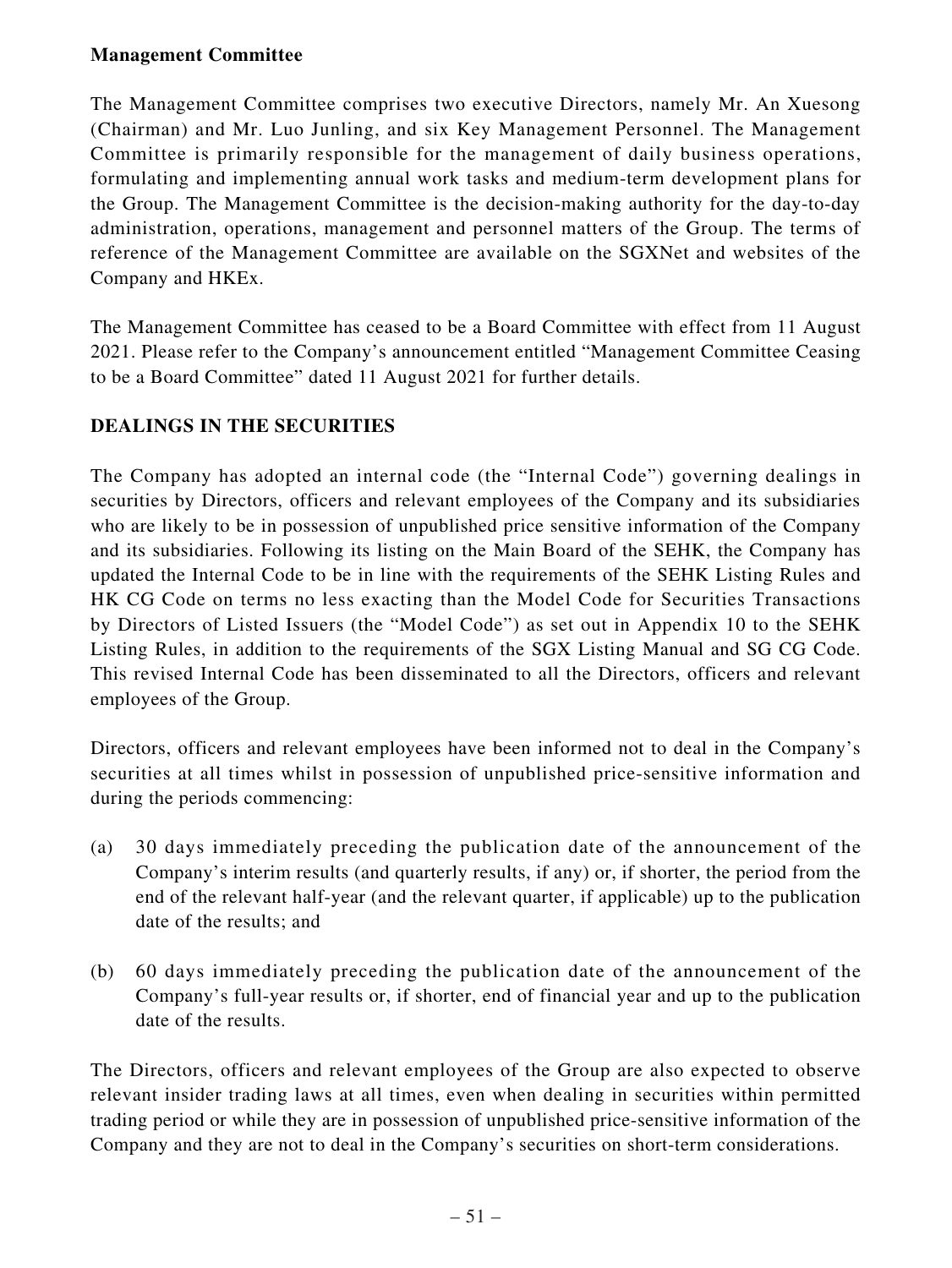## **Management Committee**

The Management Committee comprises two executive Directors, namely Mr. An Xuesong (Chairman) and Mr. Luo Junling, and six Key Management Personnel. The Management Committee is primarily responsible for the management of daily business operations, formulating and implementing annual work tasks and medium-term development plans for the Group. The Management Committee is the decision-making authority for the day-to-day administration, operations, management and personnel matters of the Group. The terms of reference of the Management Committee are available on the SGXNet and websites of the Company and HKEx.

The Management Committee has ceased to be a Board Committee with effect from 11 August 2021. Please refer to the Company's announcement entitled "Management Committee Ceasing to be a Board Committee" dated 11 August 2021 for further details.

## **DEALINGS IN THE SECURITIES**

The Company has adopted an internal code (the "Internal Code") governing dealings in securities by Directors, officers and relevant employees of the Company and its subsidiaries who are likely to be in possession of unpublished price sensitive information of the Company and its subsidiaries. Following its listing on the Main Board of the SEHK, the Company has updated the Internal Code to be in line with the requirements of the SEHK Listing Rules and HK CG Code on terms no less exacting than the Model Code for Securities Transactions by Directors of Listed Issuers (the "Model Code") as set out in Appendix 10 to the SEHK Listing Rules, in addition to the requirements of the SGX Listing Manual and SG CG Code. This revised Internal Code has been disseminated to all the Directors, officers and relevant employees of the Group.

Directors, officers and relevant employees have been informed not to deal in the Company's securities at all times whilst in possession of unpublished price-sensitive information and during the periods commencing:

- (a) 30 days immediately preceding the publication date of the announcement of the Company's interim results (and quarterly results, if any) or, if shorter, the period from the end of the relevant half-year (and the relevant quarter, if applicable) up to the publication date of the results; and
- (b) 60 days immediately preceding the publication date of the announcement of the Company's full-year results or, if shorter, end of financial year and up to the publication date of the results.

The Directors, officers and relevant employees of the Group are also expected to observe relevant insider trading laws at all times, even when dealing in securities within permitted trading period or while they are in possession of unpublished price-sensitive information of the Company and they are not to deal in the Company's securities on short-term considerations.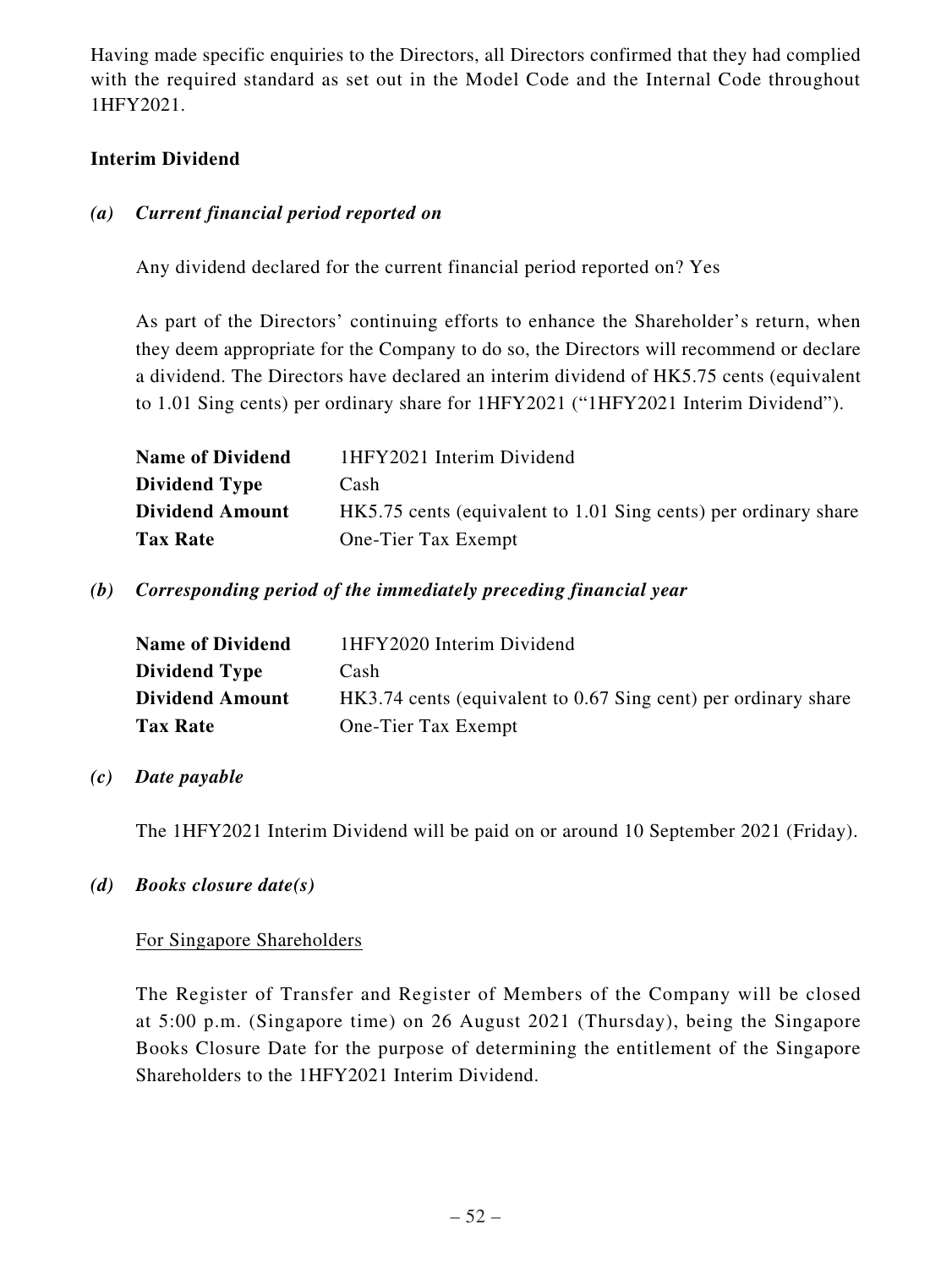Having made specific enquiries to the Directors, all Directors confirmed that they had complied with the required standard as set out in the Model Code and the Internal Code throughout 1HFY2021.

## **Interim Dividend**

## *(a) Current financial period reported on*

Any dividend declared for the current financial period reported on? Yes

As part of the Directors' continuing efforts to enhance the Shareholder's return, when they deem appropriate for the Company to do so, the Directors will recommend or declare a dividend. The Directors have declared an interim dividend of HK5.75 cents (equivalent to 1.01 Sing cents) per ordinary share for 1HFY2021 ("1HFY2021 Interim Dividend").

| <b>Name of Dividend</b> | 1HFY2021 Interim Dividend                                       |
|-------------------------|-----------------------------------------------------------------|
| <b>Dividend Type</b>    | Cash                                                            |
| <b>Dividend Amount</b>  | HK5.75 cents (equivalent to 1.01 Sing cents) per ordinary share |
| <b>Tax Rate</b>         | One-Tier Tax Exempt                                             |

*(b) Corresponding period of the immediately preceding financial year*

| <b>Name of Dividend</b> | 1HFY2020 Interim Dividend                                      |
|-------------------------|----------------------------------------------------------------|
| <b>Dividend Type</b>    | Cash                                                           |
| <b>Dividend Amount</b>  | HK3.74 cents (equivalent to 0.67 Sing cent) per ordinary share |
| <b>Tax Rate</b>         | One-Tier Tax Exempt                                            |

## *(c) Date payable*

The 1HFY2021 Interim Dividend will be paid on or around 10 September 2021 (Friday).

## *(d) Books closure date(s)*

### For Singapore Shareholders

The Register of Transfer and Register of Members of the Company will be closed at 5:00 p.m. (Singapore time) on 26 August 2021 (Thursday), being the Singapore Books Closure Date for the purpose of determining the entitlement of the Singapore Shareholders to the 1HFY2021 Interim Dividend.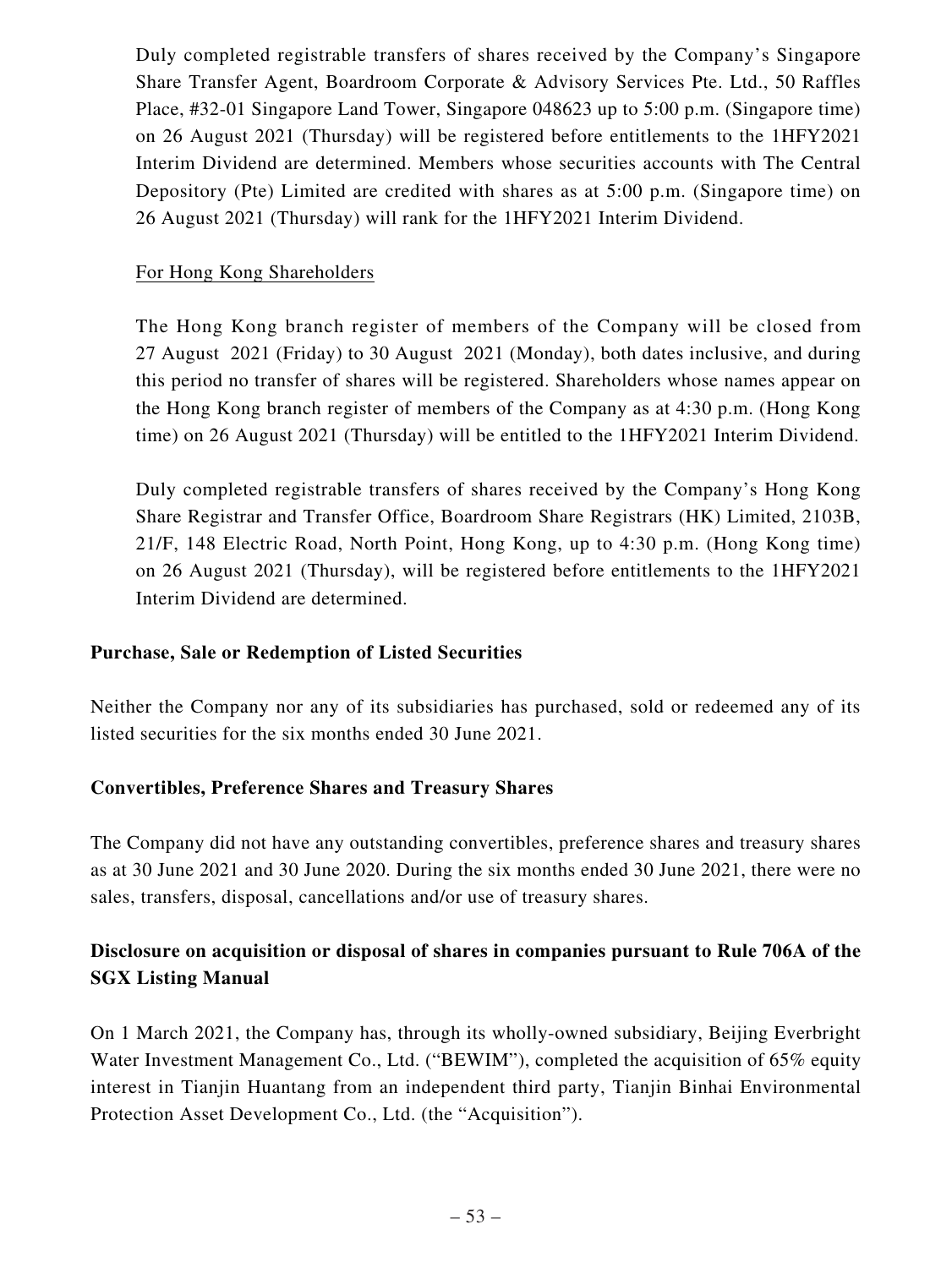Duly completed registrable transfers of shares received by the Company's Singapore Share Transfer Agent, Boardroom Corporate & Advisory Services Pte. Ltd., 50 Raffles Place, #32-01 Singapore Land Tower, Singapore 048623 up to 5:00 p.m. (Singapore time) on 26 August 2021 (Thursday) will be registered before entitlements to the 1HFY2021 Interim Dividend are determined. Members whose securities accounts with The Central Depository (Pte) Limited are credited with shares as at 5:00 p.m. (Singapore time) on 26 August 2021 (Thursday) will rank for the 1HFY2021 Interim Dividend.

## For Hong Kong Shareholders

The Hong Kong branch register of members of the Company will be closed from 27 August 2021 (Friday) to 30 August 2021 (Monday), both dates inclusive, and during this period no transfer of shares will be registered. Shareholders whose names appear on the Hong Kong branch register of members of the Company as at 4:30 p.m. (Hong Kong time) on 26 August 2021 (Thursday) will be entitled to the 1HFY2021 Interim Dividend.

Duly completed registrable transfers of shares received by the Company's Hong Kong Share Registrar and Transfer Office, Boardroom Share Registrars (HK) Limited, 2103B, 21/F, 148 Electric Road, North Point, Hong Kong, up to 4:30 p.m. (Hong Kong time) on 26 August 2021 (Thursday), will be registered before entitlements to the 1HFY2021 Interim Dividend are determined.

## **Purchase, Sale or Redemption of Listed Securities**

Neither the Company nor any of its subsidiaries has purchased, sold or redeemed any of its listed securities for the six months ended 30 June 2021.

## **Convertibles, Preference Shares and Treasury Shares**

The Company did not have any outstanding convertibles, preference shares and treasury shares as at 30 June 2021 and 30 June 2020. During the six months ended 30 June 2021, there were no sales, transfers, disposal, cancellations and/or use of treasury shares.

## **Disclosure on acquisition or disposal of shares in companies pursuant to Rule 706A of the SGX Listing Manual**

On 1 March 2021, the Company has, through its wholly-owned subsidiary, Beijing Everbright Water Investment Management Co., Ltd. ("BEWIM"), completed the acquisition of 65% equity interest in Tianjin Huantang from an independent third party, Tianjin Binhai Environmental Protection Asset Development Co., Ltd. (the "Acquisition").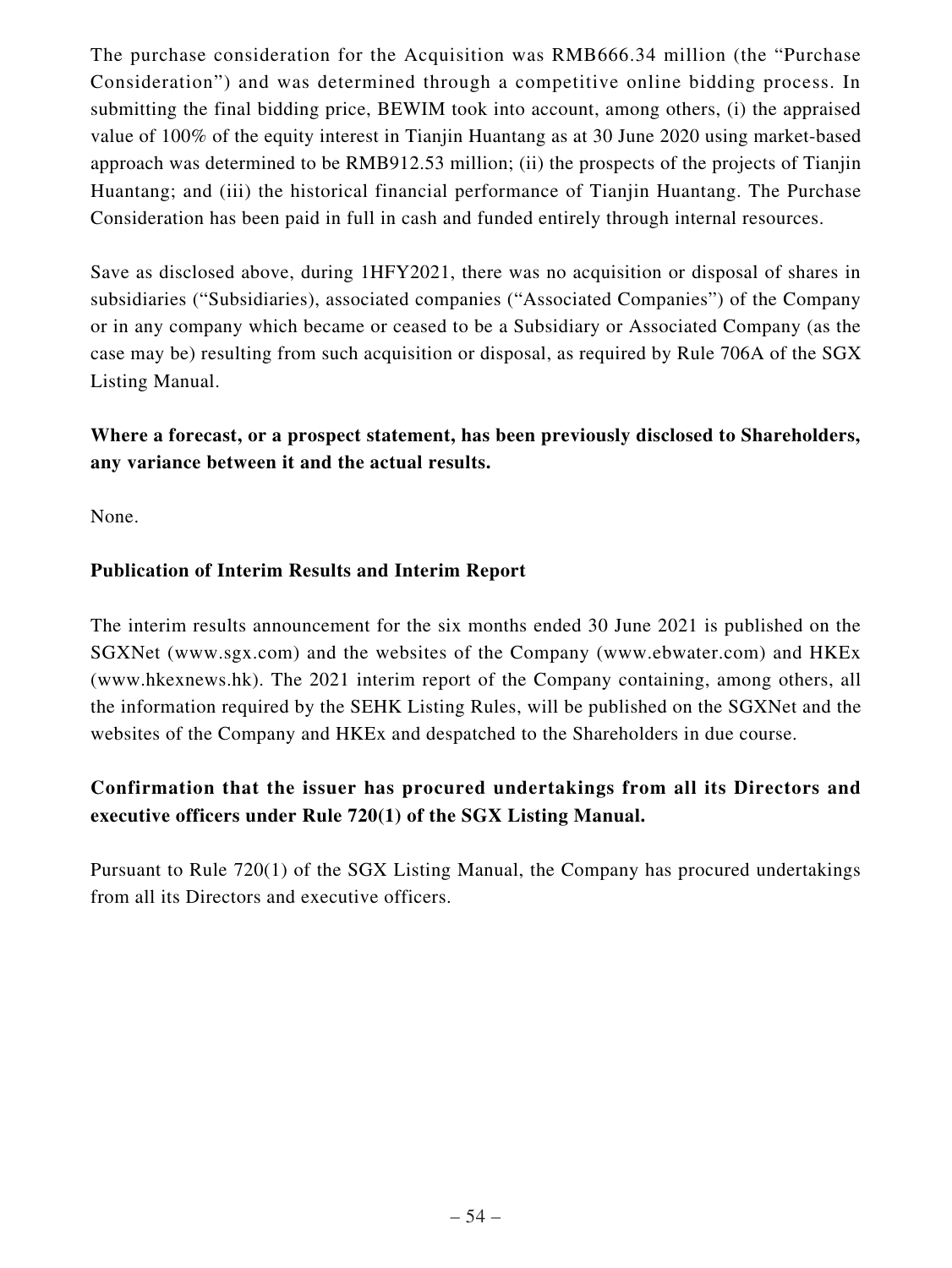The purchase consideration for the Acquisition was RMB666.34 million (the "Purchase Consideration") and was determined through a competitive online bidding process. In submitting the final bidding price, BEWIM took into account, among others, (i) the appraised value of 100% of the equity interest in Tianjin Huantang as at 30 June 2020 using market-based approach was determined to be RMB912.53 million; (ii) the prospects of the projects of Tianjin Huantang; and (iii) the historical financial performance of Tianjin Huantang. The Purchase Consideration has been paid in full in cash and funded entirely through internal resources.

Save as disclosed above, during 1HFY2021, there was no acquisition or disposal of shares in subsidiaries ("Subsidiaries), associated companies ("Associated Companies") of the Company or in any company which became or ceased to be a Subsidiary or Associated Company (as the case may be) resulting from such acquisition or disposal, as required by Rule 706A of the SGX Listing Manual.

**Where a forecast, or a prospect statement, has been previously disclosed to Shareholders, any variance between it and the actual results.**

None.

## **Publication of Interim Results and Interim Report**

The interim results announcement for the six months ended 30 June 2021 is published on the SGXNet (www.sgx.com) and the websites of the Company (www.ebwater.com) and HKEx (www.hkexnews.hk). The 2021 interim report of the Company containing, among others, all the information required by the SEHK Listing Rules, will be published on the SGXNet and the websites of the Company and HKEx and despatched to the Shareholders in due course.

## **Confirmation that the issuer has procured undertakings from all its Directors and executive officers under Rule 720(1) of the SGX Listing Manual.**

Pursuant to Rule 720(1) of the SGX Listing Manual, the Company has procured undertakings from all its Directors and executive officers.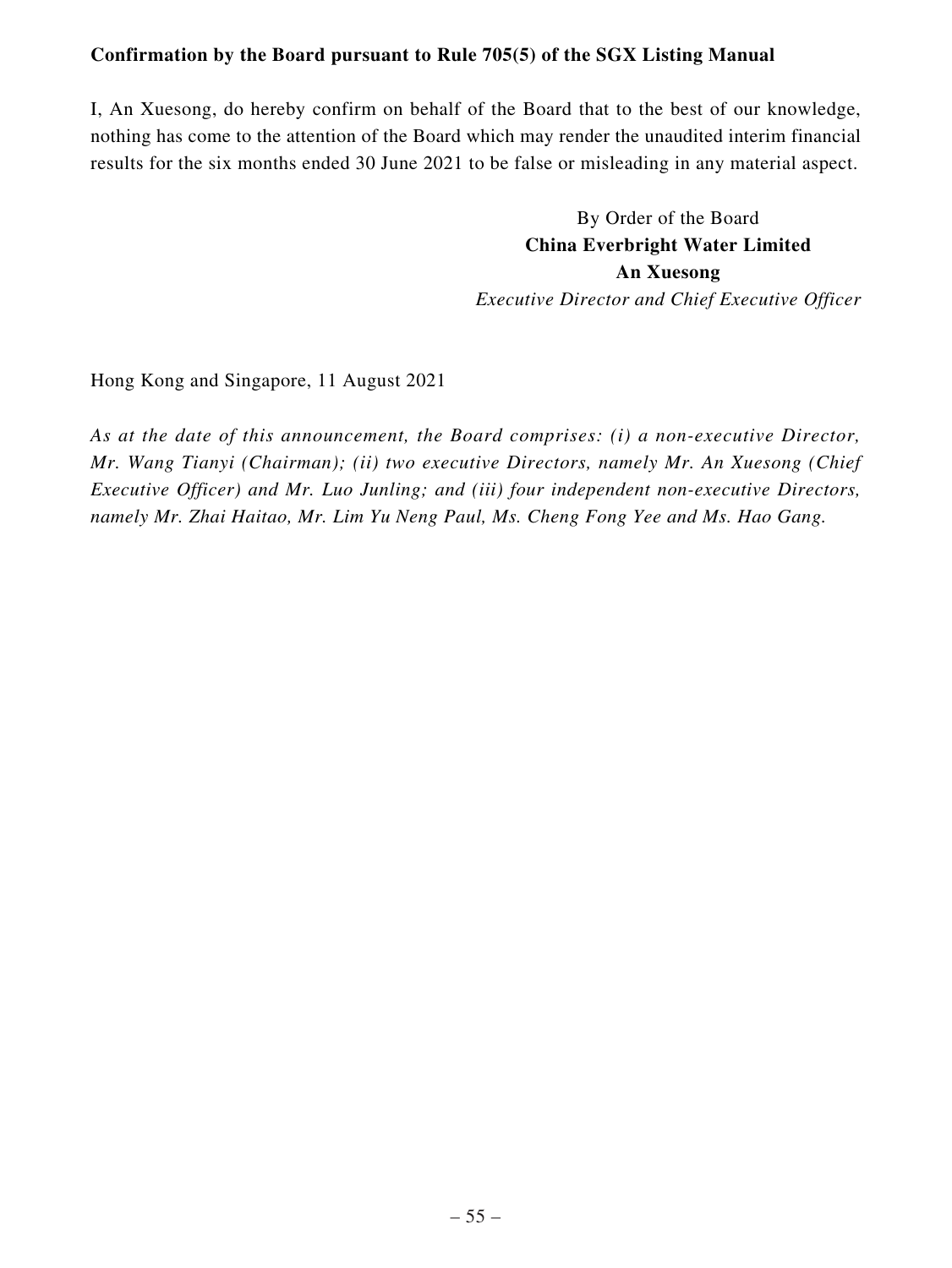## **Confirmation by the Board pursuant to Rule 705(5) of the SGX Listing Manual**

I, An Xuesong, do hereby confirm on behalf of the Board that to the best of our knowledge, nothing has come to the attention of the Board which may render the unaudited interim financial results for the six months ended 30 June 2021 to be false or misleading in any material aspect.

> By Order of the Board **China Everbright Water Limited An Xuesong** *Executive Director and Chief Executive Officer*

Hong Kong and Singapore, 11 August 2021

*As at the date of this announcement, the Board comprises: (i) a non-executive Director, Mr. Wang Tianyi (Chairman); (ii) two executive Directors, namely Mr. An Xuesong (Chief Executive Officer) and Mr. Luo Junling; and (iii) four independent non-executive Directors, namely Mr. Zhai Haitao, Mr. Lim Yu Neng Paul, Ms. Cheng Fong Yee and Ms. Hao Gang.*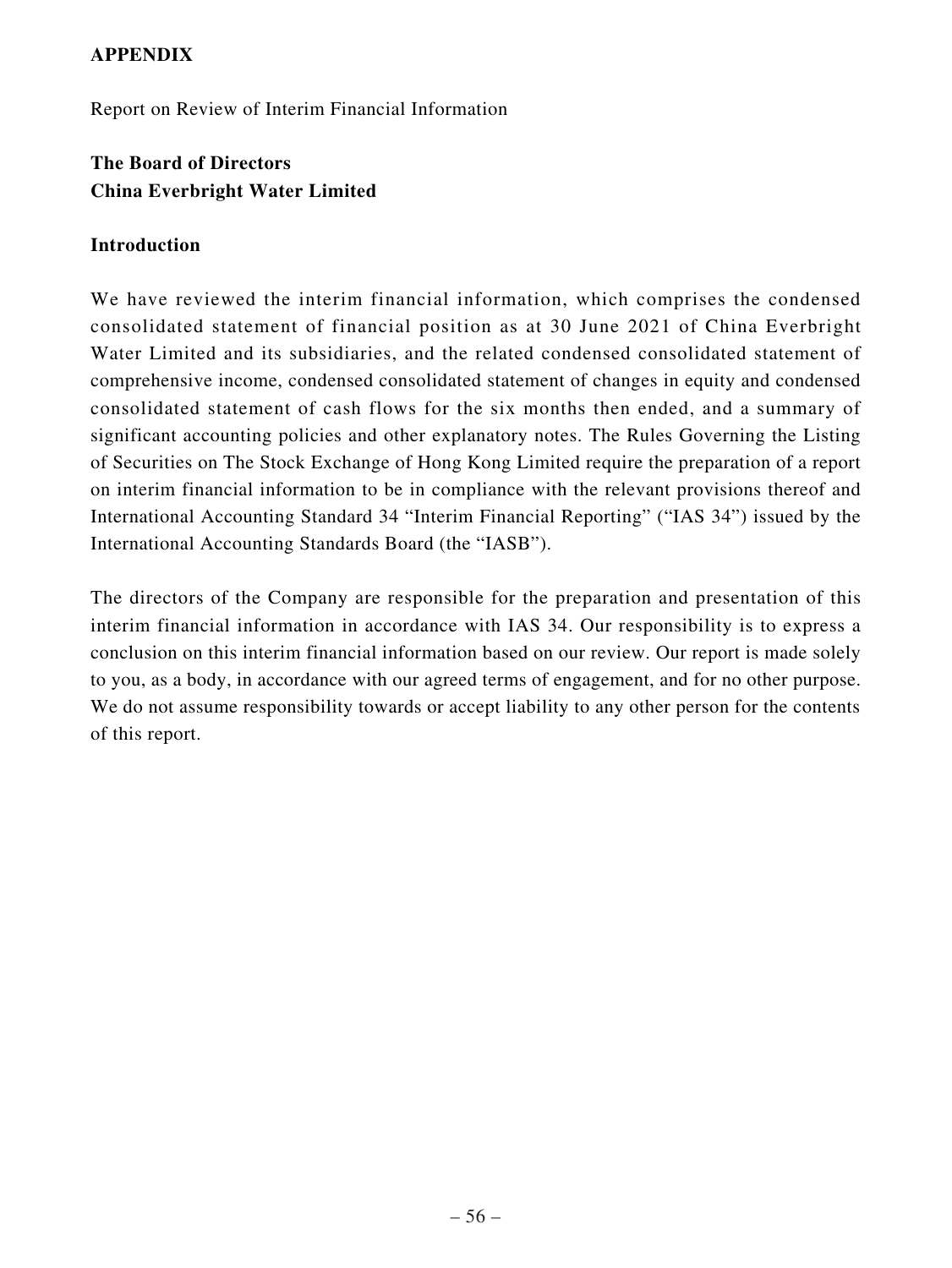## **APPENDIX**

Report on Review of Interim Financial Information

## **The Board of Directors China Everbright Water Limited**

### **Introduction**

We have reviewed the interim financial information, which comprises the condensed consolidated statement of financial position as at 30 June 2021 of China Everbright Water Limited and its subsidiaries, and the related condensed consolidated statement of comprehensive income, condensed consolidated statement of changes in equity and condensed consolidated statement of cash flows for the six months then ended, and a summary of significant accounting policies and other explanatory notes. The Rules Governing the Listing of Securities on The Stock Exchange of Hong Kong Limited require the preparation of a report on interim financial information to be in compliance with the relevant provisions thereof and International Accounting Standard 34 "Interim Financial Reporting" ("IAS 34") issued by the International Accounting Standards Board (the "IASB").

The directors of the Company are responsible for the preparation and presentation of this interim financial information in accordance with IAS 34. Our responsibility is to express a conclusion on this interim financial information based on our review. Our report is made solely to you, as a body, in accordance with our agreed terms of engagement, and for no other purpose. We do not assume responsibility towards or accept liability to any other person for the contents of this report.